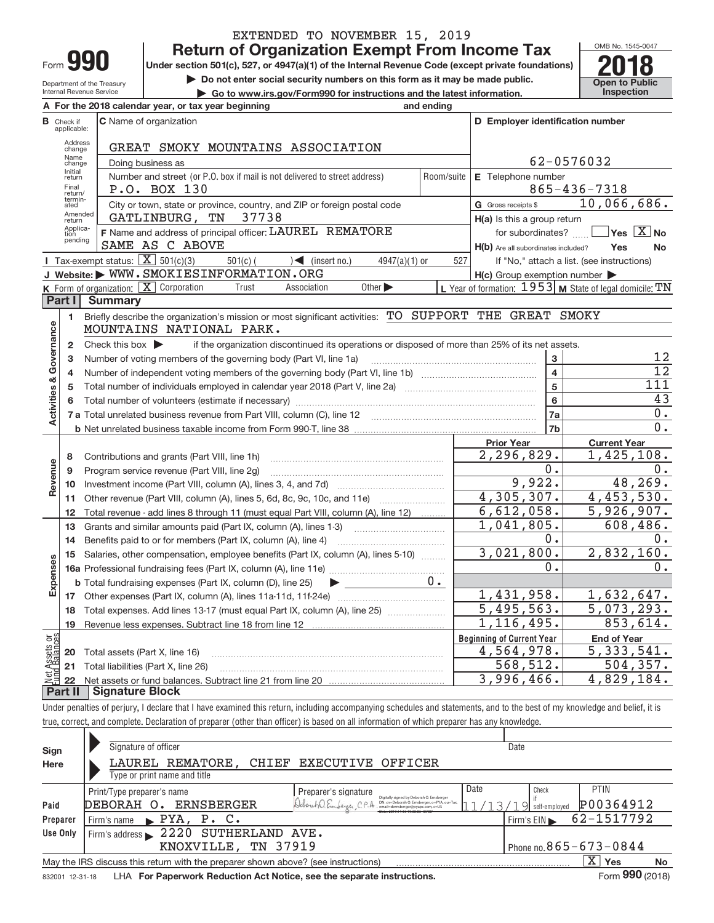| -orm |  |
|------|--|

Internal Revenue Service

# EXTENDED TO NOVEMBER 15, 2019

**Under section 501(c), 527, or 4947(a)(1) of the Internal Revenue Code (except private foundations) Return of Organization Exempt From Income Tax**<br>
Under section 501(c), 527, or 4947(a)(1) of the Internal Revenue Code (except private foundations)<br> **2018** 

Department of the Treasury

▶ Do not enter social security numbers on this form as it may be made public. <br>● Go to www.irs.gov/Form990 for instructions and the latest information. **Department in the latest** information. **| Go to www.irs.gov/Form990 for instructions and the latest information. Inspection**



|                           |                               | A For the 2018 calendar year, or tax year beginning                                                                                             | and ending |                                                     |                                                           |
|---------------------------|-------------------------------|-------------------------------------------------------------------------------------------------------------------------------------------------|------------|-----------------------------------------------------|-----------------------------------------------------------|
|                           | <b>B</b> Check if applicable: | <b>C</b> Name of organization                                                                                                                   |            | D Employer identification number                    |                                                           |
|                           | <b>Address</b><br>change      | GREAT SMOKY MOUNTAINS ASSOCIATION                                                                                                               |            |                                                     |                                                           |
|                           | Name<br>change                | Doing business as                                                                                                                               |            |                                                     | 62-0576032                                                |
|                           | Initial<br>return             | Number and street (or P.O. box if mail is not delivered to street address)                                                                      | Room/suite | E Telephone number                                  |                                                           |
|                           | Final<br>return/              | P.O. BOX 130                                                                                                                                    |            |                                                     | $865 - 436 - 7318$                                        |
|                           | termin-<br>ated               | City or town, state or province, country, and ZIP or foreign postal code                                                                        |            | G Gross receipts \$                                 | 10,066,686.                                               |
|                           | Amended<br>return             | GATLINBURG, TN<br>37738                                                                                                                         |            | H(a) Is this a group return                         |                                                           |
|                           | Applica-<br>tion              | F Name and address of principal officer: LAUREL REMATORE                                                                                        |            | for subordinates?                                   | $\sqrt{}$ Yes $\sqrt{X}$ No                               |
|                           | pending                       | SAME AS C ABOVE                                                                                                                                 |            | H(b) Are all subordinates included?                 | Yes<br>No.                                                |
|                           |                               | <b>I</b> Tax-exempt status: $\overline{X}$ 501(c)(3)<br>$\sqrt{\phantom{a}}$ (insert no.)<br>$501(c)$ (<br>$4947(a)(1)$ or                      | 527        |                                                     | If "No," attach a list. (see instructions)                |
|                           |                               | J Website: WWW.SMOKIESINFORMATION.ORG                                                                                                           |            | $H(c)$ Group exemption number $\blacktriangleright$ |                                                           |
|                           |                               | K Form of organization: $X$ Corporation<br>Other $\blacktriangleright$<br>Trust<br>Association                                                  |            |                                                     | L Year of formation: $1953$ M State of legal domicile: TN |
|                           | Part I                        | <b>Summary</b>                                                                                                                                  |            |                                                     |                                                           |
|                           | 1                             | Briefly describe the organization's mission or most significant activities: TO SUPPORT THE GREAT SMOKY                                          |            |                                                     |                                                           |
| Governance                |                               | MOUNTAINS NATIONAL PARK.                                                                                                                        |            |                                                     |                                                           |
|                           | $\mathbf{2}$                  | Check this box $\blacktriangleright$<br>if the organization discontinued its operations or disposed of more than 25% of its net assets.         |            |                                                     |                                                           |
|                           | 3                             | Number of voting members of the governing body (Part VI, line 1a)                                                                               |            | 3                                                   | 12                                                        |
|                           | 4                             |                                                                                                                                                 |            | $\overline{\mathbf{4}}$                             | $\overline{12}$                                           |
|                           | 5                             |                                                                                                                                                 |            | $\overline{5}$                                      | 111                                                       |
|                           | 6                             |                                                                                                                                                 |            | 6                                                   | 43                                                        |
| <b>Activities &amp;</b>   |                               |                                                                                                                                                 |            | 7a                                                  | 0.                                                        |
|                           |                               |                                                                                                                                                 |            | 7b                                                  | 0.                                                        |
|                           |                               |                                                                                                                                                 |            | <b>Prior Year</b>                                   | <b>Current Year</b>                                       |
|                           | 8                             | Contributions and grants (Part VIII, line 1h)                                                                                                   |            | $\overline{2,296},829.$                             | 1,425,108.                                                |
|                           | 9                             | Program service revenue (Part VIII, line 2g)                                                                                                    |            | 0.                                                  | 0.                                                        |
| Revenue                   | 10                            |                                                                                                                                                 |            | 9,922.                                              | 48,269.                                                   |
|                           | 11                            | Other revenue (Part VIII, column (A), lines 5, 6d, 8c, 9c, 10c, and 11e)                                                                        |            | 4,305,307.                                          | 4,453,530.                                                |
|                           | 12                            | Total revenue - add lines 8 through 11 (must equal Part VIII, column (A), line 12)                                                              |            | 6,612,058.                                          | $\overline{5,926,907}$ .                                  |
|                           | 13                            | Grants and similar amounts paid (Part IX, column (A), lines 1-3)                                                                                |            | $1,041,805$ .                                       | 608,486.                                                  |
|                           | 14                            | Benefits paid to or for members (Part IX, column (A), line 4)                                                                                   |            | 0.                                                  | $0$ .                                                     |
|                           | 15                            | Salaries, other compensation, employee benefits (Part IX, column (A), lines 5-10)                                                               |            | 3,021,800.                                          | 2,832,160.                                                |
|                           |                               |                                                                                                                                                 |            | 0.                                                  | 0.                                                        |
| Expenses                  |                               | <b>b</b> Total fundraising expenses (Part IX, column (D), line 25)<br>$\blacktriangleright$ and $\blacktriangleright$ and $\blacktriangleright$ | $0 \cdot$  |                                                     |                                                           |
|                           | 17                            |                                                                                                                                                 |            | 1,431,958.                                          | 1,632,647.                                                |
|                           | 18                            | Total expenses. Add lines 13-17 (must equal Part IX, column (A), line 25)                                                                       |            | 5,495,563.                                          | 5,073,293.                                                |
|                           | 19                            |                                                                                                                                                 |            | 1, 116, 495.                                        | 853,614.                                                  |
| ិង                        |                               |                                                                                                                                                 |            | <b>Beginning of Current Year</b>                    | <b>End of Year</b>                                        |
|                           | 20                            | Total assets (Part X, line 16)                                                                                                                  |            | 4,564,978.                                          | 5,333,541.                                                |
| Net Assets<br>Eund Balanc | 21                            | Total liabilities (Part X, line 26)                                                                                                             |            | 568,512.                                            | 504, 357.                                                 |
|                           | 22                            |                                                                                                                                                 |            | 3,996,466.                                          | 4,829,184.                                                |

**Part II Signature Block**

Under penalties of perjury, I declare that I have examined this return, including accompanying schedules and statements, and to the best of my knowledge and belief, it is true, correct, and complete. Declaration of preparer (other than officer) is based on all information of which preparer has any knowledge.

| Sign            | Signature of officer                                                              | Date                                                                                                                                                       |
|-----------------|-----------------------------------------------------------------------------------|------------------------------------------------------------------------------------------------------------------------------------------------------------|
| Here            | REMATORE,<br>CHIEF EXECUTIVE OFFICER<br>LAUREL                                    |                                                                                                                                                            |
|                 | Type or print name and title                                                      |                                                                                                                                                            |
|                 | Print/Type preparer's name<br>Preparer's signature                                | Date<br><b>PTIN</b><br>Check                                                                                                                               |
| Paid            | Deborah O. Emberger, C.P.A<br><b>ERNSBERGER</b><br>DEBORAH O.                     | Digitally signed by Deborah O. Emsberger<br>P00364912<br>DN: cn=Deborah O. Ernsberger, o=PYA, ou=Tax,<br>self-emploved<br>email=dernsberger@pyapc.com.c=US |
| Preparer        | PYA, P. C.<br>Firm's name<br>$\mathbf{E}$                                         | 62-1517792<br>$Firm's EIN \blacktriangleright$                                                                                                             |
| Use Only        | 2220 SUTHERLAND AVE.<br>Firm's address                                            |                                                                                                                                                            |
|                 | TN 37919<br>KNOXVILLE,                                                            | Phone no. $865 - 673 - 0844$                                                                                                                               |
|                 | May the IRS discuss this return with the preparer shown above? (see instructions) | x<br>Yes<br><b>No</b>                                                                                                                                      |
| 832001 12-31-18 | LHA For Paperwork Reduction Act Notice, see the separate instructions.            | Form 990 (2018)                                                                                                                                            |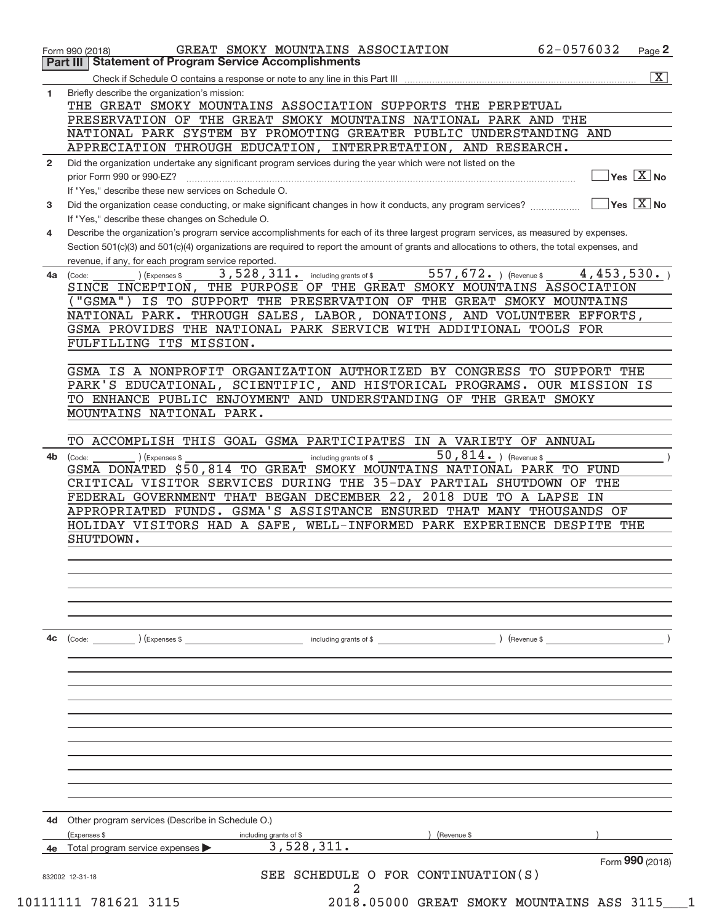|              | GREAT SMOKY MOUNTAINS ASSOCIATION<br>Form 990 (2018)<br><b>Statement of Program Service Accomplishments</b><br>Part III                                                                 | 62-0576032 | Page 2                                                 |
|--------------|-----------------------------------------------------------------------------------------------------------------------------------------------------------------------------------------|------------|--------------------------------------------------------|
|              |                                                                                                                                                                                         |            | $\boxed{\text{X}}$                                     |
| 1            | Briefly describe the organization's mission:                                                                                                                                            |            |                                                        |
|              | THE GREAT SMOKY MOUNTAINS ASSOCIATION SUPPORTS THE PERPETUAL                                                                                                                            |            |                                                        |
|              | PRESERVATION OF THE GREAT SMOKY MOUNTAINS NATIONAL PARK AND THE                                                                                                                         |            |                                                        |
|              | NATIONAL PARK SYSTEM BY PROMOTING GREATER PUBLIC UNDERSTANDING AND                                                                                                                      |            |                                                        |
|              | APPRECIATION THROUGH EDUCATION, INTERPRETATION, AND RESEARCH.                                                                                                                           |            |                                                        |
| $\mathbf{2}$ | Did the organization undertake any significant program services during the year which were not listed on the                                                                            |            |                                                        |
|              | prior Form 990 or 990-EZ?                                                                                                                                                               |            | $\overline{\mathsf{Yes} \mathrel{\;\; X} \mathsf{No}}$ |
|              | If "Yes," describe these new services on Schedule O.                                                                                                                                    |            |                                                        |
| 3            | Did the organization cease conducting, or make significant changes in how it conducts, any program services?                                                                            |            | $\overline{\mathsf{Yes} \mathbb{X}}$ No                |
| 4            | If "Yes," describe these changes on Schedule O.<br>Describe the organization's program service accomplishments for each of its three largest program services, as measured by expenses. |            |                                                        |
|              | Section 501(c)(3) and 501(c)(4) organizations are required to report the amount of grants and allocations to others, the total expenses, and                                            |            |                                                        |
|              | revenue, if any, for each program service reported.                                                                                                                                     |            |                                                        |
| 4a           | 557, 672. $ $ (Revenue \$<br>3,528,311.<br>(Expenses \$<br>including grants of \$<br>(Code:                                                                                             | 4,453,530. |                                                        |
|              | THE PURPOSE OF THE GREAT SMOKY MOUNTAINS ASSOCIATION<br>SINCE INCEPTION,                                                                                                                |            |                                                        |
|              | "GSMA") IS TO SUPPORT THE PRESERVATION OF THE GREAT SMOKY MOUNTAINS                                                                                                                     |            |                                                        |
|              | NATIONAL PARK. THROUGH SALES, LABOR, DONATIONS, AND VOLUNTEER EFFORTS,                                                                                                                  |            |                                                        |
|              | GSMA PROVIDES THE NATIONAL PARK SERVICE WITH ADDITIONAL TOOLS FOR                                                                                                                       |            |                                                        |
|              | FULFILLING ITS MISSION.                                                                                                                                                                 |            |                                                        |
|              | GSMA IS A NONPROFIT ORGANIZATION AUTHORIZED BY CONGRESS TO SUPPORT THE                                                                                                                  |            |                                                        |
|              | PARK'S EDUCATIONAL, SCIENTIFIC, AND HISTORICAL PROGRAMS. OUR MISSION IS                                                                                                                 |            |                                                        |
|              | TO ENHANCE PUBLIC ENJOYMENT AND UNDERSTANDING OF THE GREAT SMOKY                                                                                                                        |            |                                                        |
|              | MOUNTAINS NATIONAL PARK.                                                                                                                                                                |            |                                                        |
|              |                                                                                                                                                                                         |            |                                                        |
|              | TO ACCOMPLISH THIS GOAL GSMA PARTICIPATES IN A VARIETY OF ANNUAL                                                                                                                        |            |                                                        |
| 4b           | 50,814. ) (Revenue \$<br>(Expenses \$<br>(Code:<br>including grants of \$                                                                                                               |            |                                                        |
|              | GSMA DONATED \$50,814 TO GREAT SMOKY MOUNTAINS NATIONAL PARK TO FUND                                                                                                                    |            |                                                        |
|              | CRITICAL VISITOR SERVICES DURING THE 35-DAY PARTIAL SHUTDOWN OF THE<br>FEDERAL GOVERNMENT THAT BEGAN DECEMBER 22, 2018 DUE TO A LAPSE IN                                                |            |                                                        |
|              | APPROPRIATED FUNDS. GSMA'S ASSISTANCE ENSURED THAT MANY THOUSANDS OF                                                                                                                    |            |                                                        |
|              | HOLIDAY VISITORS HAD A SAFE, WELL-INFORMED PARK EXPERIENCE DESPITE THE                                                                                                                  |            |                                                        |
|              | SHUTDOWN.                                                                                                                                                                               |            |                                                        |
|              |                                                                                                                                                                                         |            |                                                        |
|              |                                                                                                                                                                                         |            |                                                        |
|              |                                                                                                                                                                                         |            |                                                        |
|              |                                                                                                                                                                                         |            |                                                        |
|              |                                                                                                                                                                                         |            |                                                        |
| 4c           | $\left(\text{Code:} \right)$ $\left(\text{Expenses $}\right)$<br>including grants of \$<br>) (Revenue \$                                                                                |            |                                                        |
|              |                                                                                                                                                                                         |            |                                                        |
|              |                                                                                                                                                                                         |            |                                                        |
|              |                                                                                                                                                                                         |            |                                                        |
|              |                                                                                                                                                                                         |            |                                                        |
|              |                                                                                                                                                                                         |            |                                                        |
|              |                                                                                                                                                                                         |            |                                                        |
|              |                                                                                                                                                                                         |            |                                                        |
|              |                                                                                                                                                                                         |            |                                                        |
|              |                                                                                                                                                                                         |            |                                                        |
|              |                                                                                                                                                                                         |            |                                                        |
|              |                                                                                                                                                                                         |            |                                                        |
| 4d           | Other program services (Describe in Schedule O.)<br>(Expenses \$<br>(Revenue \$<br>including grants of \$                                                                               |            |                                                        |
| 4e           | 3,528,311.<br>Total program service expenses                                                                                                                                            |            |                                                        |
|              |                                                                                                                                                                                         |            | Form 990 (2018)                                        |
|              | SCHEDULE O FOR CONTINUATION (S)<br>SEE<br>832002 12-31-18                                                                                                                               |            |                                                        |
|              | 2                                                                                                                                                                                       |            |                                                        |
|              | 10111111 781621 3115<br>2018.05000 GREAT SMOKY MOUNTAINS ASS 3115                                                                                                                       |            |                                                        |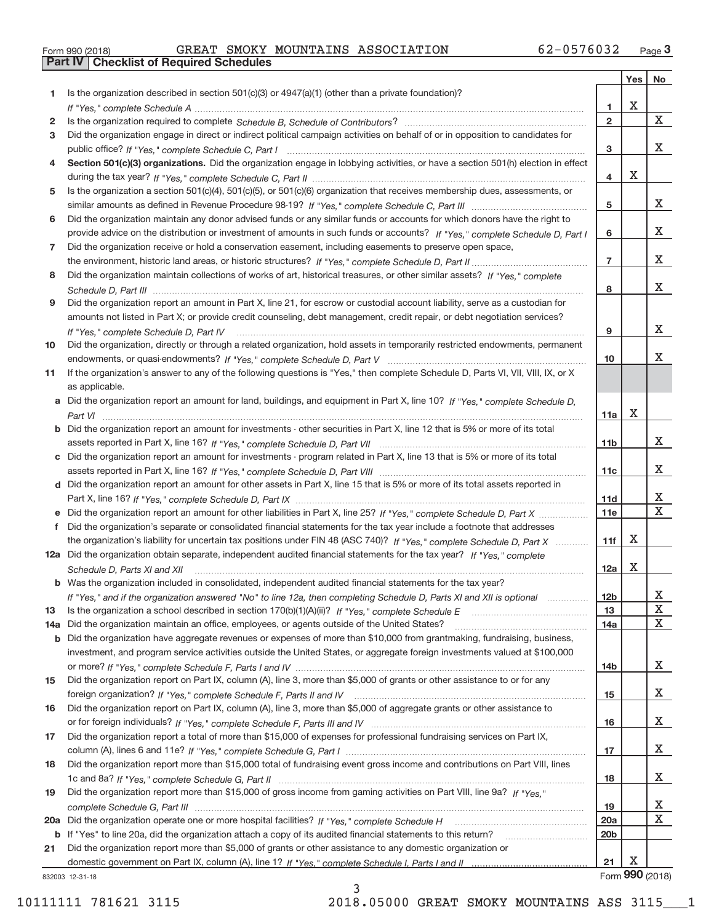| Form 990 (2018) |  |  |
|-----------------|--|--|
|                 |  |  |

**Part IV Checklist of Required Schedules**

|     |                                                                                                                                                                                                                                           |                         | Yes | No                      |
|-----|-------------------------------------------------------------------------------------------------------------------------------------------------------------------------------------------------------------------------------------------|-------------------------|-----|-------------------------|
| 1   | Is the organization described in section $501(c)(3)$ or $4947(a)(1)$ (other than a private foundation)?                                                                                                                                   |                         |     |                         |
|     |                                                                                                                                                                                                                                           | 1                       | Χ   |                         |
| 2   |                                                                                                                                                                                                                                           | $\overline{\mathbf{2}}$ |     | X                       |
| 3   | Did the organization engage in direct or indirect political campaign activities on behalf of or in opposition to candidates for                                                                                                           |                         |     |                         |
|     |                                                                                                                                                                                                                                           | 3                       |     | X.                      |
| 4   | Section 501(c)(3) organizations. Did the organization engage in lobbying activities, or have a section 501(h) election in effect                                                                                                          |                         |     |                         |
|     |                                                                                                                                                                                                                                           | 4                       | X   |                         |
| 5   | Is the organization a section 501(c)(4), 501(c)(5), or 501(c)(6) organization that receives membership dues, assessments, or                                                                                                              |                         |     |                         |
|     |                                                                                                                                                                                                                                           | 5                       |     | X.                      |
| 6   | Did the organization maintain any donor advised funds or any similar funds or accounts for which donors have the right to                                                                                                                 |                         |     | X.                      |
| 7   | provide advice on the distribution or investment of amounts in such funds or accounts? If "Yes," complete Schedule D, Part I<br>Did the organization receive or hold a conservation easement, including easements to preserve open space, | 6                       |     |                         |
|     |                                                                                                                                                                                                                                           | $\overline{7}$          |     | X.                      |
| 8   | Did the organization maintain collections of works of art, historical treasures, or other similar assets? If "Yes," complete                                                                                                              |                         |     |                         |
|     |                                                                                                                                                                                                                                           | 8                       |     | X.                      |
| 9   | Did the organization report an amount in Part X, line 21, for escrow or custodial account liability, serve as a custodian for                                                                                                             |                         |     |                         |
|     | amounts not listed in Part X; or provide credit counseling, debt management, credit repair, or debt negotiation services?                                                                                                                 |                         |     |                         |
|     | If "Yes," complete Schedule D, Part IV                                                                                                                                                                                                    | 9                       |     | X.                      |
| 10  | Did the organization, directly or through a related organization, hold assets in temporarily restricted endowments, permanent                                                                                                             |                         |     |                         |
|     |                                                                                                                                                                                                                                           | 10                      |     | X.                      |
| 11  | If the organization's answer to any of the following questions is "Yes," then complete Schedule D, Parts VI, VIII, VIII, IX, or X                                                                                                         |                         |     |                         |
|     | as applicable.                                                                                                                                                                                                                            |                         |     |                         |
|     | a Did the organization report an amount for land, buildings, and equipment in Part X, line 10? If "Yes," complete Schedule D,                                                                                                             |                         |     |                         |
|     |                                                                                                                                                                                                                                           | 11a                     | Χ   |                         |
|     | <b>b</b> Did the organization report an amount for investments - other securities in Part X, line 12 that is 5% or more of its total                                                                                                      |                         |     |                         |
|     |                                                                                                                                                                                                                                           | 11b                     |     | X.                      |
| c   | Did the organization report an amount for investments - program related in Part X, line 13 that is 5% or more of its total                                                                                                                |                         |     |                         |
|     |                                                                                                                                                                                                                                           | 11c                     |     | X.                      |
|     | d Did the organization report an amount for other assets in Part X, line 15 that is 5% or more of its total assets reported in                                                                                                            |                         |     | X.                      |
|     | e Did the organization report an amount for other liabilities in Part X, line 25? If "Yes," complete Schedule D, Part X                                                                                                                   | 11d<br>11e              |     | $\overline{\mathbf{X}}$ |
| f   | Did the organization's separate or consolidated financial statements for the tax year include a footnote that addresses                                                                                                                   |                         |     |                         |
|     | the organization's liability for uncertain tax positions under FIN 48 (ASC 740)? If "Yes," complete Schedule D, Part X                                                                                                                    | 11f                     | х   |                         |
|     | 12a Did the organization obtain separate, independent audited financial statements for the tax year? If "Yes," complete                                                                                                                   |                         |     |                         |
|     | Schedule D, Parts XI and XII                                                                                                                                                                                                              | 12a                     | X   |                         |
|     | <b>b</b> Was the organization included in consolidated, independent audited financial statements for the tax year?                                                                                                                        |                         |     |                         |
|     | If "Yes," and if the organization answered "No" to line 12a, then completing Schedule D, Parts XI and XII is optional                                                                                                                     | 12b                     |     | A                       |
| 13  |                                                                                                                                                                                                                                           | 13                      |     | X                       |
| 14a | Did the organization maintain an office, employees, or agents outside of the United States?                                                                                                                                               | 14a                     |     | X                       |
| b   | Did the organization have aggregate revenues or expenses of more than \$10,000 from grantmaking, fundraising, business,                                                                                                                   |                         |     |                         |
|     | investment, and program service activities outside the United States, or aggregate foreign investments valued at \$100,000                                                                                                                |                         |     |                         |
|     |                                                                                                                                                                                                                                           | 14b                     |     | X.                      |
| 15  | Did the organization report on Part IX, column (A), line 3, more than \$5,000 of grants or other assistance to or for any                                                                                                                 |                         |     |                         |
|     |                                                                                                                                                                                                                                           | 15                      |     | X                       |
| 16  | Did the organization report on Part IX, column (A), line 3, more than \$5,000 of aggregate grants or other assistance to                                                                                                                  |                         |     | X                       |
| 17  | Did the organization report a total of more than \$15,000 of expenses for professional fundraising services on Part IX,                                                                                                                   | 16                      |     |                         |
|     |                                                                                                                                                                                                                                           | 17                      |     | x                       |
| 18  | Did the organization report more than \$15,000 total of fundraising event gross income and contributions on Part VIII, lines                                                                                                              |                         |     |                         |
|     |                                                                                                                                                                                                                                           | 18                      |     | x                       |
| 19  | Did the organization report more than \$15,000 of gross income from gaming activities on Part VIII, line 9a? If "Yes."                                                                                                                    |                         |     |                         |
|     |                                                                                                                                                                                                                                           | 19                      |     | X                       |
| 20a |                                                                                                                                                                                                                                           | 20a                     |     | X                       |
| b   | If "Yes" to line 20a, did the organization attach a copy of its audited financial statements to this return?                                                                                                                              | 20 <sub>b</sub>         |     |                         |
| 21  | Did the organization report more than \$5,000 of grants or other assistance to any domestic organization or                                                                                                                               |                         |     |                         |
|     |                                                                                                                                                                                                                                           | 21                      | Х   |                         |
|     | 832003 12-31-18                                                                                                                                                                                                                           |                         |     | Form 990 (2018)         |

832003 12‐31‐18

10111111 781621 3115 2018.05000 GREAT SMOKY MOUNTAINS ASS 3115\_\_\_1

3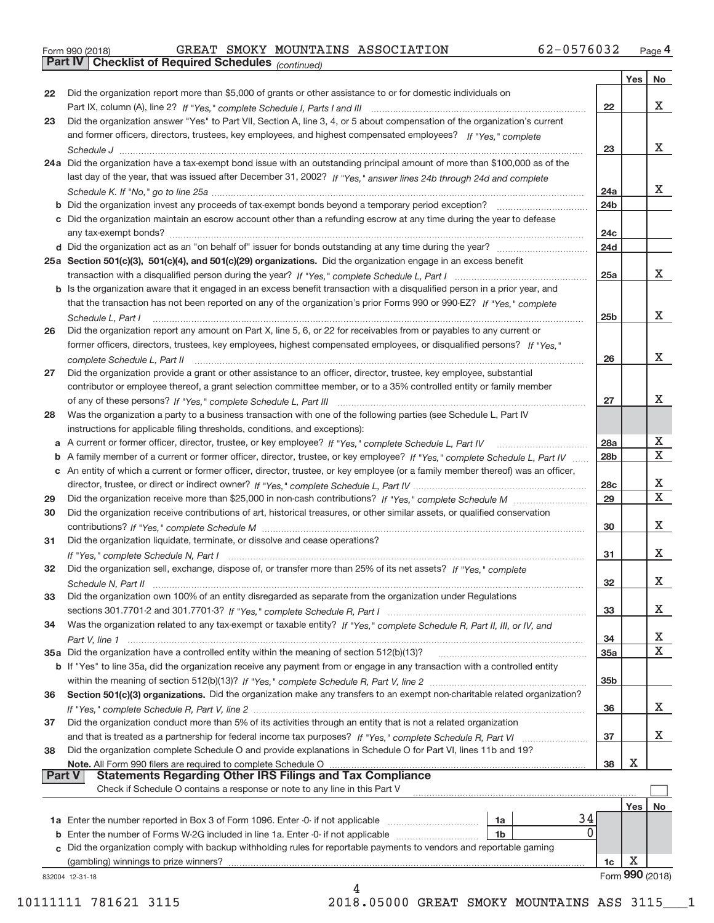|  | Form 990 (2018) |
|--|-----------------|
|  |                 |

**Part IV Checklist of Required Schedules**

*(continued)*

|    |                                                                                                                                   |                 | Yes   No             |                         |
|----|-----------------------------------------------------------------------------------------------------------------------------------|-----------------|----------------------|-------------------------|
| 22 | Did the organization report more than \$5,000 of grants or other assistance to or for domestic individuals on                     |                 |                      |                         |
|    |                                                                                                                                   | 22              |                      | X                       |
| 23 | Did the organization answer "Yes" to Part VII, Section A, line 3, 4, or 5 about compensation of the organization's current        |                 |                      |                         |
|    | and former officers, directors, trustees, key employees, and highest compensated employees? If "Yes," complete                    |                 |                      |                         |
|    |                                                                                                                                   | 23              |                      | x                       |
|    | 24a Did the organization have a tax-exempt bond issue with an outstanding principal amount of more than \$100,000 as of the       |                 |                      |                         |
|    | last day of the year, that was issued after December 31, 2002? If "Yes," answer lines 24b through 24d and complete                |                 |                      |                         |
|    |                                                                                                                                   | 24a             |                      | Χ                       |
|    |                                                                                                                                   | 24b             |                      |                         |
|    | c Did the organization maintain an escrow account other than a refunding escrow at any time during the year to defease            |                 |                      |                         |
|    |                                                                                                                                   | 24 <sub>c</sub> |                      |                         |
|    |                                                                                                                                   | 24d             |                      |                         |
|    | 25a Section 501(c)(3), 501(c)(4), and 501(c)(29) organizations. Did the organization engage in an excess benefit                  |                 |                      |                         |
|    |                                                                                                                                   | 25a             |                      | X                       |
|    | b Is the organization aware that it engaged in an excess benefit transaction with a disqualified person in a prior year, and      |                 |                      |                         |
|    | that the transaction has not been reported on any of the organization's prior Forms 990 or 990-EZ? If "Yes," complete             |                 |                      |                         |
|    |                                                                                                                                   | 25 <sub>b</sub> |                      | Χ                       |
| 26 | Did the organization report any amount on Part X, line 5, 6, or 22 for receivables from or payables to any current or             |                 |                      |                         |
|    | former officers, directors, trustees, key employees, highest compensated employees, or disqualified persons? If "Yes."            |                 |                      |                         |
|    | complete Schedule L, Part II manufactured and complete Schedule L, Part II manufactured and complete Schedule L, Part II          | 26              |                      | X                       |
| 27 | Did the organization provide a grant or other assistance to an officer, director, trustee, key employee, substantial              |                 |                      |                         |
|    | contributor or employee thereof, a grant selection committee member, or to a 35% controlled entity or family member               |                 |                      |                         |
|    |                                                                                                                                   | 27              |                      | х                       |
| 28 | Was the organization a party to a business transaction with one of the following parties (see Schedule L, Part IV                 |                 |                      |                         |
|    |                                                                                                                                   |                 |                      |                         |
|    | instructions for applicable filing thresholds, conditions, and exceptions):                                                       |                 |                      | Х                       |
|    |                                                                                                                                   | 28a             |                      | $\overline{\text{x}}$   |
|    | b A family member of a current or former officer, director, trustee, or key employee? If "Yes," complete Schedule L, Part IV      | 28 <sub>b</sub> |                      |                         |
|    | c An entity of which a current or former officer, director, trustee, or key employee (or a family member thereof) was an officer, |                 |                      |                         |
|    |                                                                                                                                   | 28c             |                      | X                       |
| 29 |                                                                                                                                   | 29              |                      | $\overline{\mathbf{x}}$ |
| 30 | Did the organization receive contributions of art, historical treasures, or other similar assets, or qualified conservation       |                 |                      |                         |
|    |                                                                                                                                   | 30              |                      | х                       |
| 31 | Did the organization liquidate, terminate, or dissolve and cease operations?                                                      |                 |                      |                         |
|    |                                                                                                                                   | 31              |                      | х                       |
| 32 | Did the organization sell, exchange, dispose of, or transfer more than 25% of its net assets? If "Yes," complete                  |                 |                      |                         |
|    |                                                                                                                                   | 32              |                      | X                       |
| 33 | Did the organization own 100% of an entity disregarded as separate from the organization under Regulations                        |                 |                      |                         |
|    |                                                                                                                                   | 33              |                      | X                       |
| 34 | Was the organization related to any tax-exempt or taxable entity? If "Yes," complete Schedule R, Part II, III, or IV, and         |                 |                      |                         |
|    |                                                                                                                                   | 34              |                      | х                       |
|    |                                                                                                                                   | 35a             |                      | $\overline{\mathbf{x}}$ |
|    | b If "Yes" to line 35a, did the organization receive any payment from or engage in any transaction with a controlled entity       |                 |                      |                         |
|    |                                                                                                                                   | 35 <sub>b</sub> |                      |                         |
| 36 | Section 501(c)(3) organizations. Did the organization make any transfers to an exempt non-charitable related organization?        |                 |                      |                         |
|    |                                                                                                                                   | 36              |                      | x                       |
| 37 | Did the organization conduct more than 5% of its activities through an entity that is not a related organization                  |                 |                      |                         |
|    |                                                                                                                                   | 37              |                      | х                       |
| 38 | Did the organization complete Schedule O and provide explanations in Schedule O for Part VI, lines 11b and 19?                    |                 |                      |                         |
|    |                                                                                                                                   |                 | Х                    |                         |
|    | <b>Statements Regarding Other IRS Filings and Tax Compliance</b><br><b>Part V</b>                                                 | 38              |                      |                         |
|    | Check if Schedule O contains a response or note to any line in this Part V                                                        |                 |                      |                         |
|    |                                                                                                                                   |                 |                      |                         |
|    |                                                                                                                                   |                 | Yes                  | No                      |
|    | 34<br>1a                                                                                                                          |                 |                      |                         |
|    |                                                                                                                                   |                 |                      |                         |
|    | 0<br>1 <sub>b</sub>                                                                                                               |                 |                      |                         |
|    | c Did the organization comply with backup withholding rules for reportable payments to vendors and reportable gaming              |                 |                      |                         |
|    | (gambling) winnings to prize winners?                                                                                             | 1c              | Х<br>Form 990 (2018) |                         |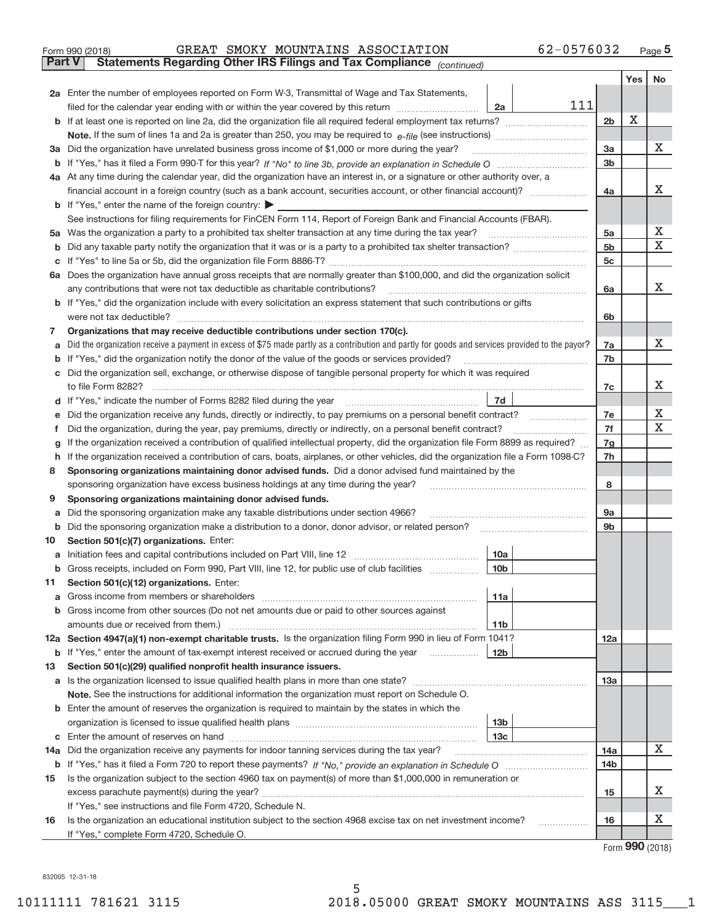| Form 990 (2018) |  |  | GREAT SMOKY MOUNTAINS ASSOCIATION                                                              | 62-0576032 | Page 5 |
|-----------------|--|--|------------------------------------------------------------------------------------------------|------------|--------|
|                 |  |  | <b>Part V</b> Statements Regarding Other IRS Filings and Tax Compliance <sub>(continued)</sub> |            |        |

|     |                                                                                                                                                                                             |     |                 | Yes | No |
|-----|---------------------------------------------------------------------------------------------------------------------------------------------------------------------------------------------|-----|-----------------|-----|----|
|     | 2a Enter the number of employees reported on Form W-3, Transmittal of Wage and Tax Statements,                                                                                              |     |                 |     |    |
|     | 2a<br>filed for the calendar year ending with or within the year covered by this return                                                                                                     | 111 |                 |     |    |
|     |                                                                                                                                                                                             |     | 2 <sub>b</sub>  | х   |    |
|     |                                                                                                                                                                                             |     |                 |     |    |
|     | 3a Did the organization have unrelated business gross income of \$1,000 or more during the year?                                                                                            |     | За              |     | x  |
|     |                                                                                                                                                                                             |     | 3b              |     |    |
|     | 4a At any time during the calendar year, did the organization have an interest in, or a signature or other authority over, a                                                                |     |                 |     |    |
|     |                                                                                                                                                                                             |     | 4a              |     | х  |
|     | <b>b</b> If "Yes," enter the name of the foreign country: $\blacktriangleright$                                                                                                             |     |                 |     |    |
|     | See instructions for filing requirements for FinCEN Form 114, Report of Foreign Bank and Financial Accounts (FBAR).                                                                         |     |                 |     |    |
|     | 5a Was the organization a party to a prohibited tax shelter transaction at any time during the tax year?                                                                                    |     | 5a              |     | х  |
|     |                                                                                                                                                                                             |     | 5 <sub>b</sub>  |     | X  |
|     |                                                                                                                                                                                             |     | 5c              |     |    |
|     | 6a Does the organization have annual gross receipts that are normally greater than \$100,000, and did the organization solicit                                                              |     |                 |     | х  |
|     | any contributions that were not tax deductible as charitable contributions?                                                                                                                 |     | 6a              |     |    |
|     | b If "Yes," did the organization include with every solicitation an express statement that such contributions or gifts                                                                      |     |                 |     |    |
|     | were not tax deductible?<br>Organizations that may receive deductible contributions under section 170(c).                                                                                   |     | 6b              |     |    |
| 7   | Did the organization receive a payment in excess of \$75 made partly as a contribution and partly for goods and services provided to the payor?                                             |     | 7a              |     | x  |
| а   | <b>b</b> If "Yes," did the organization notify the donor of the value of the goods or services provided?                                                                                    |     | 7b              |     |    |
|     | c Did the organization sell, exchange, or otherwise dispose of tangible personal property for which it was required                                                                         |     |                 |     |    |
|     | to file Form 8282?                                                                                                                                                                          |     | 7c              |     | х  |
|     | 7d                                                                                                                                                                                          |     |                 |     |    |
| е   | Did the organization receive any funds, directly or indirectly, to pay premiums on a personal benefit contract?                                                                             |     | 7e              |     | х  |
| Ť.  | Did the organization, during the year, pay premiums, directly or indirectly, on a personal benefit contract?                                                                                |     | 7f              |     | X  |
| g   | If the organization received a contribution of qualified intellectual property, did the organization file Form 8899 as required?                                                            |     | 7g              |     |    |
|     | h If the organization received a contribution of cars, boats, airplanes, or other vehicles, did the organization file a Form 1098-C?                                                        |     | 7h              |     |    |
| 8   | Sponsoring organizations maintaining donor advised funds. Did a donor advised fund maintained by the                                                                                        |     |                 |     |    |
|     | sponsoring organization have excess business holdings at any time during the year?                                                                                                          |     | 8               |     |    |
| 9   | Sponsoring organizations maintaining donor advised funds.                                                                                                                                   |     |                 |     |    |
| а   | Did the sponsoring organization make any taxable distributions under section 4966?                                                                                                          |     | 9а              |     |    |
|     | <b>b</b> Did the sponsoring organization make a distribution to a donor, donor advisor, or related person?                                                                                  |     | 9b              |     |    |
| 10  | Section 501(c)(7) organizations. Enter:                                                                                                                                                     |     |                 |     |    |
| a   | 10a                                                                                                                                                                                         |     |                 |     |    |
|     | 10 <sub>b</sub><br>Gross receipts, included on Form 990, Part VIII, line 12, for public use of club facilities                                                                              |     |                 |     |    |
| 11  | Section 501(c)(12) organizations. Enter:                                                                                                                                                    |     |                 |     |    |
|     | 11a                                                                                                                                                                                         |     |                 |     |    |
|     | <b>b</b> Gross income from other sources (Do not net amounts due or paid to other sources against                                                                                           |     |                 |     |    |
|     | amounts due or received from them.)<br>11 <sub>b</sub>                                                                                                                                      |     |                 |     |    |
|     | 12a Section 4947(a)(1) non-exempt charitable trusts. Is the organization filing Form 990 in lieu of Form 1041?                                                                              |     | 12a             |     |    |
|     | 12 <sub>b</sub><br><b>b</b> If "Yes," enter the amount of tax-exempt interest received or accrued during the year                                                                           |     |                 |     |    |
| 13  | Section 501(c)(29) qualified nonprofit health insurance issuers.                                                                                                                            |     |                 |     |    |
|     | a Is the organization licensed to issue qualified health plans in more than one state?<br>Note. See the instructions for additional information the organization must report on Schedule O. |     | 13a             |     |    |
|     | <b>b</b> Enter the amount of reserves the organization is required to maintain by the states in which the                                                                                   |     |                 |     |    |
|     | 13b                                                                                                                                                                                         |     |                 |     |    |
|     | 13с                                                                                                                                                                                         |     |                 |     |    |
| 14a | Did the organization receive any payments for indoor tanning services during the tax year?                                                                                                  |     | 14a             |     | х  |
|     |                                                                                                                                                                                             |     | 14 <sub>b</sub> |     |    |
| 15  | Is the organization subject to the section 4960 tax on payment(s) of more than \$1,000,000 in remuneration or                                                                               |     |                 |     |    |
|     |                                                                                                                                                                                             |     | 15              |     | x  |
|     | If "Yes," see instructions and file Form 4720, Schedule N.                                                                                                                                  |     |                 |     |    |
| 16  | Is the organization an educational institution subject to the section 4968 excise tax on net investment income?<br>.                                                                        |     | 16              |     | х  |
|     | If "Yes," complete Form 4720, Schedule O.                                                                                                                                                   |     |                 |     |    |

Form (2018) **990**

832005 12‐31‐18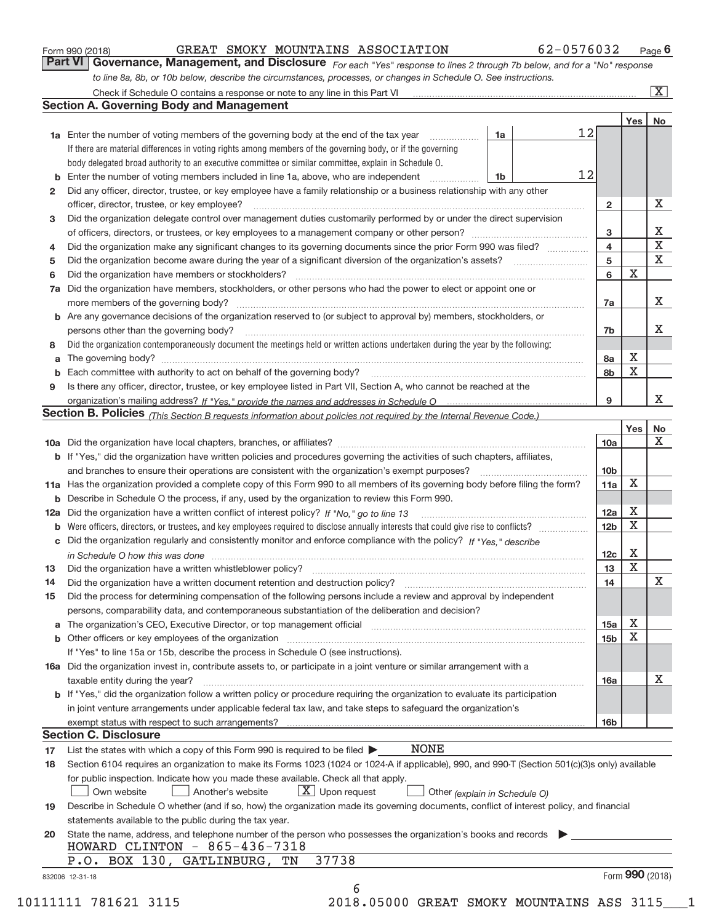|  | Form 990 (2018) |  |
|--|-----------------|--|
|  |                 |  |

#### Form 990 (2018) GREAT SMOKY MOUNTAINS ASSOCIATION 62-0576032 Page GREAT SMOKY MOUNTAINS ASSOCIATION 62-0576032

*For each "Yes" response to lines 2 through 7b below, and for a "No" response to line 8a, 8b, or 10b below, describe the circumstances, processes, or changes in Schedule O. See instructions.* **Part VI Governance, Management, and Disclosure** 

|     |                                                                                                                                                                                                                                |                         | <b>Yes</b>  | No                      |
|-----|--------------------------------------------------------------------------------------------------------------------------------------------------------------------------------------------------------------------------------|-------------------------|-------------|-------------------------|
|     | 12<br>1a<br><b>1a</b> Enter the number of voting members of the governing body at the end of the tax year<br>.                                                                                                                 |                         |             |                         |
|     | If there are material differences in voting rights among members of the governing body, or if the governing                                                                                                                    |                         |             |                         |
|     | body delegated broad authority to an executive committee or similar committee, explain in Schedule O.                                                                                                                          |                         |             |                         |
|     | 12<br><b>b</b> Enter the number of voting members included in line 1a, above, who are independent <i>manumum</i><br>1b                                                                                                         |                         |             |                         |
| 2   | Did any officer, director, trustee, or key employee have a family relationship or a business relationship with any other                                                                                                       |                         |             |                         |
|     | officer, director, trustee, or key employee?                                                                                                                                                                                   | $\overline{2}$          |             | X                       |
| 3   | Did the organization delegate control over management duties customarily performed by or under the direct supervision                                                                                                          |                         |             |                         |
|     |                                                                                                                                                                                                                                | 3                       |             | х                       |
| 4   | Did the organization make any significant changes to its governing documents since the prior Form 990 was filed?                                                                                                               | $\overline{\mathbf{4}}$ |             | $\overline{\text{x}}$   |
| 5   |                                                                                                                                                                                                                                | 5                       |             | $\overline{\textbf{x}}$ |
| 6   | Did the organization have members or stockholders?                                                                                                                                                                             | 6                       | X           |                         |
| 7a  | Did the organization have members, stockholders, or other persons who had the power to elect or appoint one or                                                                                                                 |                         |             |                         |
|     |                                                                                                                                                                                                                                | 7a                      |             | х                       |
|     | <b>b</b> Are any governance decisions of the organization reserved to (or subject to approval by) members, stockholders, or                                                                                                    |                         |             |                         |
|     | persons other than the governing body?                                                                                                                                                                                         | 7b                      |             | x                       |
|     | Did the organization contemporaneously document the meetings held or written actions undertaken during the year by the following:                                                                                              |                         |             |                         |
| 8   |                                                                                                                                                                                                                                |                         | X           |                         |
| a   |                                                                                                                                                                                                                                | 8a                      | $\mathbf X$ |                         |
|     | Each committee with authority to act on behalf of the governing body? [11] manufacture manufacture with authority to act on behalf of the governing body? [11] manufacture with authority of the state with an interval and th | 8b                      |             |                         |
| 9   | Is there any officer, director, trustee, or key employee listed in Part VII, Section A, who cannot be reached at the                                                                                                           | 9                       |             | x                       |
|     |                                                                                                                                                                                                                                |                         |             |                         |
|     | Section B. Policies (This Section B requests information about policies not required by the Internal Revenue Code.)                                                                                                            |                         |             |                         |
|     |                                                                                                                                                                                                                                |                         | Yes         | No<br>$\mathbf X$       |
|     |                                                                                                                                                                                                                                | 10a                     |             |                         |
|     | b If "Yes," did the organization have written policies and procedures governing the activities of such chapters, affiliates,                                                                                                   |                         |             |                         |
|     |                                                                                                                                                                                                                                | 10 <sub>b</sub>         |             |                         |
|     | 11a Has the organization provided a complete copy of this Form 990 to all members of its governing body before filing the form?                                                                                                | 11a                     | X           |                         |
|     | <b>b</b> Describe in Schedule O the process, if any, used by the organization to review this Form 990.                                                                                                                         |                         |             |                         |
| 12a |                                                                                                                                                                                                                                | 12a                     | Х           |                         |
| b   |                                                                                                                                                                                                                                | 12 <sub>b</sub>         | $\mathbf X$ |                         |
|     | c Did the organization regularly and consistently monitor and enforce compliance with the policy? If "Yes." describe                                                                                                           |                         |             |                         |
|     | in Schedule O how this was done encourance and the control of the state of the state of the state of the state o                                                                                                               | 12c                     | X           |                         |
| 13  |                                                                                                                                                                                                                                | 13                      | X           |                         |
| 14  | Did the organization have a written document retention and destruction policy? manufactured and the organization have a written document retention and destruction policy?                                                     | 14                      |             | Χ                       |
| 15  | Did the process for determining compensation of the following persons include a review and approval by independent                                                                                                             |                         |             |                         |
|     | persons, comparability data, and contemporaneous substantiation of the deliberation and decision?                                                                                                                              |                         |             |                         |
|     |                                                                                                                                                                                                                                | 15a                     | х           |                         |
|     | <b>b</b> Other officers or key employees of the organization                                                                                                                                                                   | 15 <sub>b</sub>         | $\mathbf X$ |                         |
|     | If "Yes" to line 15a or 15b, describe the process in Schedule O (see instructions).                                                                                                                                            |                         |             |                         |
|     | 16a Did the organization invest in, contribute assets to, or participate in a joint venture or similar arrangement with a                                                                                                      |                         |             |                         |
|     | taxable entity during the year?                                                                                                                                                                                                | 16a                     |             | X                       |
|     | <b>b</b> If "Yes," did the organization follow a written policy or procedure requiring the organization to evaluate its participation                                                                                          |                         |             |                         |
|     | in joint venture arrangements under applicable federal tax law, and take steps to safeguard the organization's                                                                                                                 |                         |             |                         |
|     |                                                                                                                                                                                                                                | 16b                     |             |                         |
|     | <b>Section C. Disclosure</b>                                                                                                                                                                                                   |                         |             |                         |
| 17  | NONE<br>List the states with which a copy of this Form 990 is required to be filed $\blacktriangleright$                                                                                                                       |                         |             |                         |
| 18  | Section 6104 requires an organization to make its Forms 1023 (1024 or 1024-A if applicable), 990, and 990-T (Section 501(c)(3)s only) available                                                                                |                         |             |                         |
|     | for public inspection. Indicate how you made these available. Check all that apply.                                                                                                                                            |                         |             |                         |
|     | $X$ Upon request<br>Own website<br>Another's website<br>Other (explain in Schedule O)                                                                                                                                          |                         |             |                         |
| 19  | Describe in Schedule O whether (and if so, how) the organization made its governing documents, conflict of interest policy, and financial                                                                                      |                         |             |                         |
|     | statements available to the public during the tax year.                                                                                                                                                                        |                         |             |                         |
| 20  | State the name, address, and telephone number of the person who possesses the organization's books and records                                                                                                                 |                         |             |                         |
|     | HOWARD CLINTON - $865-436-7318$                                                                                                                                                                                                |                         |             |                         |
|     | 37738<br>P.O. BOX 130, GATLINBURG, TN                                                                                                                                                                                          |                         |             |                         |
|     |                                                                                                                                                                                                                                |                         |             |                         |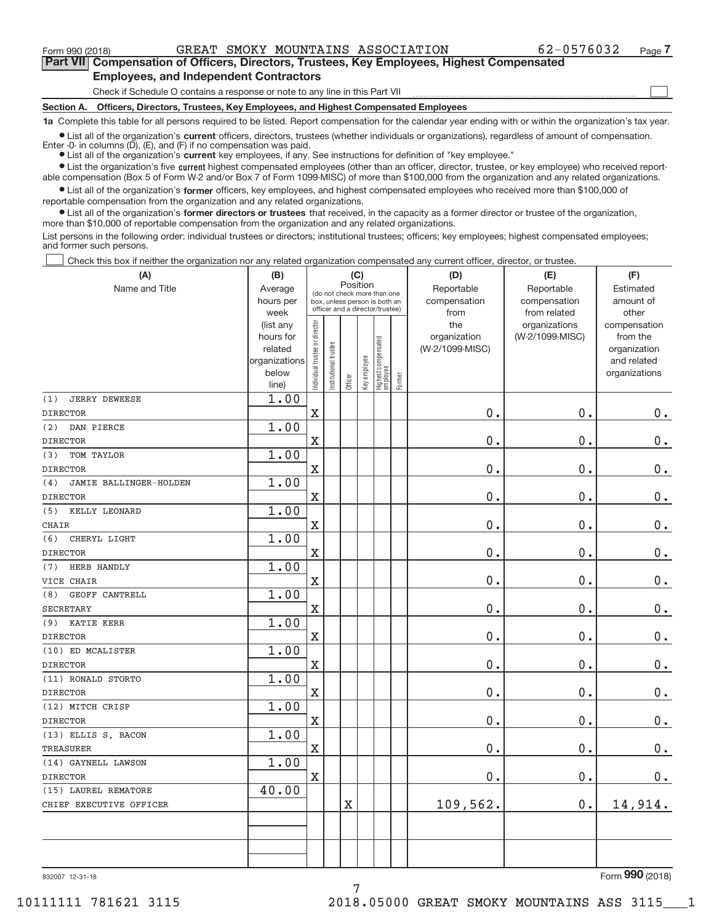$\begin{array}{c} \hline \end{array}$ 

**Part VII Compensation of Officers, Directors, Trustees, Key Employees, Highest Compensated Employees, and Independent Contractors**

Check if Schedule O contains a response or note to any line in this Part VII

**Section A. Officers, Directors, Trustees, Key Employees, and Highest Compensated Employees**

**1a**  Complete this table for all persons required to be listed. Report compensation for the calendar year ending with or within the organization's tax year.

**•** List all of the organization's current officers, directors, trustees (whether individuals or organizations), regardless of amount of compensation. Enter  $-0$ - in columns  $(D)$ ,  $(E)$ , and  $(F)$  if no compensation was paid.

**•** List all of the organization's current key employees, if any. See instructions for definition of "key employee."

● List the organization's five current highest compensated employees (other than an officer, director, trustee, or key employee) who received reportable compensation (Box 5 of Form W‐2 and/or Box 7 of Form 1099‐MISC) of more than \$100,000 from the organization and any related organizations.

 $\bullet$  List all of the organization's former officers, key employees, and highest compensated employees who received more than \$100,000 of reportable compensation from the organization and any related organizations.

**•** List all of the organization's former directors or trustees that received, in the capacity as a former director or trustee of the organization, more than \$10,000 of reportable compensation from the organization and any related organizations.

List persons in the following order: individual trustees or directors; institutional trustees; officers; key employees; highest compensated employees; and former such persons.

Check this box if neither the organization nor any related organization compensated any current officer, director, or trustee.  $\Box$ 

| (A)                           | (B)                      |                                |                                                                  | (C)                   |              |                                   |        | (D)             | (E)             | (F)                         |
|-------------------------------|--------------------------|--------------------------------|------------------------------------------------------------------|-----------------------|--------------|-----------------------------------|--------|-----------------|-----------------|-----------------------------|
| Name and Title                | Average                  |                                | (do not check more than one                                      | Position              |              |                                   |        | Reportable      | Reportable      | Estimated                   |
|                               | hours per                |                                | box, unless person is both an<br>officer and a director/trustee) |                       |              |                                   |        | compensation    | compensation    | amount of                   |
|                               | week                     |                                |                                                                  |                       |              |                                   |        | from            | from related    | other                       |
|                               | (list any                |                                |                                                                  |                       |              |                                   |        | the             | organizations   | compensation                |
|                               | hours for                |                                |                                                                  |                       |              |                                   |        | organization    | (W-2/1099-MISC) | from the                    |
|                               | related<br>organizations |                                |                                                                  |                       |              |                                   |        | (W-2/1099-MISC) |                 | organization<br>and related |
|                               | below                    |                                |                                                                  |                       |              |                                   |        |                 |                 | organizations               |
|                               | line)                    | Individual trustee or director | Institutional trustee                                            | Officer               | Key employee | Highest compensated<br>  employee | Former |                 |                 |                             |
| (1)<br><b>JERRY DEWEESE</b>   | 1.00                     |                                |                                                                  |                       |              |                                   |        |                 |                 |                             |
| <b>DIRECTOR</b>               |                          | $\overline{\text{X}}$          |                                                                  |                       |              |                                   |        | 0.              | 0.              | 0.                          |
| (2)<br>DAN PIERCE             | 1.00                     |                                |                                                                  |                       |              |                                   |        |                 |                 |                             |
| <b>DIRECTOR</b>               |                          | $\overline{\text{X}}$          |                                                                  |                       |              |                                   |        | 0.              | 0.              | $0$ .                       |
| TOM TAYLOR<br>(3)             | 1.00                     |                                |                                                                  |                       |              |                                   |        |                 |                 |                             |
| <b>DIRECTOR</b>               |                          | $\mathbf X$                    |                                                                  |                       |              |                                   |        | 0.              | 0.              | $\mathbf 0$ .               |
| (4)<br>JAMIE BALLINGER-HOLDEN | 1.00                     |                                |                                                                  |                       |              |                                   |        |                 |                 |                             |
| <b>DIRECTOR</b>               |                          | X                              |                                                                  |                       |              |                                   |        | 0.              | 0.              | $0 \cdot$                   |
| KELLY LEONARD<br>(5)          | 1.00                     |                                |                                                                  |                       |              |                                   |        |                 |                 |                             |
| <b>CHAIR</b>                  |                          | $\rm X$                        |                                                                  |                       |              |                                   |        | $0$ .           | 0.              | $0$ .                       |
| CHERYL LIGHT<br>(6)           | 1.00                     |                                |                                                                  |                       |              |                                   |        |                 |                 |                             |
| <b>DIRECTOR</b>               |                          | $\mathbf X$                    |                                                                  |                       |              |                                   |        | $0$ .           | 0.              | $0$ .                       |
| HERB HANDLY<br>(7)            | 1.00                     |                                |                                                                  |                       |              |                                   |        |                 |                 |                             |
| VICE CHAIR                    |                          | $\mathbf x$                    |                                                                  |                       |              |                                   |        | 0.              | 0.              | $0$ .                       |
| GEOFF CANTRELL<br>(8)         | 1.00                     |                                |                                                                  |                       |              |                                   |        |                 |                 |                             |
| <b>SECRETARY</b>              |                          | X                              |                                                                  |                       |              |                                   |        | 0.              | 0.              | $0 \cdot$                   |
| <b>KATIE KERR</b><br>(9)      | 1.00                     |                                |                                                                  |                       |              |                                   |        |                 |                 |                             |
| <b>DIRECTOR</b>               |                          | $\mathbf X$                    |                                                                  |                       |              |                                   |        | 0.              | 0.              | $0$ .                       |
| (10) ED MCALISTER             | 1.00                     |                                |                                                                  |                       |              |                                   |        |                 |                 |                             |
| <b>DIRECTOR</b>               |                          | $\mathbf X$                    |                                                                  |                       |              |                                   |        | 0.              | 0.              | $\mathbf 0$ .               |
| (11) RONALD STORTO            | 1.00                     |                                |                                                                  |                       |              |                                   |        |                 |                 |                             |
| <b>DIRECTOR</b>               |                          | $\rm X$                        |                                                                  |                       |              |                                   |        | 0.              | 0.              | $0$ .                       |
| (12) MITCH CRISP              | 1.00                     |                                |                                                                  |                       |              |                                   |        |                 |                 |                             |
| <b>DIRECTOR</b>               |                          | $\rm X$                        |                                                                  |                       |              |                                   |        | 0.              | 0.              | $\mathbf 0$ .               |
| (13) ELLIS S. BACON           | 1.00                     |                                |                                                                  |                       |              |                                   |        |                 |                 |                             |
| <b>TREASURER</b>              |                          | $\rm X$                        |                                                                  |                       |              |                                   |        | 0.              | 0.              | $\mathbf 0$ .               |
| (14) GAYNELL LAWSON           | 1.00                     |                                |                                                                  |                       |              |                                   |        |                 |                 |                             |
| <b>DIRECTOR</b>               |                          | $\mathbf X$                    |                                                                  |                       |              |                                   |        | 0.              | $0$ .           | $\mathbf 0$ .               |
| (15) LAUREL REMATORE          | 40.00                    |                                |                                                                  |                       |              |                                   |        |                 |                 |                             |
| CHIEF EXECUTIVE OFFICER       |                          |                                |                                                                  | $\overline{\text{X}}$ |              |                                   |        | 109,562.        | 0.              | 14,914.                     |
|                               |                          |                                |                                                                  |                       |              |                                   |        |                 |                 |                             |
|                               |                          |                                |                                                                  |                       |              |                                   |        |                 |                 |                             |
|                               |                          |                                |                                                                  |                       |              |                                   |        |                 |                 |                             |
|                               |                          |                                |                                                                  |                       |              |                                   |        |                 |                 |                             |

7

832007 12‐31‐18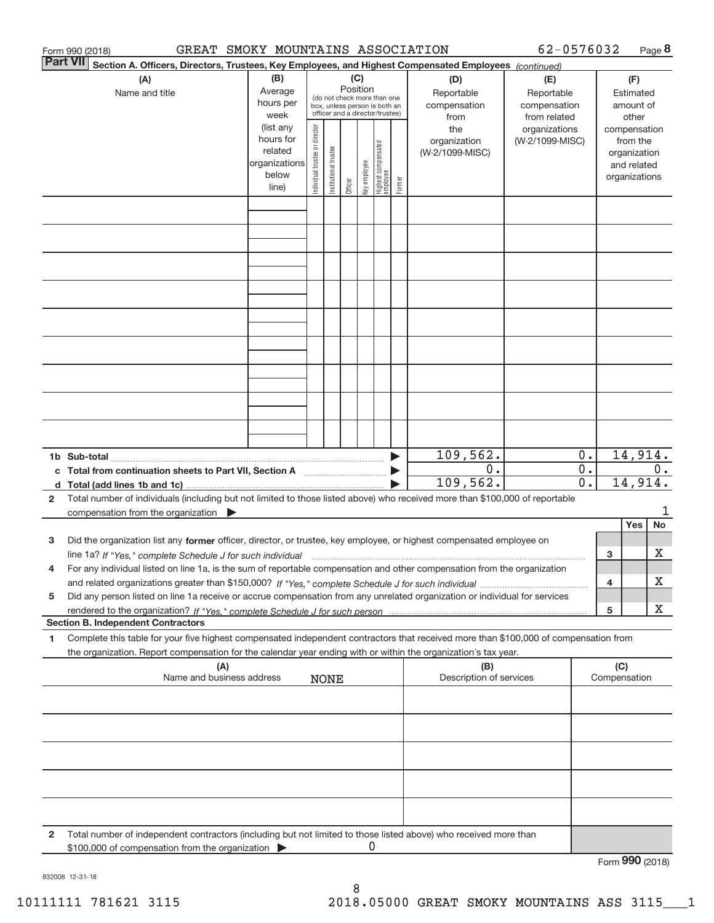|                 | GREAT SMOKY MOUNTAINS ASSOCIATION<br>Form 990 (2018)                                                                                                                                                                                                                        |                                                                      |                                |                       |                                                                                                                    |              |                                   |        |                                           | 62-0576032                                        |                                      |                     |                                                                          | Page 8  |
|-----------------|-----------------------------------------------------------------------------------------------------------------------------------------------------------------------------------------------------------------------------------------------------------------------------|----------------------------------------------------------------------|--------------------------------|-----------------------|--------------------------------------------------------------------------------------------------------------------|--------------|-----------------------------------|--------|-------------------------------------------|---------------------------------------------------|--------------------------------------|---------------------|--------------------------------------------------------------------------|---------|
| <b>Part VII</b> | Section A. Officers, Directors, Trustees, Key Employees, and Highest Compensated Employees (continued)                                                                                                                                                                      |                                                                      |                                |                       |                                                                                                                    |              |                                   |        |                                           |                                                   |                                      |                     |                                                                          |         |
|                 | (A)<br>Name and title                                                                                                                                                                                                                                                       | (B)<br>Average<br>hours per<br>week                                  |                                |                       | (C)<br>Position<br>(do not check more than one<br>box, unless person is both an<br>officer and a director/trustee) |              |                                   |        | (D)<br>Reportable<br>compensation<br>from | (E)<br>Reportable<br>compensation<br>from related |                                      |                     | (F)<br>Estimated<br>amount of<br>other                                   |         |
|                 |                                                                                                                                                                                                                                                                             | (list any<br>hours for<br>related<br>organizations<br>below<br>line) | Individual trustee or director | Institutional trustee | Officer                                                                                                            | Key employee | Highest compensated<br>  employee | Former | the<br>organization<br>(W-2/1099-MISC)    | organizations<br>(W-2/1099-MISC)                  |                                      |                     | compensation<br>from the<br>organization<br>and related<br>organizations |         |
|                 |                                                                                                                                                                                                                                                                             |                                                                      |                                |                       |                                                                                                                    |              |                                   |        |                                           |                                                   |                                      |                     |                                                                          |         |
|                 |                                                                                                                                                                                                                                                                             |                                                                      |                                |                       |                                                                                                                    |              |                                   |        |                                           |                                                   |                                      |                     |                                                                          |         |
|                 |                                                                                                                                                                                                                                                                             |                                                                      |                                |                       |                                                                                                                    |              |                                   |        |                                           |                                                   |                                      |                     |                                                                          |         |
|                 |                                                                                                                                                                                                                                                                             |                                                                      |                                |                       |                                                                                                                    |              |                                   |        |                                           |                                                   |                                      |                     |                                                                          |         |
|                 |                                                                                                                                                                                                                                                                             |                                                                      |                                |                       |                                                                                                                    |              |                                   |        |                                           |                                                   |                                      |                     |                                                                          |         |
|                 |                                                                                                                                                                                                                                                                             |                                                                      |                                |                       |                                                                                                                    |              |                                   |        |                                           |                                                   |                                      |                     |                                                                          |         |
|                 |                                                                                                                                                                                                                                                                             |                                                                      |                                |                       |                                                                                                                    |              |                                   |        | 109, 562.                                 |                                                   | $0$ .                                |                     | 14,914.                                                                  |         |
| $\mathbf{2}$    | c Total from continuation sheets to Part VII, Section A manufactured and response to Total from extension<br>Total number of individuals (including but not limited to those listed above) who received more than \$100,000 of reportable                                   |                                                                      |                                |                       |                                                                                                                    |              |                                   |        | 0.<br>109,562.                            |                                                   | $\overline{0}$ .<br>$\overline{0}$ . |                     | 14,914.                                                                  | 0.      |
|                 | $common$ from the organization $\triangleright$                                                                                                                                                                                                                             |                                                                      |                                |                       |                                                                                                                    |              |                                   |        |                                           |                                                   |                                      |                     |                                                                          | 1       |
| 3               | Did the organization list any former officer, director, or trustee, key employee, or highest compensated employee on                                                                                                                                                        |                                                                      |                                |                       |                                                                                                                    |              |                                   |        |                                           |                                                   |                                      | 3                   | Yes                                                                      | No<br>х |
| 4               | line 1a? If "Yes," complete Schedule J for such individual manufactured contained and the 1a? If "Yes," complete Schedule J for such individual<br>For any individual listed on line 1a, is the sum of reportable compensation and other compensation from the organization |                                                                      |                                |                       |                                                                                                                    |              |                                   |        |                                           |                                                   |                                      | 4                   |                                                                          | х       |
| 5               | Did any person listed on line 1a receive or accrue compensation from any unrelated organization or individual for services<br><b>Section B. Independent Contractors</b>                                                                                                     |                                                                      |                                |                       |                                                                                                                    |              |                                   |        |                                           |                                                   |                                      | 5                   |                                                                          | x       |
| 1               | Complete this table for your five highest compensated independent contractors that received more than \$100,000 of compensation from<br>the organization. Report compensation for the calendar year ending with or within the organization's tax year.                      |                                                                      |                                |                       |                                                                                                                    |              |                                   |        |                                           |                                                   |                                      |                     |                                                                          |         |
|                 | (A)<br>Name and business address                                                                                                                                                                                                                                            |                                                                      |                                | <b>NONE</b>           |                                                                                                                    |              |                                   |        | (B)<br>Description of services            |                                                   |                                      | (C)<br>Compensation |                                                                          |         |
|                 |                                                                                                                                                                                                                                                                             |                                                                      |                                |                       |                                                                                                                    |              |                                   |        |                                           |                                                   |                                      |                     |                                                                          |         |
|                 |                                                                                                                                                                                                                                                                             |                                                                      |                                |                       |                                                                                                                    |              |                                   |        |                                           |                                                   |                                      |                     |                                                                          |         |
|                 |                                                                                                                                                                                                                                                                             |                                                                      |                                |                       |                                                                                                                    |              |                                   |        |                                           |                                                   |                                      |                     |                                                                          |         |
| 2               | Total number of independent contractors (including but not limited to those listed above) who received more than<br>\$100,000 of compensation from the organization                                                                                                         |                                                                      |                                |                       |                                                                                                                    |              |                                   |        |                                           |                                                   |                                      |                     |                                                                          |         |
|                 |                                                                                                                                                                                                                                                                             |                                                                      |                                |                       |                                                                                                                    |              |                                   |        |                                           |                                                   |                                      | Form 990 (2018)     |                                                                          |         |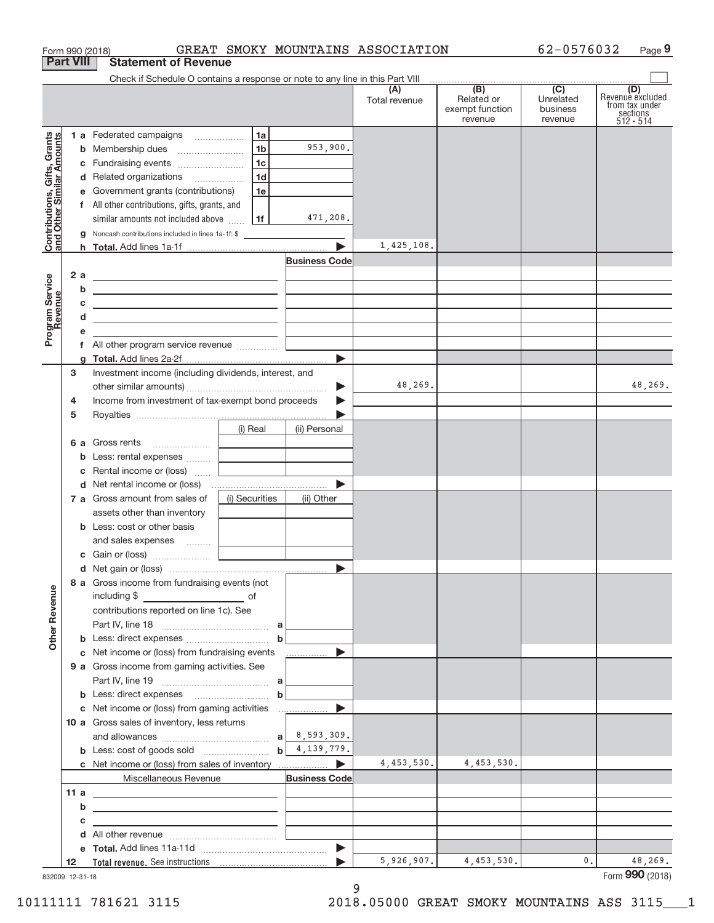| Form 990 (2018)                                           | GREAT SMOKY MOUNTAINS ASSOCIATION                                                                                                                                                                                                    |                      |                                                     | 62-0576032                       | Page 9                                                                             |
|-----------------------------------------------------------|--------------------------------------------------------------------------------------------------------------------------------------------------------------------------------------------------------------------------------------|----------------------|-----------------------------------------------------|----------------------------------|------------------------------------------------------------------------------------|
| <b>Part VIII</b>                                          | <b>Statement of Revenue</b>                                                                                                                                                                                                          |                      |                                                     |                                  |                                                                                    |
|                                                           | Check if Schedule O contains a response or note to any line in this Part VIII                                                                                                                                                        |                      | $\overline{(\mathsf{B})}$ $\overline{(\mathsf{C})}$ |                                  |                                                                                    |
|                                                           |                                                                                                                                                                                                                                      | (A)<br>Total revenue | Related or<br>exempt function<br>revenue            | Unrelated<br>business<br>revenue | (D)<br>Revenue excluded<br>from tax under<br>$\frac{200}{3}$ sections<br>512 - 514 |
|                                                           | 1 a Federated campaigns<br>1a                                                                                                                                                                                                        |                      |                                                     |                                  |                                                                                    |
| Contributions, Gifts, Grants<br>and Other Similar Amounts | 953,900.<br>1 <sub>b</sub>                                                                                                                                                                                                           |                      |                                                     |                                  |                                                                                    |
|                                                           | 1 <sub>c</sub><br>c Fundraising events                                                                                                                                                                                               |                      |                                                     |                                  |                                                                                    |
|                                                           | 1d<br>d Related organizations                                                                                                                                                                                                        |                      |                                                     |                                  |                                                                                    |
|                                                           | e Government grants (contributions)<br>1e                                                                                                                                                                                            |                      |                                                     |                                  |                                                                                    |
|                                                           | f All other contributions, gifts, grants, and                                                                                                                                                                                        |                      |                                                     |                                  |                                                                                    |
|                                                           | 471,208.<br>  1f<br>similar amounts not included above                                                                                                                                                                               |                      |                                                     |                                  |                                                                                    |
|                                                           | Noncash contributions included in lines 1a-1f: \$                                                                                                                                                                                    |                      |                                                     |                                  |                                                                                    |
|                                                           |                                                                                                                                                                                                                                      | 1,425,108.           |                                                     |                                  |                                                                                    |
|                                                           | <b>Business Code</b>                                                                                                                                                                                                                 |                      |                                                     |                                  |                                                                                    |
| 2 a                                                       | <u> 1989 - Johann Harry Harry Harry Harry Harry Harry Harry Harry Harry Harry Harry Harry Harry Harry Harry Harry</u>                                                                                                                |                      |                                                     |                                  |                                                                                    |
| b                                                         | <u> 1989 - Johann John Stein, market fan it ferstjer fan it ferstjer fan it ferstjer fan it ferstjer fan it fers</u>                                                                                                                 |                      |                                                     |                                  |                                                                                    |
| С                                                         | <u> 1989 - Johann Barbara, martxa eta politikaria (h. 1905).</u>                                                                                                                                                                     |                      |                                                     |                                  |                                                                                    |
| d                                                         | the control of the control of the control of the control of the control of the control of                                                                                                                                            |                      |                                                     |                                  |                                                                                    |
| Program Service<br>Revenue                                |                                                                                                                                                                                                                                      |                      |                                                     |                                  |                                                                                    |
|                                                           |                                                                                                                                                                                                                                      |                      |                                                     |                                  |                                                                                    |
|                                                           |                                                                                                                                                                                                                                      |                      |                                                     |                                  |                                                                                    |
| з                                                         | Investment income (including dividends, interest, and                                                                                                                                                                                |                      |                                                     |                                  |                                                                                    |
|                                                           |                                                                                                                                                                                                                                      | 48,269.              |                                                     |                                  | 48,269.                                                                            |
| 4                                                         | Income from investment of tax-exempt bond proceeds                                                                                                                                                                                   |                      |                                                     |                                  |                                                                                    |
| 5                                                         |                                                                                                                                                                                                                                      |                      |                                                     |                                  |                                                                                    |
|                                                           | (i) Real<br>(ii) Personal                                                                                                                                                                                                            |                      |                                                     |                                  |                                                                                    |
|                                                           | 6 a Gross rents                                                                                                                                                                                                                      |                      |                                                     |                                  |                                                                                    |
|                                                           | b                                                                                                                                                                                                                                    |                      |                                                     |                                  |                                                                                    |
| С                                                         | Rental income or (loss)                                                                                                                                                                                                              |                      |                                                     |                                  |                                                                                    |
|                                                           |                                                                                                                                                                                                                                      |                      |                                                     |                                  |                                                                                    |
|                                                           | (i) Securities<br>7 a Gross amount from sales of<br>(ii) Other                                                                                                                                                                       |                      |                                                     |                                  |                                                                                    |
|                                                           | assets other than inventory                                                                                                                                                                                                          |                      |                                                     |                                  |                                                                                    |
|                                                           | <b>b</b> Less: cost or other basis                                                                                                                                                                                                   |                      |                                                     |                                  |                                                                                    |
|                                                           |                                                                                                                                                                                                                                      |                      |                                                     |                                  |                                                                                    |
|                                                           |                                                                                                                                                                                                                                      |                      |                                                     |                                  |                                                                                    |
|                                                           |                                                                                                                                                                                                                                      |                      |                                                     |                                  |                                                                                    |
| <b>Other Revenue</b>                                      | 8 a Gross income from fundraising events (not<br>including \$                                                                                                                                                                        |                      |                                                     |                                  |                                                                                    |
|                                                           | contributions reported on line 1c). See                                                                                                                                                                                              |                      |                                                     |                                  |                                                                                    |
|                                                           |                                                                                                                                                                                                                                      |                      |                                                     |                                  |                                                                                    |
|                                                           | $\mathbf b$                                                                                                                                                                                                                          |                      |                                                     |                                  |                                                                                    |
|                                                           | c Net income or (loss) from fundraising events<br>.                                                                                                                                                                                  |                      |                                                     |                                  |                                                                                    |
|                                                           | 9 a Gross income from gaming activities. See                                                                                                                                                                                         |                      |                                                     |                                  |                                                                                    |
|                                                           |                                                                                                                                                                                                                                      |                      |                                                     |                                  |                                                                                    |
|                                                           | $\mathbf b$                                                                                                                                                                                                                          |                      |                                                     |                                  |                                                                                    |
|                                                           |                                                                                                                                                                                                                                      |                      |                                                     |                                  |                                                                                    |
|                                                           | 10 a Gross sales of inventory, less returns                                                                                                                                                                                          |                      |                                                     |                                  |                                                                                    |
|                                                           |                                                                                                                                                                                                                                      |                      |                                                     |                                  |                                                                                    |
|                                                           | 4,139,779.<br>$\mathsf{b}$                                                                                                                                                                                                           |                      |                                                     |                                  |                                                                                    |
|                                                           |                                                                                                                                                                                                                                      | 4,453,530.           | 4,453,530.                                          |                                  |                                                                                    |
|                                                           | Miscellaneous Revenue<br><b>Business Code</b>                                                                                                                                                                                        |                      |                                                     |                                  |                                                                                    |
| 11a                                                       | <u>and the contract of the contract of the contract of the contract of the contract of the contract of the contract of the contract of the contract of the contract of the contract of the contract of the contract of the contr</u> |                      |                                                     |                                  |                                                                                    |
| b                                                         | the control of the control of the control of the control of the control of the control of                                                                                                                                            |                      |                                                     |                                  |                                                                                    |
| с                                                         | the control of the control of the control of the control of the control of the control of                                                                                                                                            |                      |                                                     |                                  |                                                                                    |
| d                                                         |                                                                                                                                                                                                                                      |                      |                                                     |                                  |                                                                                    |
|                                                           |                                                                                                                                                                                                                                      | 5,926,907.           | 4,453,530.                                          | 0.                               | 48,269.                                                                            |
| 12                                                        |                                                                                                                                                                                                                                      |                      |                                                     |                                  |                                                                                    |

832009 12‐31‐18

9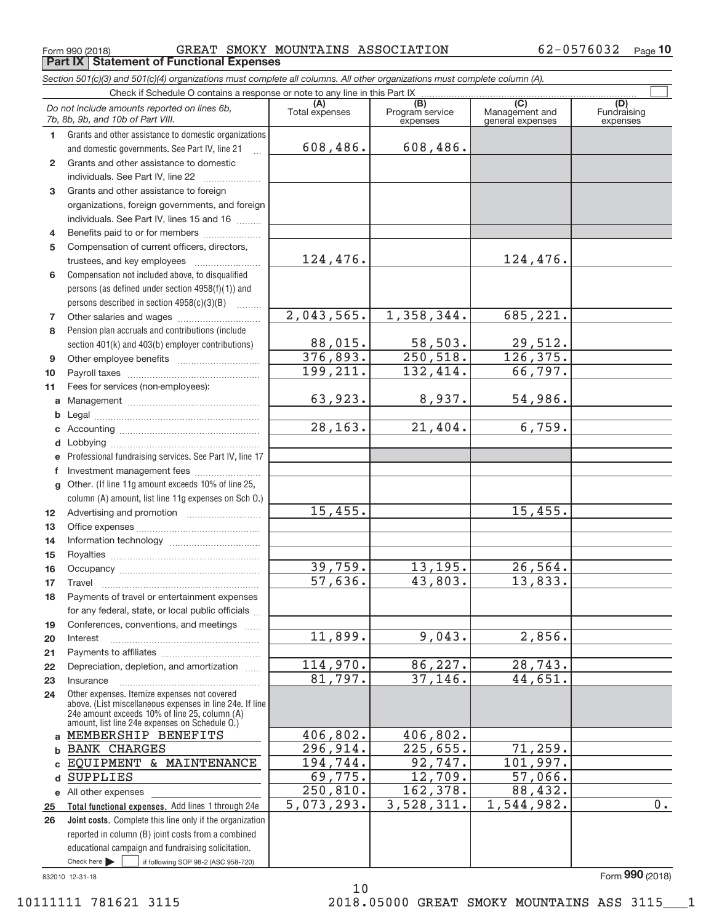Form 990 (2018) Page **Part IX Statement of Functional Expenses** GREAT SMOKY MOUNTAINS ASSOCIATION 62‐0576032

*Section 501(c)(3) and 501(c)(4) organizations must complete all columns. All other organizations must complete column (A).*

62-0576032 Page 10

|              | Do not include amounts reported on lines 6b,<br>7b, 8b, 9b, and 10b of Part VIII.                        | (A)<br>Total expenses | (B)<br>Program service<br>expenses | $\overline{(C)}$<br>Management and<br>general expenses | (D)<br>Fundraising<br>expenses |
|--------------|----------------------------------------------------------------------------------------------------------|-----------------------|------------------------------------|--------------------------------------------------------|--------------------------------|
| $\mathbf{1}$ | Grants and other assistance to domestic organizations                                                    |                       |                                    |                                                        |                                |
|              | and domestic governments. See Part IV, line 21                                                           | 608,486.              | 608,486.                           |                                                        |                                |
| $\mathbf{2}$ | Grants and other assistance to domestic                                                                  |                       |                                    |                                                        |                                |
|              | individuals. See Part IV, line 22                                                                        |                       |                                    |                                                        |                                |
| 3            | Grants and other assistance to foreign                                                                   |                       |                                    |                                                        |                                |
|              | organizations, foreign governments, and foreign                                                          |                       |                                    |                                                        |                                |
|              | individuals. See Part IV, lines 15 and 16                                                                |                       |                                    |                                                        |                                |
| 4            | Benefits paid to or for members                                                                          |                       |                                    |                                                        |                                |
| 5            | Compensation of current officers, directors,                                                             |                       |                                    |                                                        |                                |
|              |                                                                                                          | 124,476.              |                                    | 124,476.                                               |                                |
| 6            | Compensation not included above, to disqualified                                                         |                       |                                    |                                                        |                                |
|              | persons (as defined under section 4958(f)(1)) and                                                        |                       |                                    |                                                        |                                |
|              | persons described in section 4958(c)(3)(B)                                                               |                       |                                    |                                                        |                                |
| 7            |                                                                                                          | 2,043,565.            | 1,358,344.                         | 685,221.                                               |                                |
| 8            | Pension plan accruals and contributions (include                                                         |                       |                                    |                                                        |                                |
|              | section 401(k) and 403(b) employer contributions)                                                        | 88,015.               | 58,503.                            | 29,512.                                                |                                |
| 9            |                                                                                                          | 376,893.              | 250,518.                           | 126, 375.                                              |                                |
| 10           |                                                                                                          | 199,211.              | 132,414.                           | 66,797.                                                |                                |
| 11           | Fees for services (non-employees):                                                                       |                       |                                    |                                                        |                                |
|              |                                                                                                          | 63,923.               | 8,937.                             | 54,986.                                                |                                |
| b            |                                                                                                          |                       |                                    |                                                        |                                |
| c            |                                                                                                          | 28, 163.              | 21,404.                            | 6,759.                                                 |                                |
| d            |                                                                                                          |                       |                                    |                                                        |                                |
| е            | Professional fundraising services. See Part IV, line 17                                                  |                       |                                    |                                                        |                                |
| f            | Investment management fees                                                                               |                       |                                    |                                                        |                                |
| g            | Other. (If line 11g amount exceeds 10% of line 25,                                                       |                       |                                    |                                                        |                                |
|              | column (A) amount, list line 11g expenses on Sch O.)                                                     |                       |                                    |                                                        |                                |
| 12           |                                                                                                          | 15,455.               |                                    | 15,455.                                                |                                |
| 13           |                                                                                                          |                       |                                    |                                                        |                                |
| 14           |                                                                                                          |                       |                                    |                                                        |                                |
| 15           |                                                                                                          |                       |                                    |                                                        |                                |
| 16           |                                                                                                          | 39,759.               | 13, 195.                           | 26, 564.                                               |                                |
| 17           | Travel                                                                                                   | 57,636.               | 43,803.                            | 13,833.                                                |                                |
| 18           | Payments of travel or entertainment expenses                                                             |                       |                                    |                                                        |                                |
|              | for any federal, state, or local public officials                                                        |                       |                                    |                                                        |                                |
| 19           | Conferences, conventions, and meetings                                                                   |                       |                                    |                                                        |                                |
| 20           | Interest                                                                                                 | 11,899.               | 9,043.                             | 2,856.                                                 |                                |
| 21           |                                                                                                          |                       |                                    |                                                        |                                |
| 22           | Depreciation, depletion, and amortization                                                                | 114,970.              | 86,227.                            | 28,743.                                                |                                |
| 23           | Insurance                                                                                                | 81,797.               | 37,146.                            | 44,651.                                                |                                |
| 24           | Other expenses. Itemize expenses not covered<br>above. (List miscellaneous expenses in line 24e. If line |                       |                                    |                                                        |                                |
|              | 24e amount exceeds 10% of line 25, column (A)                                                            |                       |                                    |                                                        |                                |
|              | amount, list line 24e expenses on Schedule O.)                                                           |                       |                                    |                                                        |                                |
| a            | MEMBERSHIP BENEFITS                                                                                      | 406,802.              | 406,802.                           |                                                        |                                |
| b            | <b>BANK CHARGES</b>                                                                                      | 296,914.              | 225,655.                           | 71,259.                                                |                                |
| c            | EQUIPMENT & MAINTENANCE                                                                                  | 194,744.              | 92,747.                            | 101,997.                                               |                                |
| d            | <b>SUPPLIES</b>                                                                                          | 69,775.               | 12,709.                            | 57,066.                                                |                                |
|              | e All other expenses                                                                                     | 250,810.              | 162,378.                           | 88,432.                                                |                                |
| 25           | Total functional expenses. Add lines 1 through 24e                                                       | 5,073,293.            | 3,528,311.                         | 1,544,982.                                             | $0$ .                          |
| 26           | Joint costs. Complete this line only if the organization                                                 |                       |                                    |                                                        |                                |
|              | reported in column (B) joint costs from a combined                                                       |                       |                                    |                                                        |                                |
|              | educational campaign and fundraising solicitation.                                                       |                       |                                    |                                                        |                                |
|              | Check here $\blacktriangleright$<br>if following SOP 98-2 (ASC 958-720)                                  |                       |                                    |                                                        |                                |

832010 12‐31‐18

10 10111111 781621 3115 2018.05000 GREAT SMOKY MOUNTAINS ASS 3115\_\_\_1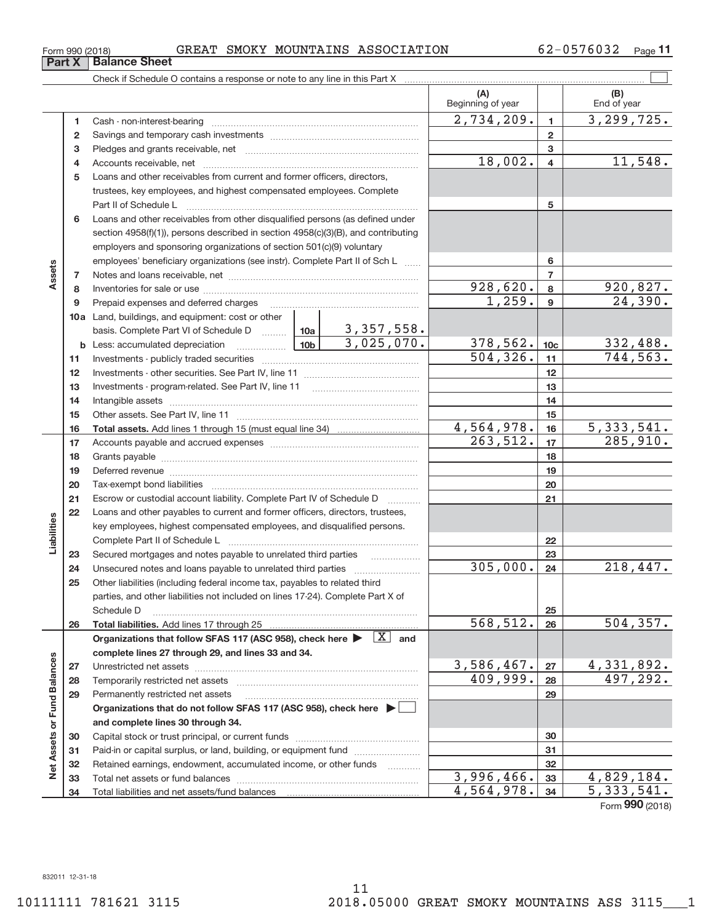**Part X Balance Sheet** 

#### $_{\rm Form}$   $_{990}$  (2018) GREAT SMOKY MOUNTAINS ASSOCIATION  $_{\rm 62-0576032}$   $_{\rm Page}$

62-0576032 Page 11

|                             |    |                                                                                                                            |                     | (A)<br>Beginning of year      |                 | (B)<br>End of year        |
|-----------------------------|----|----------------------------------------------------------------------------------------------------------------------------|---------------------|-------------------------------|-----------------|---------------------------|
|                             | 1  | Cash - non-interest-bearing                                                                                                |                     | $\overline{2,734,209}$ .      | $\mathbf{1}$    | $\overline{3,299},725.$   |
|                             | 2  |                                                                                                                            |                     |                               | $\overline{2}$  |                           |
|                             | з  |                                                                                                                            |                     |                               | 3               |                           |
|                             | 4  |                                                                                                                            |                     | 18,002.                       | $\overline{4}$  | 11,548.                   |
|                             | 5  | Loans and other receivables from current and former officers, directors,                                                   |                     |                               |                 |                           |
|                             |    | trustees, key employees, and highest compensated employees. Complete                                                       |                     |                               |                 |                           |
|                             |    | Part II of Schedule L                                                                                                      |                     |                               | 5               |                           |
|                             | 6  | Loans and other receivables from other disqualified persons (as defined under                                              |                     |                               |                 |                           |
|                             |    | section $4958(f)(1)$ , persons described in section $4958(c)(3)(B)$ , and contributing                                     |                     |                               |                 |                           |
|                             |    | employers and sponsoring organizations of section 501(c)(9) voluntary                                                      |                     |                               |                 |                           |
|                             |    | employees' beneficiary organizations (see instr). Complete Part II of Sch L                                                |                     | 6                             |                 |                           |
| Assets                      | 7  |                                                                                                                            |                     |                               | $\overline{7}$  |                           |
|                             | 8  |                                                                                                                            |                     | 928,620.                      | 8               | 920,827.                  |
|                             | 9  | Prepaid expenses and deferred charges                                                                                      |                     | 1,259.                        | 9               | 24,390.                   |
|                             |    |                                                                                                                            |                     |                               |                 |                           |
|                             |    | 10a Land, buildings, and equipment: cost or other<br>basis. Complete Part VI of Schedule D    10a   3, 357, 558.           |                     |                               |                 |                           |
|                             | b  | <u>  10b</u><br>Less: accumulated depreciation                                                                             | 3,025,070.          | 378, 562.                     | 10 <sub>c</sub> |                           |
|                             |    |                                                                                                                            |                     | $\overline{504, 326}$ .       | 11              | $\frac{332,488}{744,563}$ |
|                             | 11 |                                                                                                                            |                     | 12                            |                 |                           |
|                             | 12 | Investments - program-related. See Part IV, line 11                                                                        |                     |                               |                 |                           |
|                             | 13 |                                                                                                                            |                     | 13                            |                 |                           |
|                             | 14 |                                                                                                                            |                     | 14                            |                 |                           |
|                             | 15 |                                                                                                                            |                     |                               | 15              | 5,333,541.                |
|                             | 16 |                                                                                                                            |                     | $\frac{4,564,978.}{263,512.}$ | 16<br>17        | 285,910.                  |
|                             | 17 |                                                                                                                            |                     |                               |                 |                           |
|                             | 18 |                                                                                                                            |                     |                               | 18              |                           |
|                             | 19 |                                                                                                                            |                     | 19                            |                 |                           |
|                             | 20 |                                                                                                                            |                     |                               | 20              |                           |
|                             | 21 | Escrow or custodial account liability. Complete Part IV of Schedule D                                                      | .                   |                               | 21              |                           |
|                             | 22 | Loans and other payables to current and former officers, directors, trustees,                                              |                     |                               |                 |                           |
| Liabilities                 |    | key employees, highest compensated employees, and disqualified persons.                                                    |                     |                               |                 |                           |
|                             |    | Complete Part II of Schedule L                                                                                             |                     |                               | 22              |                           |
|                             | 23 | Secured mortgages and notes payable to unrelated third parties                                                             |                     | 305,000.                      | 23              | 218,447.                  |
|                             | 24 |                                                                                                                            |                     |                               | 24              |                           |
|                             | 25 | Other liabilities (including federal income tax, payables to related third                                                 |                     |                               |                 |                           |
|                             |    | parties, and other liabilities not included on lines 17-24). Complete Part X of<br>Schedule D                              |                     |                               |                 |                           |
|                             | 26 |                                                                                                                            |                     | 568,512.                      | 25<br>26        | 504, 357.                 |
|                             |    | Organizations that follow SFAS 117 (ASC 958), check here $\blacktriangleright \boxed{X}$ and                               |                     |                               |                 |                           |
|                             |    | complete lines 27 through 29, and lines 33 and 34.                                                                         |                     |                               |                 |                           |
|                             |    |                                                                                                                            |                     | 3,586,467.                    | 27              | 4,331,892.                |
|                             | 27 | Temporarily restricted net assets                                                                                          |                     | 409,999.                      | 28              | 497,292.                  |
|                             | 28 |                                                                                                                            |                     |                               | 29              |                           |
|                             | 29 | Permanently restricted net assets<br>Organizations that do not follow SFAS 117 (ASC 958), check here $\blacktriangleright$ |                     |                               |                 |                           |
|                             |    |                                                                                                                            |                     |                               |                 |                           |
|                             |    | and complete lines 30 through 34.                                                                                          |                     |                               |                 |                           |
| Net Assets or Fund Balances | 30 |                                                                                                                            |                     |                               | 30              |                           |
|                             | 31 | Paid-in or capital surplus, or land, building, or equipment fund                                                           |                     |                               | 31              |                           |
|                             | 32 | Retained earnings, endowment, accumulated income, or other funds                                                           | 1.1.1.1.1.1.1.1.1.1 | 3,996,466.                    | 32              | 4,829,184.                |
|                             | 33 |                                                                                                                            |                     | 4,564,978.                    | 33              | $\overline{5,333,541}$ .  |
|                             | 34 | Total liabilities and net assets/fund balances                                                                             |                     |                               | 34              | $000 \times 0.00$         |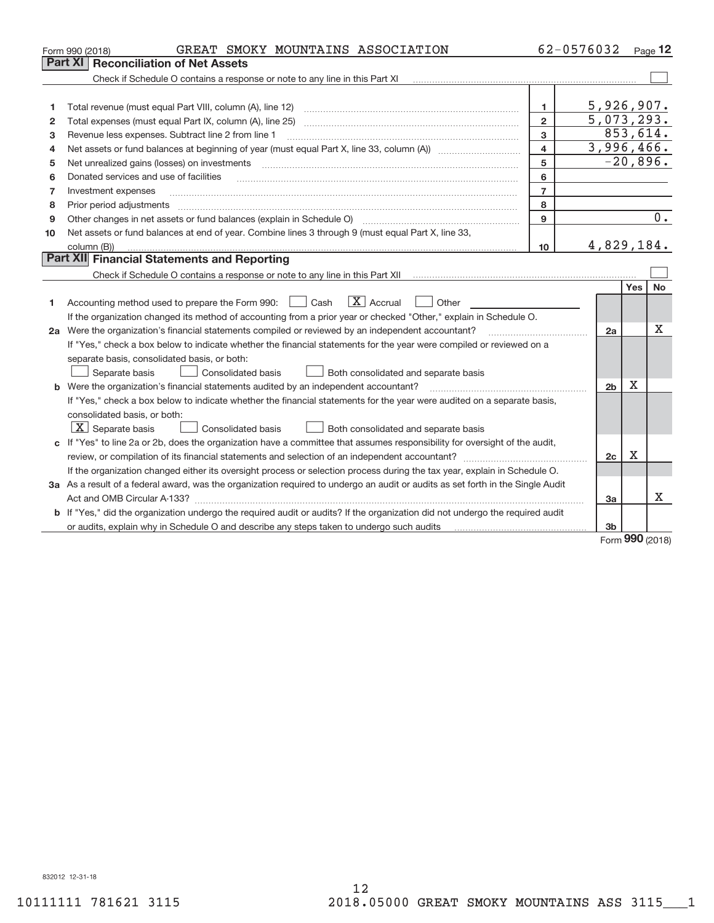|    | GREAT SMOKY MOUNTAINS ASSOCIATION<br>Form 990 (2018)                                                                            |                         | 62-0576032     |             | Page 12          |
|----|---------------------------------------------------------------------------------------------------------------------------------|-------------------------|----------------|-------------|------------------|
|    | Part XI<br><b>Reconciliation of Net Assets</b>                                                                                  |                         |                |             |                  |
|    | Check if Schedule O contains a response or note to any line in this Part XI                                                     |                         |                |             |                  |
|    |                                                                                                                                 |                         |                |             |                  |
| 1  |                                                                                                                                 | 1.                      | 5,926,907.     |             |                  |
| 2  |                                                                                                                                 | $\overline{2}$          | 5,073,293.     |             |                  |
| 3  | Revenue less expenses. Subtract line 2 from line 1                                                                              | 3                       | 853,614.       |             |                  |
| 4  |                                                                                                                                 | $\overline{\mathbf{4}}$ | 3,996,466.     |             |                  |
| 5  | Net unrealized gains (losses) on investments                                                                                    | 5                       |                | $-20,896.$  |                  |
| 6  | Donated services and use of facilities                                                                                          | 6                       |                |             |                  |
| 7  | Investment expenses                                                                                                             | $\overline{7}$          |                |             |                  |
| 8  | Prior period adjustments                                                                                                        | 8                       |                |             |                  |
| 9  | Other changes in net assets or fund balances (explain in Schedule O)                                                            | 9                       |                |             | $\overline{0}$ . |
| 10 | Net assets or fund balances at end of year. Combine lines 3 through 9 (must equal Part X, line 33,                              |                         |                |             |                  |
|    | column (B))                                                                                                                     | 10                      | 4,829,184.     |             |                  |
|    | Part XII Financial Statements and Reporting                                                                                     |                         |                |             |                  |
|    |                                                                                                                                 |                         |                |             |                  |
|    |                                                                                                                                 |                         |                | Yes         | No               |
| 1  | $\boxed{\text{X}}$ Accrual<br>Accounting method used to prepare the Form 990: <u>June</u> Cash<br>Other                         |                         |                |             |                  |
|    | If the organization changed its method of accounting from a prior year or checked "Other," explain in Schedule O.               |                         |                |             |                  |
|    | 2a Were the organization's financial statements compiled or reviewed by an independent accountant?                              |                         | 2a             |             | Χ                |
|    | If "Yes," check a box below to indicate whether the financial statements for the year were compiled or reviewed on a            |                         |                |             |                  |
|    | separate basis, consolidated basis, or both:                                                                                    |                         |                |             |                  |
|    | Both consolidated and separate basis<br>Separate basis<br><b>Consolidated basis</b>                                             |                         |                |             |                  |
|    | <b>b</b> Were the organization's financial statements audited by an independent accountant?                                     |                         | 2 <sub>b</sub> | Х           |                  |
|    | If "Yes," check a box below to indicate whether the financial statements for the year were audited on a separate basis,         |                         |                |             |                  |
|    | consolidated basis, or both:                                                                                                    |                         |                |             |                  |
|    | $\boxed{\text{X}}$ Separate basis<br>Consolidated basis<br>Both consolidated and separate basis                                 |                         |                |             |                  |
|    | c If "Yes" to line 2a or 2b, does the organization have a committee that assumes responsibility for oversight of the audit,     |                         |                |             |                  |
|    |                                                                                                                                 |                         | 2c             | $\mathbf X$ |                  |
|    | If the organization changed either its oversight process or selection process during the tax year, explain in Schedule O.       |                         |                |             |                  |
|    | 3a As a result of a federal award, was the organization required to undergo an audit or audits as set forth in the Single Audit |                         |                |             |                  |
|    |                                                                                                                                 |                         | 3a             |             | x                |
|    | b If "Yes," did the organization undergo the required audit or audits? If the organization did not undergo the required audit   |                         |                |             |                  |
|    | or audits, explain why in Schedule O and describe any steps taken to undergo such audits                                        |                         | 3 <sub>b</sub> | $\Omega$    |                  |
|    |                                                                                                                                 |                         |                |             |                  |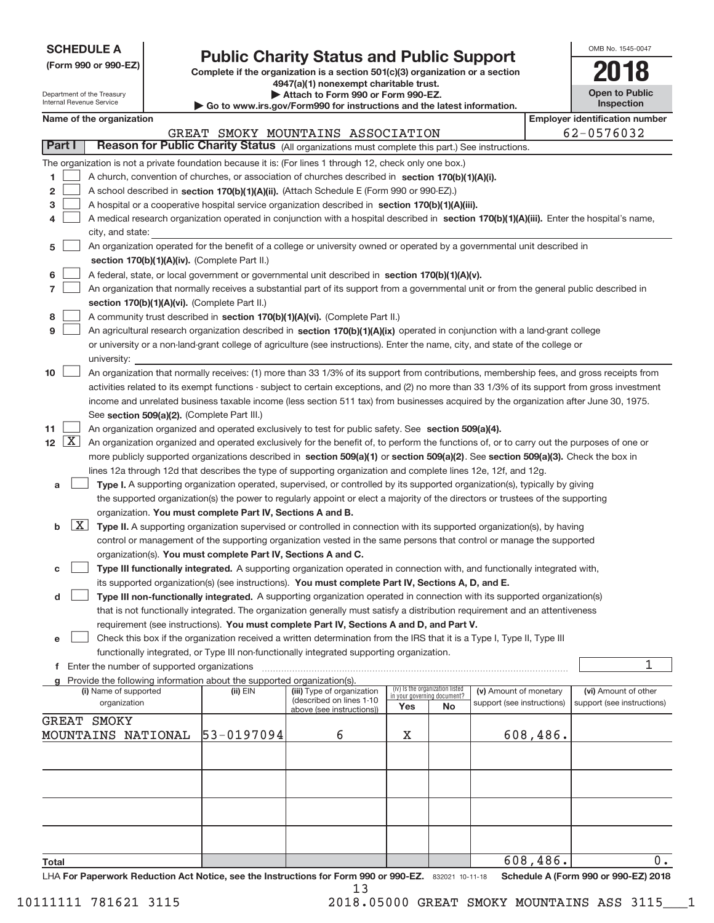Department of the Treasury Internal Revenue Service

# **Public Charity Status and Public Support**

**(Form 990 or 990‐EZ) Complete if the organization is a section 501(c)(3) organization or a section 4947(a)(1) nonexempt charitable trust. | Attach to Form 990 or Form 990‐EZ. | Go to www.irs.gov/Form990 for instructions and the latest information.**

| OMB No. 1545-0047                   |
|-------------------------------------|
| 118                                 |
| <b>Open to Public</b><br>Inspection |

|                      |                                                                                                                                 | Name of the organization                                                                                                                      |            |                                   |                                                                |    |                            |          | <b>Employer identification number</b> |  |  |
|----------------------|---------------------------------------------------------------------------------------------------------------------------------|-----------------------------------------------------------------------------------------------------------------------------------------------|------------|-----------------------------------|----------------------------------------------------------------|----|----------------------------|----------|---------------------------------------|--|--|
|                      |                                                                                                                                 |                                                                                                                                               |            | GREAT SMOKY MOUNTAINS ASSOCIATION |                                                                |    |                            |          | 62-0576032                            |  |  |
| Part I               |                                                                                                                                 | Reason for Public Charity Status (All organizations must complete this part.) See instructions.                                               |            |                                   |                                                                |    |                            |          |                                       |  |  |
|                      |                                                                                                                                 | The organization is not a private foundation because it is: (For lines 1 through 12, check only one box.)                                     |            |                                   |                                                                |    |                            |          |                                       |  |  |
| 1                    |                                                                                                                                 | A church, convention of churches, or association of churches described in section 170(b)(1)(A)(i).                                            |            |                                   |                                                                |    |                            |          |                                       |  |  |
| 2                    |                                                                                                                                 | A school described in section 170(b)(1)(A)(ii). (Attach Schedule E (Form 990 or 990-EZ).)                                                     |            |                                   |                                                                |    |                            |          |                                       |  |  |
| з                    |                                                                                                                                 | A hospital or a cooperative hospital service organization described in section 170(b)(1)(A)(iii).                                             |            |                                   |                                                                |    |                            |          |                                       |  |  |
| 4                    |                                                                                                                                 | A medical research organization operated in conjunction with a hospital described in section 170(b)(1)(A)(iii). Enter the hospital's name,    |            |                                   |                                                                |    |                            |          |                                       |  |  |
|                      |                                                                                                                                 | city, and state:                                                                                                                              |            |                                   |                                                                |    |                            |          |                                       |  |  |
| 5                    |                                                                                                                                 | An organization operated for the benefit of a college or university owned or operated by a governmental unit described in                     |            |                                   |                                                                |    |                            |          |                                       |  |  |
|                      |                                                                                                                                 | section 170(b)(1)(A)(iv). (Complete Part II.)                                                                                                 |            |                                   |                                                                |    |                            |          |                                       |  |  |
| 6                    |                                                                                                                                 | A federal, state, or local government or governmental unit described in section 170(b)(1)(A)(v).                                              |            |                                   |                                                                |    |                            |          |                                       |  |  |
| 7                    |                                                                                                                                 | An organization that normally receives a substantial part of its support from a governmental unit or from the general public described in     |            |                                   |                                                                |    |                            |          |                                       |  |  |
|                      |                                                                                                                                 | section 170(b)(1)(A)(vi). (Complete Part II.)                                                                                                 |            |                                   |                                                                |    |                            |          |                                       |  |  |
| 8                    |                                                                                                                                 | A community trust described in section 170(b)(1)(A)(vi). (Complete Part II.)                                                                  |            |                                   |                                                                |    |                            |          |                                       |  |  |
| 9                    |                                                                                                                                 | An agricultural research organization described in section 170(b)(1)(A)(ix) operated in conjunction with a land-grant college                 |            |                                   |                                                                |    |                            |          |                                       |  |  |
|                      |                                                                                                                                 | or university or a non-land-grant college of agriculture (see instructions). Enter the name, city, and state of the college or                |            |                                   |                                                                |    |                            |          |                                       |  |  |
|                      |                                                                                                                                 | university:                                                                                                                                   |            |                                   |                                                                |    |                            |          |                                       |  |  |
| 10                   |                                                                                                                                 | An organization that normally receives: (1) more than 33 1/3% of its support from contributions, membership fees, and gross receipts from     |            |                                   |                                                                |    |                            |          |                                       |  |  |
|                      |                                                                                                                                 | activities related to its exempt functions - subject to certain exceptions, and (2) no more than 33 1/3% of its support from gross investment |            |                                   |                                                                |    |                            |          |                                       |  |  |
|                      |                                                                                                                                 | income and unrelated business taxable income (less section 511 tax) from businesses acquired by the organization after June 30, 1975.         |            |                                   |                                                                |    |                            |          |                                       |  |  |
|                      |                                                                                                                                 | See section 509(a)(2). (Complete Part III.)                                                                                                   |            |                                   |                                                                |    |                            |          |                                       |  |  |
| 11                   |                                                                                                                                 | An organization organized and operated exclusively to test for public safety. See section 509(a)(4).                                          |            |                                   |                                                                |    |                            |          |                                       |  |  |
| $12 \quad \boxed{X}$ |                                                                                                                                 | An organization organized and operated exclusively for the benefit of, to perform the functions of, or to carry out the purposes of one or    |            |                                   |                                                                |    |                            |          |                                       |  |  |
|                      |                                                                                                                                 | more publicly supported organizations described in section 509(a)(1) or section 509(a)(2). See section 509(a)(3). Check the box in            |            |                                   |                                                                |    |                            |          |                                       |  |  |
|                      |                                                                                                                                 | lines 12a through 12d that describes the type of supporting organization and complete lines 12e, 12f, and 12g.                                |            |                                   |                                                                |    |                            |          |                                       |  |  |
| а                    |                                                                                                                                 | Type I. A supporting organization operated, supervised, or controlled by its supported organization(s), typically by giving                   |            |                                   |                                                                |    |                            |          |                                       |  |  |
|                      | the supported organization(s) the power to regularly appoint or elect a majority of the directors or trustees of the supporting |                                                                                                                                               |            |                                   |                                                                |    |                            |          |                                       |  |  |
|                      |                                                                                                                                 | organization. You must complete Part IV, Sections A and B.                                                                                    |            |                                   |                                                                |    |                            |          |                                       |  |  |
| b                    | $\lfloor x \rfloor$                                                                                                             | Type II. A supporting organization supervised or controlled in connection with its supported organization(s), by having                       |            |                                   |                                                                |    |                            |          |                                       |  |  |
|                      |                                                                                                                                 | control or management of the supporting organization vested in the same persons that control or manage the supported                          |            |                                   |                                                                |    |                            |          |                                       |  |  |
|                      |                                                                                                                                 | organization(s). You must complete Part IV, Sections A and C.                                                                                 |            |                                   |                                                                |    |                            |          |                                       |  |  |
| с                    |                                                                                                                                 | Type III functionally integrated. A supporting organization operated in connection with, and functionally integrated with,                    |            |                                   |                                                                |    |                            |          |                                       |  |  |
|                      |                                                                                                                                 | its supported organization(s) (see instructions). You must complete Part IV, Sections A, D, and E.                                            |            |                                   |                                                                |    |                            |          |                                       |  |  |
| d                    |                                                                                                                                 | Type III non-functionally integrated. A supporting organization operated in connection with its supported organization(s)                     |            |                                   |                                                                |    |                            |          |                                       |  |  |
|                      |                                                                                                                                 | that is not functionally integrated. The organization generally must satisfy a distribution requirement and an attentiveness                  |            |                                   |                                                                |    |                            |          |                                       |  |  |
|                      |                                                                                                                                 | requirement (see instructions). You must complete Part IV, Sections A and D, and Part V.                                                      |            |                                   |                                                                |    |                            |          |                                       |  |  |
| е                    |                                                                                                                                 | Check this box if the organization received a written determination from the IRS that it is a Type I, Type II, Type III                       |            |                                   |                                                                |    |                            |          |                                       |  |  |
|                      |                                                                                                                                 | functionally integrated, or Type III non-functionally integrated supporting organization.                                                     |            |                                   |                                                                |    |                            |          |                                       |  |  |
|                      |                                                                                                                                 | f Enter the number of supported organizations                                                                                                 |            |                                   |                                                                |    |                            |          | 1                                     |  |  |
|                      |                                                                                                                                 | g Provide the following information about the supported organization(s).<br>(i) Name of supported                                             | $(ii)$ EIN | (iii) Type of organization        |                                                                |    | (v) Amount of monetary     |          | (vi) Amount of other                  |  |  |
|                      |                                                                                                                                 | organization                                                                                                                                  |            | (described on lines 1-10          | (iv) Is the organization listed<br>in your governing document? |    | support (see instructions) |          | support (see instructions)            |  |  |
|                      |                                                                                                                                 |                                                                                                                                               |            | above (see instructions))         | Yes                                                            | No |                            |          |                                       |  |  |
|                      |                                                                                                                                 | GREAT SMOKY<br>MOUNTAINS NATIONAL                                                                                                             | 53-0197094 | 6                                 | Χ                                                              |    |                            | 608,486. |                                       |  |  |
|                      |                                                                                                                                 |                                                                                                                                               |            |                                   |                                                                |    |                            |          |                                       |  |  |
|                      |                                                                                                                                 |                                                                                                                                               |            |                                   |                                                                |    |                            |          |                                       |  |  |
|                      |                                                                                                                                 |                                                                                                                                               |            |                                   |                                                                |    |                            |          |                                       |  |  |
|                      |                                                                                                                                 |                                                                                                                                               |            |                                   |                                                                |    |                            |          |                                       |  |  |
|                      |                                                                                                                                 |                                                                                                                                               |            |                                   |                                                                |    |                            |          |                                       |  |  |
|                      |                                                                                                                                 |                                                                                                                                               |            |                                   |                                                                |    |                            |          |                                       |  |  |
|                      |                                                                                                                                 |                                                                                                                                               |            |                                   |                                                                |    |                            |          |                                       |  |  |
|                      |                                                                                                                                 |                                                                                                                                               |            |                                   |                                                                |    |                            |          |                                       |  |  |
| Total                |                                                                                                                                 |                                                                                                                                               |            |                                   |                                                                |    |                            | 608,486. | 0.                                    |  |  |

832021 10‐11‐18 **For Paperwork Reduction Act Notice, see the Instructions for Form 990 or 990‐EZ. Schedule A (Form 990 or 990‐EZ) 2018** LHA 13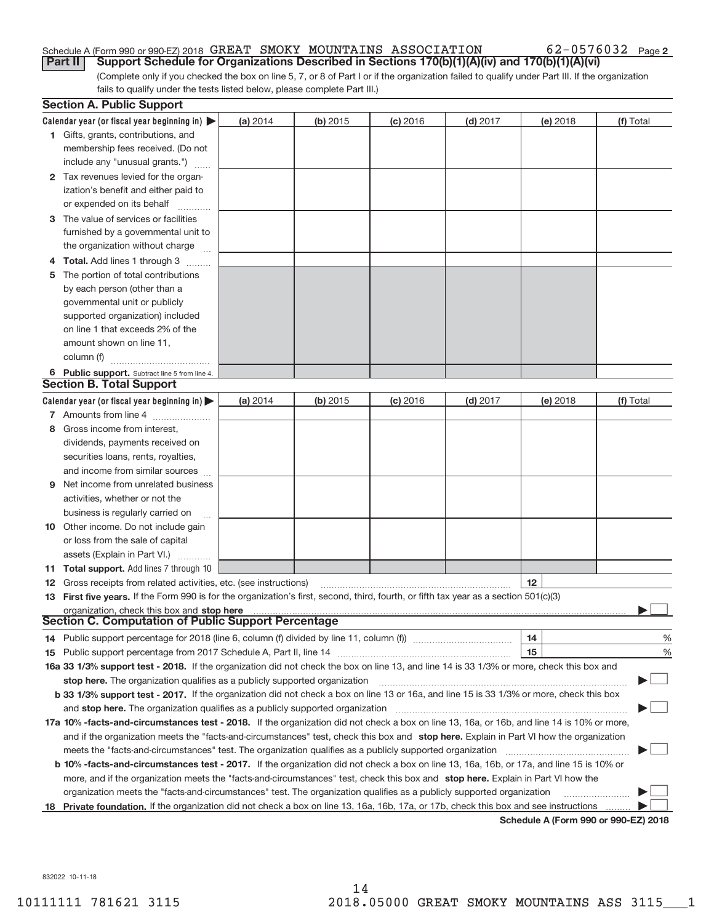#### Schedule A (Form 990 or 990‐EZ) 2018  $\,$  GREAT  $\,$  SMOKY  $\,$  MOUNTAINS  $\,$  ASSOCIATION  $\,$  62–0576032  $\,$  Page **Part II** | Support Schedule for Organizations Described in Sections 170(b)(1)(A)(iv) and 170(b)(1)(A)(vi)

(Complete only if you checked the box on line 5, 7, or 8 of Part I or if the organization failed to qualify under Part III. If the organization fails to qualify under the tests listed below, please complete Part III.)

|   | <b>Section A. Public Support</b>                                                                                                                                                                                               |          |            |            |            |                                             |           |
|---|--------------------------------------------------------------------------------------------------------------------------------------------------------------------------------------------------------------------------------|----------|------------|------------|------------|---------------------------------------------|-----------|
|   | Calendar year (or fiscal year beginning in) $\blacktriangleright$                                                                                                                                                              | (a) 2014 | $(b)$ 2015 | $(c)$ 2016 | $(d)$ 2017 | (e) 2018                                    | (f) Total |
|   | 1 Gifts, grants, contributions, and                                                                                                                                                                                            |          |            |            |            |                                             |           |
|   | membership fees received. (Do not                                                                                                                                                                                              |          |            |            |            |                                             |           |
|   | include any "unusual grants.")                                                                                                                                                                                                 |          |            |            |            |                                             |           |
|   | 2 Tax revenues levied for the organ-                                                                                                                                                                                           |          |            |            |            |                                             |           |
|   | ization's benefit and either paid to                                                                                                                                                                                           |          |            |            |            |                                             |           |
|   | or expended on its behalf                                                                                                                                                                                                      |          |            |            |            |                                             |           |
|   | 3 The value of services or facilities                                                                                                                                                                                          |          |            |            |            |                                             |           |
|   | furnished by a governmental unit to                                                                                                                                                                                            |          |            |            |            |                                             |           |
|   | the organization without charge                                                                                                                                                                                                |          |            |            |            |                                             |           |
|   | 4 Total. Add lines 1 through 3                                                                                                                                                                                                 |          |            |            |            |                                             |           |
|   | The portion of total contributions                                                                                                                                                                                             |          |            |            |            |                                             |           |
|   | by each person (other than a                                                                                                                                                                                                   |          |            |            |            |                                             |           |
|   | governmental unit or publicly                                                                                                                                                                                                  |          |            |            |            |                                             |           |
|   | supported organization) included                                                                                                                                                                                               |          |            |            |            |                                             |           |
|   | on line 1 that exceeds 2% of the                                                                                                                                                                                               |          |            |            |            |                                             |           |
|   | amount shown on line 11,                                                                                                                                                                                                       |          |            |            |            |                                             |           |
|   | column (f)                                                                                                                                                                                                                     |          |            |            |            |                                             |           |
|   | 6 Public support. Subtract line 5 from line 4.                                                                                                                                                                                 |          |            |            |            |                                             |           |
|   | <b>Section B. Total Support</b>                                                                                                                                                                                                |          |            |            |            |                                             |           |
|   | Calendar year (or fiscal year beginning in) $\blacktriangleright$                                                                                                                                                              | (a) 2014 | (b) 2015   | $(c)$ 2016 | $(d)$ 2017 | (e) 2018                                    | (f) Total |
|   | 7 Amounts from line 4                                                                                                                                                                                                          |          |            |            |            |                                             |           |
| 8 | Gross income from interest.                                                                                                                                                                                                    |          |            |            |            |                                             |           |
|   | dividends, payments received on                                                                                                                                                                                                |          |            |            |            |                                             |           |
|   | securities loans, rents, royalties,                                                                                                                                                                                            |          |            |            |            |                                             |           |
|   | and income from similar sources                                                                                                                                                                                                |          |            |            |            |                                             |           |
| 9 | Net income from unrelated business                                                                                                                                                                                             |          |            |            |            |                                             |           |
|   | activities, whether or not the                                                                                                                                                                                                 |          |            |            |            |                                             |           |
|   | business is regularly carried on                                                                                                                                                                                               |          |            |            |            |                                             |           |
|   | <b>10</b> Other income. Do not include gain                                                                                                                                                                                    |          |            |            |            |                                             |           |
|   | or loss from the sale of capital                                                                                                                                                                                               |          |            |            |            |                                             |           |
|   | assets (Explain in Part VI.)                                                                                                                                                                                                   |          |            |            |            |                                             |           |
|   | 11 Total support. Add lines 7 through 10                                                                                                                                                                                       |          |            |            |            |                                             |           |
|   | <b>12</b> Gross receipts from related activities, etc. (see instructions)                                                                                                                                                      |          |            |            |            | 12                                          |           |
|   | 13 First five years. If the Form 990 is for the organization's first, second, third, fourth, or fifth tax year as a section 501(c)(3)                                                                                          |          |            |            |            |                                             |           |
|   | organization, check this box and stop here manufactured and according to the state of the state of the state of the state of the state of the state of the state of the state of the state of the state of the state of the st |          |            |            |            |                                             |           |
|   | <b>Section C. Computation of Public Support Percentage</b>                                                                                                                                                                     |          |            |            |            |                                             |           |
|   | 14 Public support percentage for 2018 (line 6, column (f) divided by line 11, column (f) <i>manumanomeron</i> enter-                                                                                                           |          |            |            |            | 14                                          | %         |
|   |                                                                                                                                                                                                                                |          |            |            |            | 15                                          | %         |
|   | 16a 33 1/3% support test - 2018. If the organization did not check the box on line 13, and line 14 is 33 1/3% or more, check this box and                                                                                      |          |            |            |            |                                             |           |
|   | stop here. The organization qualifies as a publicly supported organization                                                                                                                                                     |          |            |            |            |                                             |           |
|   | b 33 1/3% support test - 2017. If the organization did not check a box on line 13 or 16a, and line 15 is 33 1/3% or more, check this box                                                                                       |          |            |            |            |                                             |           |
|   | and stop here. The organization qualifies as a publicly supported organization                                                                                                                                                 |          |            |            |            |                                             |           |
|   | 17a 10% -facts-and-circumstances test - 2018. If the organization did not check a box on line 13, 16a, or 16b, and line 14 is 10% or more,                                                                                     |          |            |            |            |                                             |           |
|   | and if the organization meets the "facts-and-circumstances" test, check this box and stop here. Explain in Part VI how the organization                                                                                        |          |            |            |            |                                             |           |
|   | meets the "facts-and-circumstances" test. The organization qualifies as a publicly supported organization                                                                                                                      |          |            |            |            |                                             |           |
|   | <b>b 10% -facts-and-circumstances test - 2017.</b> If the organization did not check a box on line 13, 16a, 16b, or 17a, and line 15 is 10% or                                                                                 |          |            |            |            |                                             |           |
|   | more, and if the organization meets the "facts-and-circumstances" test, check this box and stop here. Explain in Part VI how the                                                                                               |          |            |            |            |                                             |           |
|   | organization meets the "facts-and-circumstances" test. The organization qualifies as a publicly supported organization                                                                                                         |          |            |            |            |                                             |           |
|   | 18 Private foundation. If the organization did not check a box on line 13, 16a, 16b, 17a, or 17b, check this box and see instructions                                                                                          |          |            |            |            |                                             |           |
|   |                                                                                                                                                                                                                                |          |            |            |            | <b>Cohodulo A (Form 000 or 000 EZ) 2010</b> |           |

**Schedule A (Form 990 or 990‐EZ) 2018**

832022 10‐11‐18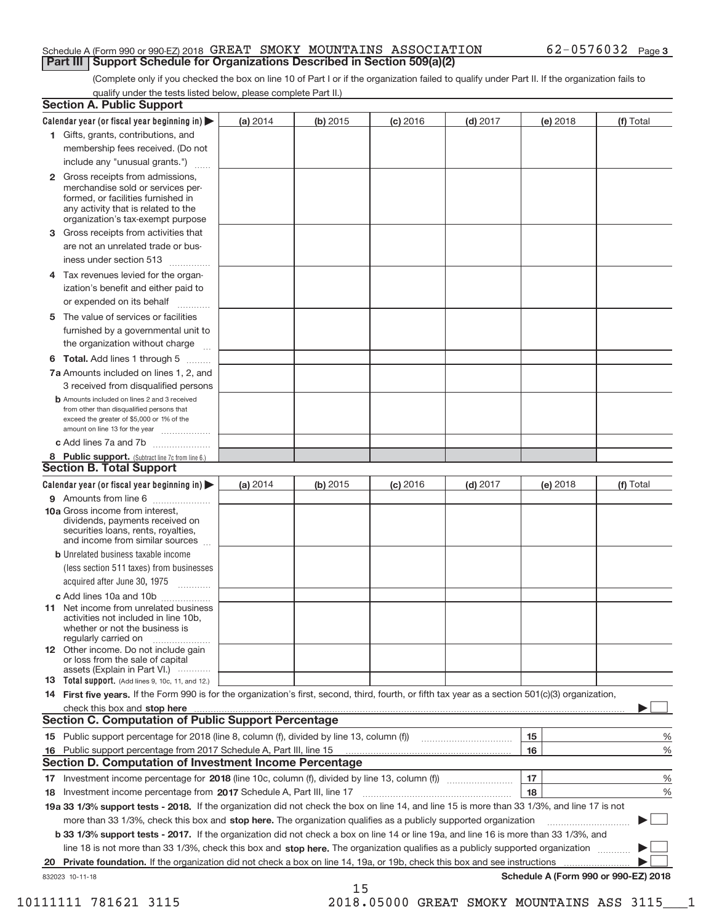#### Schedule A (Form 990 or 990‐EZ) 2018  $\,$  GREAT  $\,$  SMOKY  $\,$  MOUNTAINS  $\,$  ASSOCIATION  $\,$  62–0576032  $\,$  Page **Part III | Support Schedule for Organizations Described in Section 509(a)(2)**

(Complete only if you checked the box on line 10 of Part I or if the organization failed to qualify under Part II. If the organization fails to qualify under the tests listed below, please complete Part II.)

| <b>Section A. Public Support</b>                                                                                                                                                                                               |          |          |            |            |          |                                      |
|--------------------------------------------------------------------------------------------------------------------------------------------------------------------------------------------------------------------------------|----------|----------|------------|------------|----------|--------------------------------------|
| Calendar year (or fiscal year beginning in) $\blacktriangleright$                                                                                                                                                              | (a) 2014 | (b) 2015 | $(c)$ 2016 | $(d)$ 2017 | (e) 2018 | (f) Total                            |
| 1 Gifts, grants, contributions, and                                                                                                                                                                                            |          |          |            |            |          |                                      |
| membership fees received. (Do not                                                                                                                                                                                              |          |          |            |            |          |                                      |
| include any "unusual grants.")                                                                                                                                                                                                 |          |          |            |            |          |                                      |
| 2 Gross receipts from admissions,<br>merchandise sold or services per-<br>formed, or facilities furnished in<br>any activity that is related to the<br>organization's tax-exempt purpose                                       |          |          |            |            |          |                                      |
| 3 Gross receipts from activities that                                                                                                                                                                                          |          |          |            |            |          |                                      |
| are not an unrelated trade or bus-                                                                                                                                                                                             |          |          |            |            |          |                                      |
| iness under section 513                                                                                                                                                                                                        |          |          |            |            |          |                                      |
| 4 Tax revenues levied for the organ-<br>ization's benefit and either paid to                                                                                                                                                   |          |          |            |            |          |                                      |
| or expended on its behalf                                                                                                                                                                                                      |          |          |            |            |          |                                      |
| The value of services or facilities<br>5                                                                                                                                                                                       |          |          |            |            |          |                                      |
| furnished by a governmental unit to                                                                                                                                                                                            |          |          |            |            |          |                                      |
| the organization without charge                                                                                                                                                                                                |          |          |            |            |          |                                      |
| <b>6 Total.</b> Add lines 1 through 5                                                                                                                                                                                          |          |          |            |            |          |                                      |
| 7a Amounts included on lines 1, 2, and<br>3 received from disqualified persons                                                                                                                                                 |          |          |            |            |          |                                      |
| <b>b</b> Amounts included on lines 2 and 3 received<br>from other than disqualified persons that<br>exceed the greater of \$5,000 or 1% of the<br>amount on line 13 for the year                                               |          |          |            |            |          |                                      |
| c Add lines 7a and 7b                                                                                                                                                                                                          |          |          |            |            |          |                                      |
| 8 Public support. (Subtract line 7c from line 6.)                                                                                                                                                                              |          |          |            |            |          |                                      |
| <b>Section B. Total Support</b>                                                                                                                                                                                                |          |          |            |            |          |                                      |
| Calendar year (or fiscal year beginning in) $\blacktriangleright$                                                                                                                                                              | (a) 2014 | (b) 2015 | $(c)$ 2016 | $(d)$ 2017 | (e) 2018 | (f) Total                            |
| 9 Amounts from line 6                                                                                                                                                                                                          |          |          |            |            |          |                                      |
| 10a Gross income from interest,<br>dividends, payments received on<br>securities loans, rents, royalties,<br>and income from similar sources                                                                                   |          |          |            |            |          |                                      |
| <b>b</b> Unrelated business taxable income                                                                                                                                                                                     |          |          |            |            |          |                                      |
| (less section 511 taxes) from businesses                                                                                                                                                                                       |          |          |            |            |          |                                      |
| acquired after June 30, 1975                                                                                                                                                                                                   |          |          |            |            |          |                                      |
| c Add lines 10a and 10b                                                                                                                                                                                                        |          |          |            |            |          |                                      |
| <b>11</b> Net income from unrelated business<br>activities not included in line 10b,<br>whether or not the business is<br>regularly carried on                                                                                 |          |          |            |            |          |                                      |
| 12 Other income. Do not include gain<br>or loss from the sale of capital<br>assets (Explain in Part VI.)                                                                                                                       |          |          |            |            |          |                                      |
| <b>13</b> Total support. (Add lines 9, 10c, 11, and 12.)                                                                                                                                                                       |          |          |            |            |          |                                      |
| 14 First five years. If the Form 990 is for the organization's first, second, third, fourth, or fifth tax year as a section 501(c)(3) organization,                                                                            |          |          |            |            |          |                                      |
| check this box and stop here measurements are all the state of the state of the state of the state of the state of the state of the state of the state of the state of the state of the state of the state of the state of the |          |          |            |            |          |                                      |
| <b>Section C. Computation of Public Support Percentage</b>                                                                                                                                                                     |          |          |            |            |          |                                      |
|                                                                                                                                                                                                                                |          |          |            |            | 15       | %                                    |
| 16 Public support percentage from 2017 Schedule A, Part III, line 15                                                                                                                                                           |          |          |            |            | 16       | %                                    |
| Section D. Computation of Investment Income Percentage                                                                                                                                                                         |          |          |            |            |          |                                      |
|                                                                                                                                                                                                                                |          |          |            |            | 17       | %                                    |
| 18 Investment income percentage from 2017 Schedule A, Part III, line 17                                                                                                                                                        |          |          |            |            | 18       | %                                    |
| 19a 33 1/3% support tests - 2018. If the organization did not check the box on line 14, and line 15 is more than 33 1/3%, and line 17 is not                                                                                   |          |          |            |            |          |                                      |
| more than 33 1/3%, check this box and stop here. The organization qualifies as a publicly supported organization                                                                                                               |          |          |            |            |          |                                      |
| b 33 1/3% support tests - 2017. If the organization did not check a box on line 14 or line 19a, and line 16 is more than 33 1/3%, and                                                                                          |          |          |            |            |          |                                      |
| line 18 is not more than 33 1/3%, check this box and stop here. The organization qualifies as a publicly supported organization                                                                                                |          |          |            |            |          |                                      |
| Private foundation. If the organization did not check a box on line 14, 19a, or 19b, check this box and see instructions<br>20                                                                                                 |          |          |            |            |          |                                      |
| 832023 10-11-18                                                                                                                                                                                                                |          |          |            |            |          | Schedule A (Form 990 or 990-EZ) 2018 |
|                                                                                                                                                                                                                                |          | 15       |            |            |          |                                      |

10111111 781621 3115 2018.05000 GREAT SMOKY MOUNTAINS ASS 3115\_\_\_1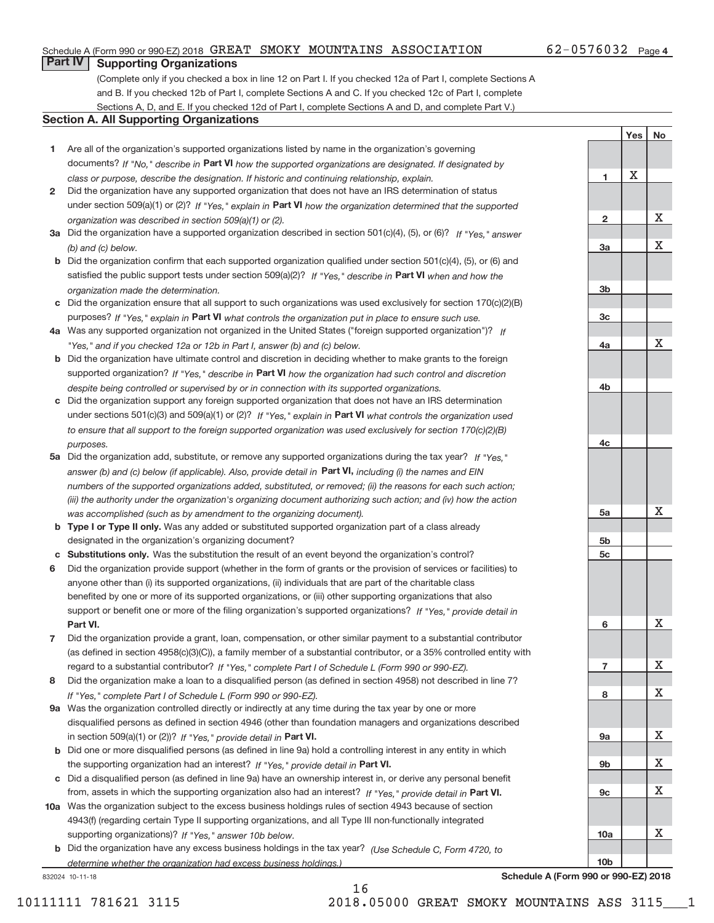#### Schedule A (Form 990 or 990‐EZ) 2018  $\,$  GREAT  $\,$  SMOKY  $\,$  MOUNTAINS  $\,$  ASSOCIATION  $\,$  62–0576032  $\,$  Page

## **Part IV Supporting Organizations**

(Complete only if you checked a box in line 12 on Part I. If you checked 12a of Part I, complete Sections A and B. If you checked 12b of Part I, complete Sections A and C. If you checked 12c of Part I, complete Sections A, D, and E. If you checked 12d of Part I, complete Sections A and D, and complete Part V.)

#### **Section A. All Supporting Organizations**

- **1** Are all of the organization's supported organizations listed by name in the organization's governing documents? If "No," describe in Part VI how the supported organizations are designated. If designated by *class or purpose, describe the designation. If historic and continuing relationship, explain.*
- **2** Did the organization have any supported organization that does not have an IRS determination of status under section 509(a)(1) or (2)? If "Yes," explain in Part VI how the organization determined that the supported *organization was described in section 509(a)(1) or (2).*
- **3a** Did the organization have a supported organization described in section 501(c)(4), (5), or (6)? If "Yes," answer *(b) and (c) below.*
- **b** Did the organization confirm that each supported organization qualified under section 501(c)(4), (5), or (6) and satisfied the public support tests under section 509(a)(2)? If "Yes," describe in Part VI when and how the *organization made the determination.*
- **c** Did the organization ensure that all support to such organizations was used exclusively for section 170(c)(2)(B) purposes? If "Yes," explain in Part VI what controls the organization put in place to ensure such use.
- **4 a** *If* Was any supported organization not organized in the United States ("foreign supported organization")? *"Yes," and if you checked 12a or 12b in Part I, answer (b) and (c) below.*
- **b** Did the organization have ultimate control and discretion in deciding whether to make grants to the foreign supported organization? If "Yes," describe in Part VI how the organization had such control and discretion *despite being controlled or supervised by or in connection with its supported organizations.*
- **c** Did the organization support any foreign supported organization that does not have an IRS determination under sections 501(c)(3) and 509(a)(1) or (2)? If "Yes," explain in Part VI what controls the organization used *to ensure that all support to the foreign supported organization was used exclusively for section 170(c)(2)(B) purposes.*
- **5a** Did the organization add, substitute, or remove any supported organizations during the tax year? If "Yes," answer (b) and (c) below (if applicable). Also, provide detail in **Part VI,** including (i) the names and EIN *numbers of the supported organizations added, substituted, or removed; (ii) the reasons for each such action; (iii) the authority under the organization's organizing document authorizing such action; and (iv) how the action was accomplished (such as by amendment to the organizing document).*
- **b** Type I or Type II only. Was any added or substituted supported organization part of a class already designated in the organization's organizing document?
- **c Substitutions only.**  Was the substitution the result of an event beyond the organization's control?
- **6** Did the organization provide support (whether in the form of grants or the provision of services or facilities) to **Part VI.** *If "Yes," provide detail in* support or benefit one or more of the filing organization's supported organizations? anyone other than (i) its supported organizations, (ii) individuals that are part of the charitable class benefited by one or more of its supported organizations, or (iii) other supporting organizations that also
- **7** Did the organization provide a grant, loan, compensation, or other similar payment to a substantial contributor regard to a substantial contributor? If "Yes," complete Part I of Schedule L (Form 990 or 990-EZ). (as defined in section 4958(c)(3)(C)), a family member of a substantial contributor, or a 35% controlled entity with
- **8** Did the organization make a loan to a disqualified person (as defined in section 4958) not described in line 7? *If "Yes," complete Part I of Schedule L (Form 990 or 990-EZ).*
- **9 a** Was the organization controlled directly or indirectly at any time during the tax year by one or more in section 509(a)(1) or (2))? If "Yes," provide detail in Part VI. disqualified persons as defined in section 4946 (other than foundation managers and organizations described
- **b** the supporting organization had an interest? If "Yes," provide detail in Part VI. Did one or more disqualified persons (as defined in line 9a) hold a controlling interest in any entity in which
- **c** Did a disqualified person (as defined in line 9a) have an ownership interest in, or derive any personal benefit from, assets in which the supporting organization also had an interest? If "Yes," provide detail in Part VI.
- **10 a** Was the organization subject to the excess business holdings rules of section 4943 because of section supporting organizations)? If "Yes," answer 10b below. 4943(f) (regarding certain Type II supporting organizations, and all Type III non-functionally integrated
- **b** Did the organization have any excess business holdings in the tax year? (Use Schedule C, Form 4720, to *determine whether the organization had excess business holdings.)*

16

832024 10‐11‐18

**7 8 9a 9b 9c 10a 10b** X X X X X X

**Schedule A (Form 990 or 990‐EZ) 2018**

**1**

**2**

**3a**

**3b**

**3c**

**4a**

**4b**

**4c**

**5a**

**5b 5c**

**6**

Yes | No

X

X

X

X

X

X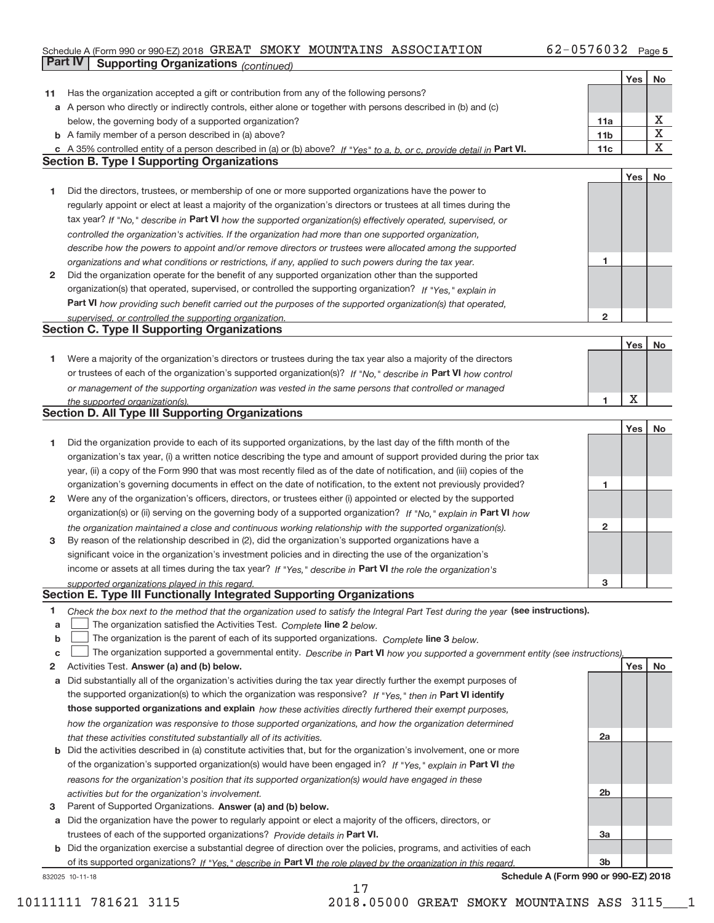#### Schedule A (Form 990 or 990‐EZ) 2018 GREAT SMOKY MOUNTAINS ASSOCIATION 62-0576032 Page 5 **Part IV Supporting Organizations** *(continued)*

|    |                                                                                                                                   |                 | Yes | No          |
|----|-----------------------------------------------------------------------------------------------------------------------------------|-----------------|-----|-------------|
| 11 | Has the organization accepted a gift or contribution from any of the following persons?                                           |                 |     |             |
|    | a A person who directly or indirectly controls, either alone or together with persons described in (b) and (c)                    |                 |     |             |
|    | below, the governing body of a supported organization?                                                                            | 11a             |     | х           |
|    | <b>b</b> A family member of a person described in (a) above?                                                                      | 11 <sub>b</sub> |     | $\mathbf X$ |
|    | c A 35% controlled entity of a person described in (a) or (b) above? If "Yes" to a, b, or c, provide detail in Part VI.           | 11c             |     | $\mathbf X$ |
|    | <b>Section B. Type I Supporting Organizations</b>                                                                                 |                 |     |             |
|    |                                                                                                                                   |                 | Yes | No          |
| 1  | Did the directors, trustees, or membership of one or more supported organizations have the power to                               |                 |     |             |
|    | regularly appoint or elect at least a majority of the organization's directors or trustees at all times during the                |                 |     |             |
|    | tax year? If "No," describe in Part VI how the supported organization(s) effectively operated, supervised, or                     |                 |     |             |
|    | controlled the organization's activities. If the organization had more than one supported organization,                           |                 |     |             |
|    | describe how the powers to appoint and/or remove directors or trustees were allocated among the supported                         |                 |     |             |
|    | organizations and what conditions or restrictions, if any, applied to such powers during the tax year.                            | 1               |     |             |
| 2  | Did the organization operate for the benefit of any supported organization other than the supported                               |                 |     |             |
|    | organization(s) that operated, supervised, or controlled the supporting organization? If "Yes," explain in                        |                 |     |             |
|    | Part VI how providing such benefit carried out the purposes of the supported organization(s) that operated,                       |                 |     |             |
|    | supervised, or controlled the supporting organization.                                                                            | $\overline{2}$  |     |             |
|    | <b>Section C. Type II Supporting Organizations</b>                                                                                |                 |     |             |
|    |                                                                                                                                   |                 | Yes | No          |
| 1. | Were a majority of the organization's directors or trustees during the tax year also a majority of the directors                  |                 |     |             |
|    | or trustees of each of the organization's supported organization(s)? If "No," describe in Part VI how control                     |                 |     |             |
|    | or management of the supporting organization was vested in the same persons that controlled or managed                            |                 |     |             |
|    | the supported organization(s).                                                                                                    | 1               | X   |             |
|    | <b>Section D. All Type III Supporting Organizations</b>                                                                           |                 |     |             |
|    |                                                                                                                                   |                 | Yes | No          |
| 1  | Did the organization provide to each of its supported organizations, by the last day of the fifth month of the                    |                 |     |             |
|    | organization's tax year, (i) a written notice describing the type and amount of support provided during the prior tax             |                 |     |             |
|    | year, (ii) a copy of the Form 990 that was most recently filed as of the date of notification, and (iii) copies of the            |                 |     |             |
|    | organization's governing documents in effect on the date of notification, to the extent not previously provided?                  | 1               |     |             |
| 2  | Were any of the organization's officers, directors, or trustees either (i) appointed or elected by the supported                  |                 |     |             |
|    | organization(s) or (ii) serving on the governing body of a supported organization? If "No," explain in Part VI how                |                 |     |             |
|    | the organization maintained a close and continuous working relationship with the supported organization(s).                       | $\mathbf{2}$    |     |             |
| 3  | By reason of the relationship described in (2), did the organization's supported organizations have a                             |                 |     |             |
|    | significant voice in the organization's investment policies and in directing the use of the organization's                        |                 |     |             |
|    | income or assets at all times during the tax year? If "Yes," describe in Part VI the role the organization's                      | з               |     |             |
|    | supported organizations played in this regard.<br>Section E. Type III Functionally Integrated Supporting Organizations            |                 |     |             |
| 1  | Check the box next to the method that the organization used to satisfy the Integral Part Test during the year (see instructions). |                 |     |             |
| a  | The organization satisfied the Activities Test. Complete line 2 below.                                                            |                 |     |             |
| b  | The organization is the parent of each of its supported organizations. Complete line 3 below.                                     |                 |     |             |
| C  | The organization supported a governmental entity. Describe in Part VI how you supported a government entity (see instructions),   |                 |     |             |
| 2  | Activities Test. Answer (a) and (b) below.                                                                                        |                 | Yes | No          |
| a  | Did substantially all of the organization's activities during the tax year directly further the exempt purposes of                |                 |     |             |
|    | the supported organization(s) to which the organization was responsive? If "Yes," then in Part VI identify                        |                 |     |             |
|    | those supported organizations and explain how these activities directly furthered their exempt purposes,                          |                 |     |             |
|    | how the organization was responsive to those supported organizations, and how the organization determined                         |                 |     |             |
|    | that these activities constituted substantially all of its activities.                                                            | 2a              |     |             |
|    | <b>b</b> Did the activities described in (a) constitute activities that, but for the organization's involvement, one or more      |                 |     |             |
|    | of the organization's supported organization(s) would have been engaged in? If "Yes," explain in Part VI the                      |                 |     |             |
|    | reasons for the organization's position that its supported organization(s) would have engaged in these                            |                 |     |             |
|    | activities but for the organization's involvement.                                                                                | 2b              |     |             |
| з  | Parent of Supported Organizations. Answer (a) and (b) below.                                                                      |                 |     |             |
|    | a Did the organization have the power to regularly appoint or elect a majority of the officers, directors, or                     |                 |     |             |
|    | trustees of each of the supported organizations? Provide details in Part VI.                                                      | За              |     |             |
|    | <b>b</b> Did the organization exercise a substantial degree of direction over the policies, programs, and activities of each      |                 |     |             |
|    | of its supported organizations? If "Yes," describe in Part VI the role played by the organization in this regard.                 | 3b              |     |             |

17

832025 10‐11‐18

**Schedule A (Form 990 or 990‐EZ) 2018**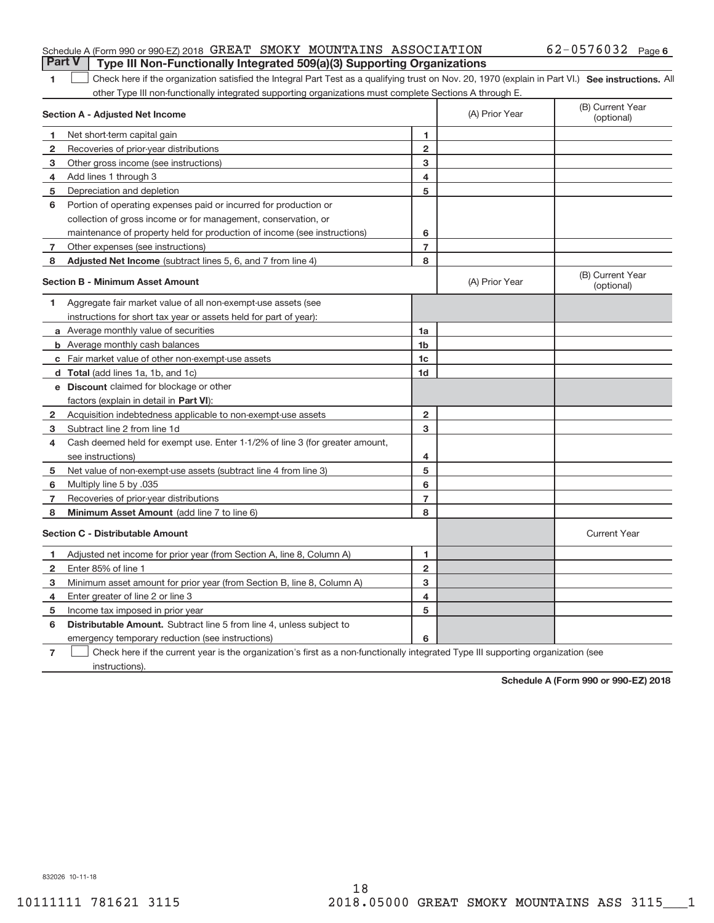#### Schedule A (Form 990 or 990‐EZ) 2018  $\,$  GREAT  $\,$  SMOKY  $\,$  MOUNTAINS  $\,$  ASSOCIATION  $\,$  62–0576032  $\,$  Page **Part V** Type III Non-Functionally Integrated 509(a)(3) Supporting Organizations

#### 1 **Check here if the organization satisfied the Integral Part Test as a qualifying trust on Nov. 20, 1970 (explain in Part VI.) See instructions. All** other Type III non‐functionally integrated supporting organizations must complete Sections A through E.

|              | <b>Section A - Adjusted Net Income</b>                                                                                            |                | (A) Prior Year | (B) Current Year<br>(optional) |
|--------------|-----------------------------------------------------------------------------------------------------------------------------------|----------------|----------------|--------------------------------|
| 1            | Net short-term capital gain                                                                                                       | 1.             |                |                                |
| 2            | Recoveries of prior-year distributions                                                                                            | $\overline{2}$ |                |                                |
| 3            | Other gross income (see instructions)                                                                                             | 3              |                |                                |
| 4            | Add lines 1 through 3                                                                                                             | 4              |                |                                |
| 5            | Depreciation and depletion                                                                                                        | 5              |                |                                |
| 6            | Portion of operating expenses paid or incurred for production or                                                                  |                |                |                                |
|              | collection of gross income or for management, conservation, or                                                                    |                |                |                                |
|              | maintenance of property held for production of income (see instructions)                                                          | 6              |                |                                |
| 7            | Other expenses (see instructions)                                                                                                 | $\overline{7}$ |                |                                |
| 8            | Adjusted Net Income (subtract lines 5, 6, and 7 from line 4)                                                                      | 8              |                |                                |
|              | <b>Section B - Minimum Asset Amount</b>                                                                                           |                | (A) Prior Year | (B) Current Year<br>(optional) |
| 1            | Aggregate fair market value of all non-exempt-use assets (see                                                                     |                |                |                                |
|              | instructions for short tax year or assets held for part of year):                                                                 |                |                |                                |
|              | a Average monthly value of securities                                                                                             | 1a             |                |                                |
|              | <b>b</b> Average monthly cash balances                                                                                            | 1 <sub>b</sub> |                |                                |
|              | c Fair market value of other non-exempt-use assets                                                                                | 1c             |                |                                |
|              | d Total (add lines 1a, 1b, and 1c)                                                                                                | 1 <sub>d</sub> |                |                                |
|              | e Discount claimed for blockage or other                                                                                          |                |                |                                |
|              | factors (explain in detail in Part VI):                                                                                           |                |                |                                |
| $\mathbf{2}$ | Acquisition indebtedness applicable to non-exempt-use assets                                                                      | $\overline{2}$ |                |                                |
| 3            | Subtract line 2 from line 1d                                                                                                      | 3              |                |                                |
| 4            | Cash deemed held for exempt use. Enter 1-1/2% of line 3 (for greater amount,                                                      |                |                |                                |
|              | see instructions)                                                                                                                 | 4              |                |                                |
| 5            | Net value of non-exempt-use assets (subtract line 4 from line 3)                                                                  | 5              |                |                                |
| 6            | Multiply line 5 by .035                                                                                                           | 6              |                |                                |
| 7            | Recoveries of prior-year distributions                                                                                            | $\overline{7}$ |                |                                |
| 8            | Minimum Asset Amount (add line 7 to line 6)                                                                                       | 8              |                |                                |
|              | <b>Section C - Distributable Amount</b>                                                                                           |                |                | <b>Current Year</b>            |
| 1            | Adjusted net income for prior year (from Section A, line 8, Column A)                                                             | 1              |                |                                |
| 2            | Enter 85% of line 1                                                                                                               | $\overline{2}$ |                |                                |
| 3            | Minimum asset amount for prior year (from Section B, line 8, Column A)                                                            | 3              |                |                                |
| 4            | Enter greater of line 2 or line 3                                                                                                 | 4              |                |                                |
| 5            | Income tax imposed in prior year                                                                                                  | 5              |                |                                |
| 6            | <b>Distributable Amount.</b> Subtract line 5 from line 4, unless subject to                                                       |                |                |                                |
|              | emergency temporary reduction (see instructions)                                                                                  | 6              |                |                                |
| 7            | Check here if the current year is the organization's first as a non-functionally integrated Type III supporting organization (see |                |                |                                |

instructions).

**Schedule A (Form 990 or 990‐EZ) 2018**

832026 10‐11‐18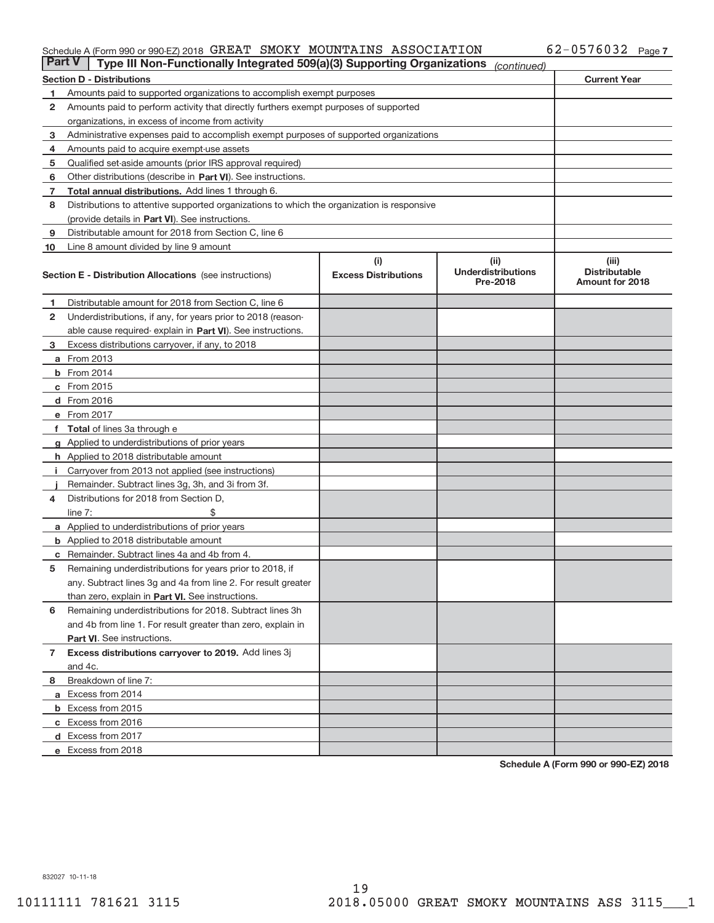#### Schedule A (Form 990 or 990‐EZ) 2018  $\,$  GREAT  $\,$  SMOKY  $\,$  MOUNTAINS  $\,$  ASSOCIATION  $\,$  62–0576032  $\,$  Page

| <b>Part V</b> | Type III Non-Functionally Integrated 509(a)(3) Supporting Organizations                    |                             | (continued)                           |                                                |  |  |  |  |
|---------------|--------------------------------------------------------------------------------------------|-----------------------------|---------------------------------------|------------------------------------------------|--|--|--|--|
|               | <b>Section D - Distributions</b>                                                           |                             |                                       | <b>Current Year</b>                            |  |  |  |  |
| 1             | Amounts paid to supported organizations to accomplish exempt purposes                      |                             |                                       |                                                |  |  |  |  |
| 2             | Amounts paid to perform activity that directly furthers exempt purposes of supported       |                             |                                       |                                                |  |  |  |  |
|               | organizations, in excess of income from activity                                           |                             |                                       |                                                |  |  |  |  |
| 3             | Administrative expenses paid to accomplish exempt purposes of supported organizations      |                             |                                       |                                                |  |  |  |  |
| 4             | Amounts paid to acquire exempt-use assets                                                  |                             |                                       |                                                |  |  |  |  |
| 5             | Qualified set-aside amounts (prior IRS approval required)                                  |                             |                                       |                                                |  |  |  |  |
| 6             | Other distributions (describe in Part VI). See instructions.                               |                             |                                       |                                                |  |  |  |  |
| 7             | <b>Total annual distributions.</b> Add lines 1 through 6.                                  |                             |                                       |                                                |  |  |  |  |
| 8             | Distributions to attentive supported organizations to which the organization is responsive |                             |                                       |                                                |  |  |  |  |
|               | (provide details in Part VI). See instructions.                                            |                             |                                       |                                                |  |  |  |  |
| 9             | Distributable amount for 2018 from Section C, line 6                                       |                             |                                       |                                                |  |  |  |  |
| 10            | Line 8 amount divided by line 9 amount                                                     |                             |                                       |                                                |  |  |  |  |
|               |                                                                                            | (i)                         | (iii)                                 | (iii)                                          |  |  |  |  |
|               | <b>Section E - Distribution Allocations</b> (see instructions)                             | <b>Excess Distributions</b> | <b>Underdistributions</b><br>Pre-2018 | <b>Distributable</b><br><b>Amount for 2018</b> |  |  |  |  |
| 1.            | Distributable amount for 2018 from Section C, line 6                                       |                             |                                       |                                                |  |  |  |  |
| 2             | Underdistributions, if any, for years prior to 2018 (reason-                               |                             |                                       |                                                |  |  |  |  |
|               | able cause required-explain in Part VI). See instructions.                                 |                             |                                       |                                                |  |  |  |  |
| 3             | Excess distributions carryover, if any, to 2018                                            |                             |                                       |                                                |  |  |  |  |
|               | <b>a</b> From 2013                                                                         |                             |                                       |                                                |  |  |  |  |
|               | <b>b</b> From 2014                                                                         |                             |                                       |                                                |  |  |  |  |
|               | c From 2015                                                                                |                             |                                       |                                                |  |  |  |  |
|               | <b>d</b> From 2016                                                                         |                             |                                       |                                                |  |  |  |  |
|               | e From 2017                                                                                |                             |                                       |                                                |  |  |  |  |
|               | f Total of lines 3a through e                                                              |                             |                                       |                                                |  |  |  |  |
|               | g Applied to underdistributions of prior years                                             |                             |                                       |                                                |  |  |  |  |
|               | <b>h</b> Applied to 2018 distributable amount                                              |                             |                                       |                                                |  |  |  |  |
| Ť.            | Carryover from 2013 not applied (see instructions)                                         |                             |                                       |                                                |  |  |  |  |
|               | Remainder. Subtract lines 3g, 3h, and 3i from 3f.                                          |                             |                                       |                                                |  |  |  |  |
| 4             | Distributions for 2018 from Section D,                                                     |                             |                                       |                                                |  |  |  |  |
|               | line $7:$                                                                                  |                             |                                       |                                                |  |  |  |  |
|               | <b>a</b> Applied to underdistributions of prior years                                      |                             |                                       |                                                |  |  |  |  |
|               | <b>b</b> Applied to 2018 distributable amount                                              |                             |                                       |                                                |  |  |  |  |
| С             | Remainder. Subtract lines 4a and 4b from 4.                                                |                             |                                       |                                                |  |  |  |  |
| 5             | Remaining underdistributions for years prior to 2018, if                                   |                             |                                       |                                                |  |  |  |  |
|               | any. Subtract lines 3g and 4a from line 2. For result greater                              |                             |                                       |                                                |  |  |  |  |
|               | than zero, explain in Part VI. See instructions.                                           |                             |                                       |                                                |  |  |  |  |
| 6             | Remaining underdistributions for 2018. Subtract lines 3h                                   |                             |                                       |                                                |  |  |  |  |
|               | and 4b from line 1. For result greater than zero, explain in                               |                             |                                       |                                                |  |  |  |  |
|               | Part VI. See instructions.                                                                 |                             |                                       |                                                |  |  |  |  |
| $\mathbf{7}$  | Excess distributions carryover to 2019. Add lines 3j                                       |                             |                                       |                                                |  |  |  |  |
|               | and 4c.                                                                                    |                             |                                       |                                                |  |  |  |  |
| 8             | Breakdown of line 7:                                                                       |                             |                                       |                                                |  |  |  |  |
|               | a Excess from 2014                                                                         |                             |                                       |                                                |  |  |  |  |
|               | <b>b</b> Excess from 2015                                                                  |                             |                                       |                                                |  |  |  |  |
|               | c Excess from 2016                                                                         |                             |                                       |                                                |  |  |  |  |
|               | d Excess from 2017                                                                         |                             |                                       |                                                |  |  |  |  |
|               | e Excess from 2018                                                                         |                             |                                       |                                                |  |  |  |  |

**Schedule A (Form 990 or 990‐EZ) 2018**

832027 10‐11‐18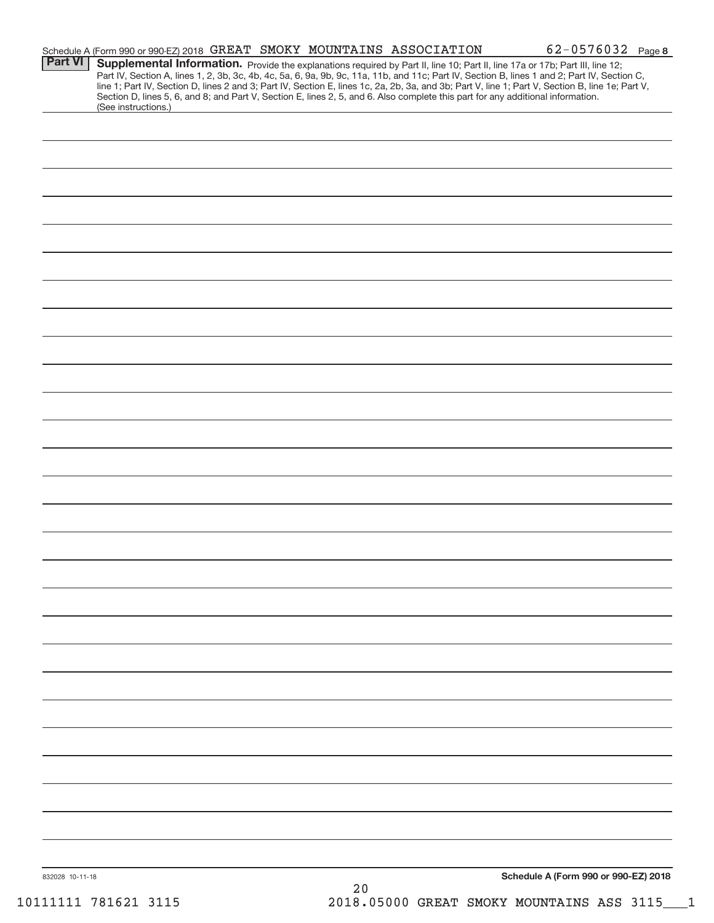|                 | Schedule A (Form 990 or 990-EZ) 2018 GREAT SMOKY MOUNTAINS ASSOCIATION                                                                                                                                                                                                                                                                                                                                                                                                                                                                                               |  |    |  | 62-0576032 Page 8                    |  |
|-----------------|----------------------------------------------------------------------------------------------------------------------------------------------------------------------------------------------------------------------------------------------------------------------------------------------------------------------------------------------------------------------------------------------------------------------------------------------------------------------------------------------------------------------------------------------------------------------|--|----|--|--------------------------------------|--|
| Part VI         | Supplemental Information. Provide the explanations required by Part II, line 10; Part II, line 17a or 17b; Part III, line 12;<br>Part IV, Section A, lines 1, 2, 3b, 3c, 4b, 4c, 5a, 6, 9a, 9b, 9c, 11a, 11b, and 11c; Part IV, Section B, lines 1 and 2; Part IV, Section C,<br>line 1; Part IV, Section D, lines 2 and 3; Part IV, Section E, lines 1c, 2a, 2b, 3a, and 3b; Part V, line 1; Part V, Section B, line 1e; Part V,<br>Section D, lines 5, 6, and 8; and Part V, Section E, lines 2, 5, and 6. Also complete this part for any additional information. |  |    |  |                                      |  |
|                 | (See instructions.)                                                                                                                                                                                                                                                                                                                                                                                                                                                                                                                                                  |  |    |  |                                      |  |
|                 |                                                                                                                                                                                                                                                                                                                                                                                                                                                                                                                                                                      |  |    |  |                                      |  |
|                 |                                                                                                                                                                                                                                                                                                                                                                                                                                                                                                                                                                      |  |    |  |                                      |  |
|                 |                                                                                                                                                                                                                                                                                                                                                                                                                                                                                                                                                                      |  |    |  |                                      |  |
|                 |                                                                                                                                                                                                                                                                                                                                                                                                                                                                                                                                                                      |  |    |  |                                      |  |
|                 |                                                                                                                                                                                                                                                                                                                                                                                                                                                                                                                                                                      |  |    |  |                                      |  |
|                 |                                                                                                                                                                                                                                                                                                                                                                                                                                                                                                                                                                      |  |    |  |                                      |  |
|                 |                                                                                                                                                                                                                                                                                                                                                                                                                                                                                                                                                                      |  |    |  |                                      |  |
|                 |                                                                                                                                                                                                                                                                                                                                                                                                                                                                                                                                                                      |  |    |  |                                      |  |
|                 |                                                                                                                                                                                                                                                                                                                                                                                                                                                                                                                                                                      |  |    |  |                                      |  |
|                 |                                                                                                                                                                                                                                                                                                                                                                                                                                                                                                                                                                      |  |    |  |                                      |  |
|                 |                                                                                                                                                                                                                                                                                                                                                                                                                                                                                                                                                                      |  |    |  |                                      |  |
|                 |                                                                                                                                                                                                                                                                                                                                                                                                                                                                                                                                                                      |  |    |  |                                      |  |
|                 |                                                                                                                                                                                                                                                                                                                                                                                                                                                                                                                                                                      |  |    |  |                                      |  |
|                 |                                                                                                                                                                                                                                                                                                                                                                                                                                                                                                                                                                      |  |    |  |                                      |  |
|                 |                                                                                                                                                                                                                                                                                                                                                                                                                                                                                                                                                                      |  |    |  |                                      |  |
|                 |                                                                                                                                                                                                                                                                                                                                                                                                                                                                                                                                                                      |  |    |  |                                      |  |
|                 |                                                                                                                                                                                                                                                                                                                                                                                                                                                                                                                                                                      |  |    |  |                                      |  |
|                 |                                                                                                                                                                                                                                                                                                                                                                                                                                                                                                                                                                      |  |    |  |                                      |  |
|                 |                                                                                                                                                                                                                                                                                                                                                                                                                                                                                                                                                                      |  |    |  |                                      |  |
|                 |                                                                                                                                                                                                                                                                                                                                                                                                                                                                                                                                                                      |  |    |  |                                      |  |
|                 |                                                                                                                                                                                                                                                                                                                                                                                                                                                                                                                                                                      |  |    |  |                                      |  |
|                 |                                                                                                                                                                                                                                                                                                                                                                                                                                                                                                                                                                      |  |    |  |                                      |  |
|                 |                                                                                                                                                                                                                                                                                                                                                                                                                                                                                                                                                                      |  |    |  |                                      |  |
|                 |                                                                                                                                                                                                                                                                                                                                                                                                                                                                                                                                                                      |  |    |  |                                      |  |
|                 |                                                                                                                                                                                                                                                                                                                                                                                                                                                                                                                                                                      |  |    |  |                                      |  |
|                 |                                                                                                                                                                                                                                                                                                                                                                                                                                                                                                                                                                      |  |    |  |                                      |  |
|                 |                                                                                                                                                                                                                                                                                                                                                                                                                                                                                                                                                                      |  |    |  |                                      |  |
|                 |                                                                                                                                                                                                                                                                                                                                                                                                                                                                                                                                                                      |  |    |  |                                      |  |
|                 |                                                                                                                                                                                                                                                                                                                                                                                                                                                                                                                                                                      |  |    |  |                                      |  |
|                 |                                                                                                                                                                                                                                                                                                                                                                                                                                                                                                                                                                      |  |    |  |                                      |  |
|                 |                                                                                                                                                                                                                                                                                                                                                                                                                                                                                                                                                                      |  |    |  |                                      |  |
|                 |                                                                                                                                                                                                                                                                                                                                                                                                                                                                                                                                                                      |  |    |  |                                      |  |
|                 |                                                                                                                                                                                                                                                                                                                                                                                                                                                                                                                                                                      |  |    |  |                                      |  |
|                 |                                                                                                                                                                                                                                                                                                                                                                                                                                                                                                                                                                      |  |    |  |                                      |  |
|                 |                                                                                                                                                                                                                                                                                                                                                                                                                                                                                                                                                                      |  |    |  |                                      |  |
|                 |                                                                                                                                                                                                                                                                                                                                                                                                                                                                                                                                                                      |  |    |  |                                      |  |
| 832028 10-11-18 |                                                                                                                                                                                                                                                                                                                                                                                                                                                                                                                                                                      |  | 20 |  | Schedule A (Form 990 or 990-EZ) 2018 |  |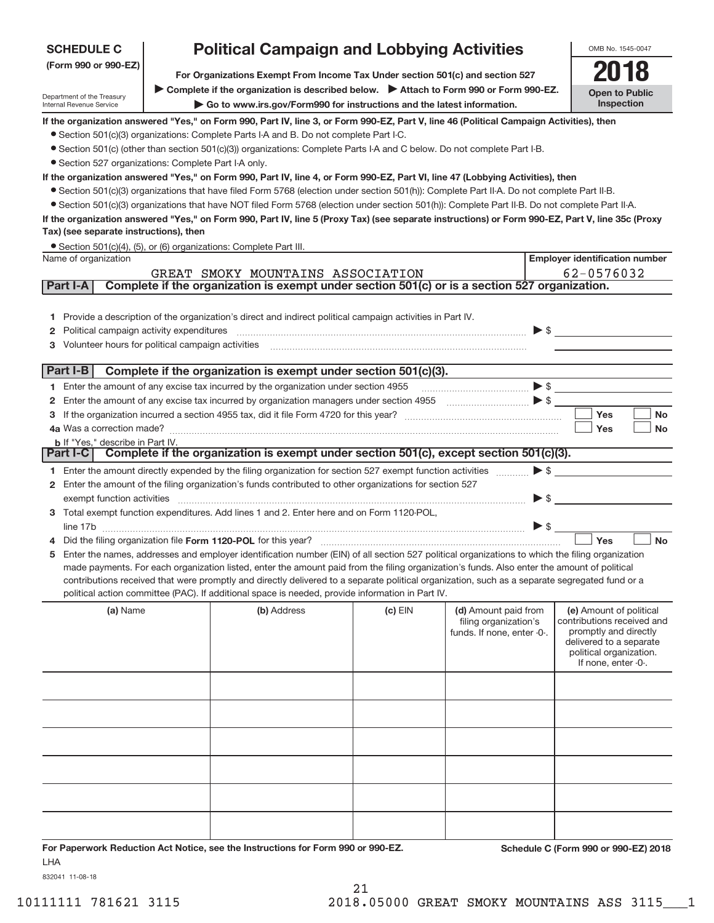| <b>SCHEDULE C</b>                                      | <b>Political Campaign and Lobbying Activities</b>                                                                                                                                                                                                                                                   |                                     |                            |                     | OMB No. 1545-0047                                |
|--------------------------------------------------------|-----------------------------------------------------------------------------------------------------------------------------------------------------------------------------------------------------------------------------------------------------------------------------------------------------|-------------------------------------|----------------------------|---------------------|--------------------------------------------------|
| (Form 990 or 990-EZ)                                   |                                                                                                                                                                                                                                                                                                     |                                     |                            |                     |                                                  |
|                                                        | For Organizations Exempt From Income Tax Under section 501(c) and section 527                                                                                                                                                                                                                       |                                     |                            |                     |                                                  |
| Department of the Treasury<br>Internal Revenue Service | ▶ Complete if the organization is described below. ▶ Attach to Form 990 or Form 990-EZ.                                                                                                                                                                                                             | <b>Open to Public</b><br>Inspection |                            |                     |                                                  |
|                                                        | If the organization answered "Yes," on Form 990, Part IV, line 3, or Form 990-EZ, Part V, line 46 (Political Campaign Activities), then                                                                                                                                                             |                                     |                            |                     |                                                  |
|                                                        | • Section 501(c)(3) organizations: Complete Parts I-A and B. Do not complete Part I-C.                                                                                                                                                                                                              |                                     |                            |                     |                                                  |
|                                                        | • Section 501(c) (other than section 501(c)(3)) organizations: Complete Parts I-A and C below. Do not complete Part I-B.                                                                                                                                                                            |                                     |                            |                     |                                                  |
| • Section 527 organizations: Complete Part I-A only.   |                                                                                                                                                                                                                                                                                                     |                                     |                            |                     |                                                  |
|                                                        | If the organization answered "Yes," on Form 990, Part IV, line 4, or Form 990-EZ, Part VI, line 47 (Lobbying Activities), then                                                                                                                                                                      |                                     |                            |                     |                                                  |
|                                                        | • Section 501(c)(3) organizations that have filed Form 5768 (election under section 501(h)): Complete Part II-A. Do not complete Part II-B.                                                                                                                                                         |                                     |                            |                     |                                                  |
|                                                        | • Section 501(c)(3) organizations that have NOT filed Form 5768 (election under section 501(h)): Complete Part II-B. Do not complete Part II-A.<br>If the organization answered "Yes," on Form 990, Part IV, line 5 (Proxy Tax) (see separate instructions) or Form 990-EZ, Part V, line 35c (Proxy |                                     |                            |                     |                                                  |
| Tax) (see separate instructions), then                 |                                                                                                                                                                                                                                                                                                     |                                     |                            |                     |                                                  |
|                                                        | • Section 501(c)(4), (5), or (6) organizations: Complete Part III.                                                                                                                                                                                                                                  |                                     |                            |                     |                                                  |
| Name of organization                                   |                                                                                                                                                                                                                                                                                                     |                                     |                            |                     | <b>Employer identification number</b>            |
|                                                        | GREAT SMOKY MOUNTAINS ASSOCIATION                                                                                                                                                                                                                                                                   |                                     |                            |                     | 62-0576032                                       |
| Part I-A                                               | Complete if the organization is exempt under section 501(c) or is a section 527 organization.                                                                                                                                                                                                       |                                     |                            |                     |                                                  |
|                                                        |                                                                                                                                                                                                                                                                                                     |                                     |                            |                     |                                                  |
|                                                        | 1 Provide a description of the organization's direct and indirect political campaign activities in Part IV.                                                                                                                                                                                         |                                     |                            |                     |                                                  |
| Political campaign activity expenditures<br>2          |                                                                                                                                                                                                                                                                                                     |                                     |                            |                     |                                                  |
| Volunteer hours for political campaign activities<br>3 |                                                                                                                                                                                                                                                                                                     |                                     |                            |                     |                                                  |
| Part I-B                                               | Complete if the organization is exempt under section 501(c)(3).                                                                                                                                                                                                                                     |                                     |                            |                     |                                                  |
|                                                        | 1 Enter the amount of any excise tax incurred by the organization under section 4955                                                                                                                                                                                                                |                                     | $\bullet$                  |                     |                                                  |
| 2                                                      | Enter the amount of any excise tax incurred by organization managers under section 4955 [100] [100] S [100] S                                                                                                                                                                                       |                                     |                            |                     |                                                  |
| 3                                                      |                                                                                                                                                                                                                                                                                                     |                                     |                            |                     | Yes<br><b>No</b>                                 |
|                                                        |                                                                                                                                                                                                                                                                                                     |                                     |                            |                     | Yes<br><b>No</b>                                 |
| <b>b</b> If "Yes," describe in Part IV.                |                                                                                                                                                                                                                                                                                                     |                                     |                            |                     |                                                  |
|                                                        | Part I-C   Complete if the organization is exempt under section 501(c), except section 501(c)(3).                                                                                                                                                                                                   |                                     |                            |                     |                                                  |
|                                                        | 1 Enter the amount directly expended by the filing organization for section 527 exempt function activities                                                                                                                                                                                          |                                     |                            |                     | $\blacktriangleright$ \$                         |
| $\mathbf{2}$                                           | Enter the amount of the filing organization's funds contributed to other organizations for section 527                                                                                                                                                                                              |                                     |                            |                     |                                                  |
| exempt function activities                             |                                                                                                                                                                                                                                                                                                     |                                     |                            | $\triangleright$ \$ |                                                  |
|                                                        | 3 Total exempt function expenditures. Add lines 1 and 2. Enter here and on Form 1120-POL,                                                                                                                                                                                                           |                                     |                            |                     |                                                  |
|                                                        |                                                                                                                                                                                                                                                                                                     |                                     |                            | $\triangleright$ \$ |                                                  |
|                                                        |                                                                                                                                                                                                                                                                                                     |                                     |                            |                     | Yes<br><b>No</b>                                 |
|                                                        | 5 Enter the names, addresses and employer identification number (EIN) of all section 527 political organizations to which the filing organization<br>made payments. For each organization listed, enter the amount paid from the filing organization's funds. Also enter the amount of political    |                                     |                            |                     |                                                  |
|                                                        | contributions received that were promptly and directly delivered to a separate political organization, such as a separate segregated fund or a                                                                                                                                                      |                                     |                            |                     |                                                  |
|                                                        | political action committee (PAC). If additional space is needed, provide information in Part IV.                                                                                                                                                                                                    |                                     |                            |                     |                                                  |
| (a) Name                                               | (b) Address                                                                                                                                                                                                                                                                                         | $(c)$ EIN                           | (d) Amount paid from       |                     | (e) Amount of political                          |
|                                                        |                                                                                                                                                                                                                                                                                                     |                                     | filing organization's      |                     | contributions received and                       |
|                                                        |                                                                                                                                                                                                                                                                                                     |                                     | funds. If none, enter -0-. |                     | promptly and directly<br>delivered to a separate |
|                                                        |                                                                                                                                                                                                                                                                                                     |                                     |                            |                     | political organization.                          |
|                                                        |                                                                                                                                                                                                                                                                                                     |                                     |                            |                     | If none, enter -0-.                              |
|                                                        |                                                                                                                                                                                                                                                                                                     |                                     |                            |                     |                                                  |
|                                                        |                                                                                                                                                                                                                                                                                                     |                                     |                            |                     |                                                  |
|                                                        |                                                                                                                                                                                                                                                                                                     |                                     |                            |                     |                                                  |
|                                                        |                                                                                                                                                                                                                                                                                                     |                                     |                            |                     |                                                  |
|                                                        |                                                                                                                                                                                                                                                                                                     |                                     |                            |                     |                                                  |
|                                                        |                                                                                                                                                                                                                                                                                                     |                                     |                            |                     |                                                  |
|                                                        |                                                                                                                                                                                                                                                                                                     |                                     |                            |                     |                                                  |
|                                                        |                                                                                                                                                                                                                                                                                                     |                                     |                            |                     |                                                  |
|                                                        |                                                                                                                                                                                                                                                                                                     |                                     |                            |                     |                                                  |
|                                                        |                                                                                                                                                                                                                                                                                                     |                                     |                            |                     |                                                  |
|                                                        |                                                                                                                                                                                                                                                                                                     |                                     |                            |                     |                                                  |
|                                                        | For Paperwork Reduction Act Notice, see the Instructions for Form 990 or 990-F7                                                                                                                                                                                                                     |                                     |                            |                     | Schedule C (Form 990 or 990-F7) 2018             |

**For Paperwork Reduction Act Notice, see the Instructions for Form 990 or 990‐EZ. Schedule C (Form 990 or 990‐EZ) 2018** LHA

832041 11‐08‐18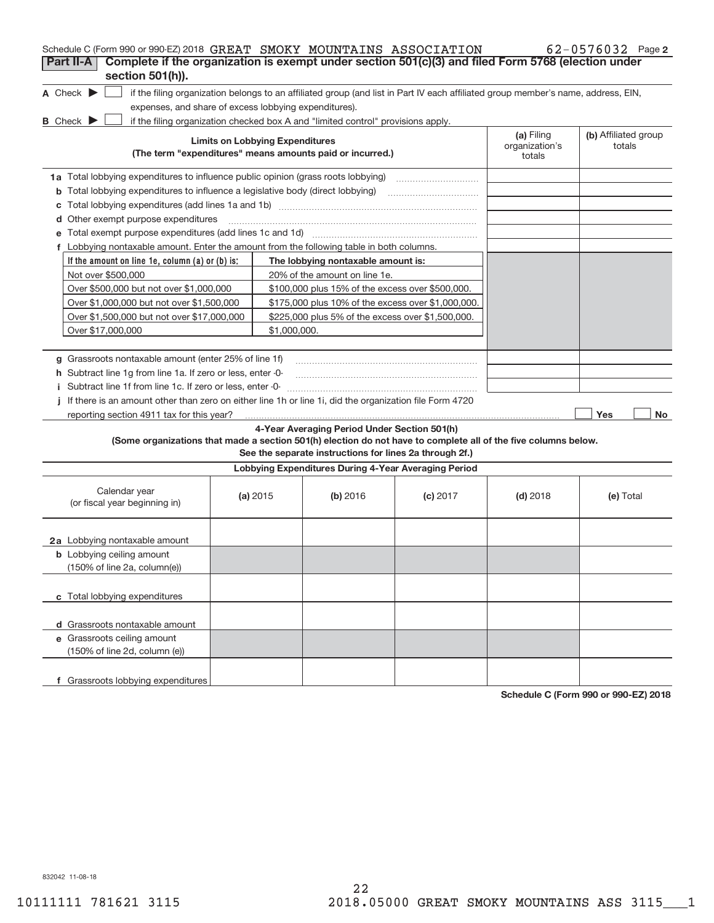| Schedule C (Form 990 or 990-EZ) 2018 GREAT SMOKY MOUNTAINS ASSOCIATION                                                                                             |                                                   |                                                           |            |                                        | 62-0576032 Page 2              |
|--------------------------------------------------------------------------------------------------------------------------------------------------------------------|---------------------------------------------------|-----------------------------------------------------------|------------|----------------------------------------|--------------------------------|
| Complete if the organization is exempt under section 501(c)(3) and filed Form 5768 (election under<br>Part II-A                                                    |                                                   |                                                           |            |                                        |                                |
| section 501(h)).                                                                                                                                                   |                                                   |                                                           |            |                                        |                                |
| A Check $\blacktriangleright$<br>if the filing organization belongs to an affiliated group (and list in Part IV each affiliated group member's name, address, EIN, |                                                   |                                                           |            |                                        |                                |
| expenses, and share of excess lobbying expenditures).                                                                                                              |                                                   |                                                           |            |                                        |                                |
| <b>B</b> Check $\blacktriangleright$<br>if the filing organization checked box A and "limited control" provisions apply.                                           |                                                   |                                                           |            |                                        |                                |
|                                                                                                                                                                    | <b>Limits on Lobbying Expenditures</b>            | (The term "expenditures" means amounts paid or incurred.) |            | (a) Filing<br>organization's<br>totals | (b) Affiliated group<br>totals |
| 1a Total lobbying expenditures to influence public opinion (grass roots lobbying)                                                                                  |                                                   |                                                           |            |                                        |                                |
| Total lobbying expenditures to influence a legislative body (direct lobbying)<br>b                                                                                 |                                                   |                                                           |            |                                        |                                |
| с                                                                                                                                                                  |                                                   |                                                           |            |                                        |                                |
| Other exempt purpose expenditures<br>d                                                                                                                             |                                                   |                                                           |            |                                        |                                |
|                                                                                                                                                                    |                                                   |                                                           |            |                                        |                                |
| f Lobbying nontaxable amount. Enter the amount from the following table in both columns.                                                                           |                                                   |                                                           |            |                                        |                                |
| If the amount on line 1e, column (a) or (b) is:                                                                                                                    |                                                   | The lobbying nontaxable amount is:                        |            |                                        |                                |
| Not over \$500,000                                                                                                                                                 |                                                   | 20% of the amount on line 1e.                             |            |                                        |                                |
| Over \$500,000 but not over \$1,000,000                                                                                                                            |                                                   | \$100,000 plus 15% of the excess over \$500,000.          |            |                                        |                                |
| Over \$1,000,000 but not over \$1,500,000                                                                                                                          |                                                   | \$175,000 plus 10% of the excess over \$1,000,000.        |            |                                        |                                |
| Over \$1,500,000 but not over \$17,000,000                                                                                                                         | \$225,000 plus 5% of the excess over \$1,500,000. |                                                           |            |                                        |                                |
| Over \$17,000,000                                                                                                                                                  | \$1,000,000.                                      |                                                           |            |                                        |                                |
|                                                                                                                                                                    |                                                   |                                                           |            |                                        |                                |
| g Grassroots nontaxable amount (enter 25% of line 1f)                                                                                                              |                                                   |                                                           |            |                                        |                                |
| h Subtract line 1g from line 1a. If zero or less, enter -0-                                                                                                        |                                                   |                                                           |            |                                        |                                |
| i Subtract line 1f from line 1c. If zero or less, enter -0-                                                                                                        |                                                   |                                                           |            |                                        |                                |
| If there is an amount other than zero on either line 1h or line 1i, did the organization file Form 4720                                                            |                                                   |                                                           |            |                                        |                                |
| reporting section 4911 tax for this year?                                                                                                                          |                                                   |                                                           |            |                                        | Yes<br>No                      |
|                                                                                                                                                                    |                                                   | 4-Year Averaging Period Under Section 501(h)              |            |                                        |                                |
| (Some organizations that made a section 501(h) election do not have to complete all of the five columns below.                                                     |                                                   | See the separate instructions for lines 2a through 2f.)   |            |                                        |                                |
|                                                                                                                                                                    |                                                   | Lobbying Expenditures During 4-Year Averaging Period      |            |                                        |                                |
| Calendar year<br>(or fiscal year beginning in)                                                                                                                     | (a) 2015                                          | (b) 2016                                                  | $(c)$ 2017 | $(d)$ 2018                             | (e) Total                      |
| 2a Lobbying nontaxable amount                                                                                                                                      |                                                   |                                                           |            |                                        |                                |
| <b>b</b> Lobbying ceiling amount<br>(150% of line 2a, column(e))                                                                                                   |                                                   |                                                           |            |                                        |                                |
| c Total lobbying expenditures                                                                                                                                      |                                                   |                                                           |            |                                        |                                |
| d Grassroots nontaxable amount                                                                                                                                     |                                                   |                                                           |            |                                        |                                |
| e Grassroots ceiling amount                                                                                                                                        |                                                   |                                                           |            |                                        |                                |
| (150% of line 2d, column (e))                                                                                                                                      |                                                   |                                                           |            |                                        |                                |
| f Grassroots lobbying expenditures                                                                                                                                 |                                                   |                                                           |            |                                        |                                |

**Schedule C (Form 990 or 990‐EZ) 2018**

832042 11‐08‐18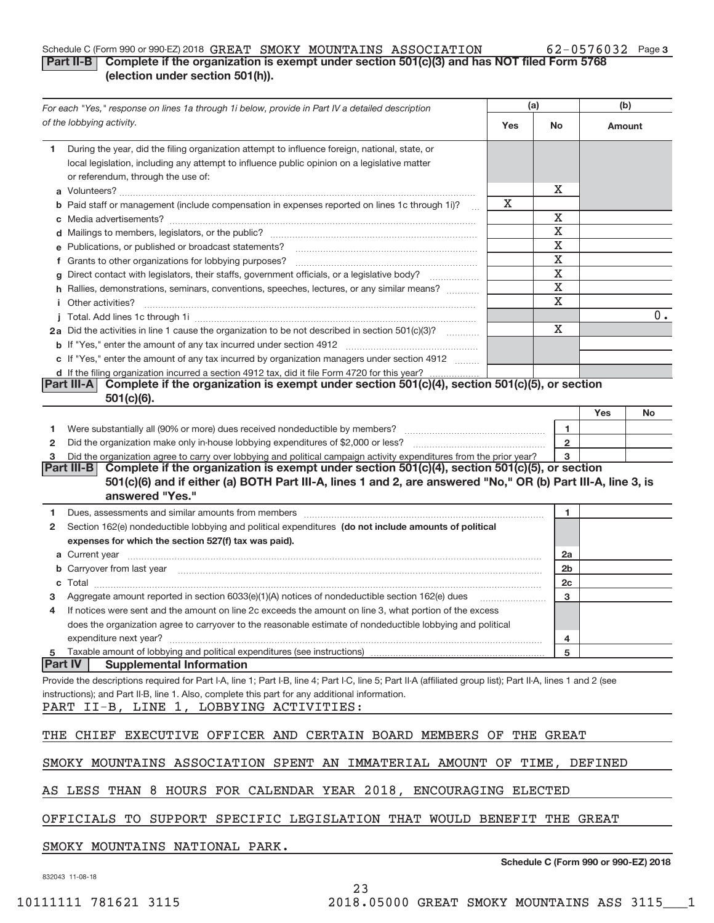#### 62-0576032 Page 3 Schedule C (Form 990 or 990‐EZ) 2018 Page **Part II‐B Complete if the organization is exempt under section 501(c)(3) and has NOT filed Form 5768 (election under section 501(h)).** GREAT SMOKY MOUNTAINS ASSOCIATION 62‐0576032

|                | For each "Yes," response on lines 1a through 1i below, provide in Part IV a detailed description                                                                                                                                     | (a) |                         | (b)                                  |    |
|----------------|--------------------------------------------------------------------------------------------------------------------------------------------------------------------------------------------------------------------------------------|-----|-------------------------|--------------------------------------|----|
|                | of the lobbying activity.                                                                                                                                                                                                            | Yes | <b>No</b>               | Amount                               |    |
| 1.             | During the year, did the filing organization attempt to influence foreign, national, state, or<br>local legislation, including any attempt to influence public opinion on a legislative matter<br>or referendum, through the use of: |     |                         |                                      |    |
|                |                                                                                                                                                                                                                                      |     | x                       |                                      |    |
|                | <b>b</b> Paid staff or management (include compensation in expenses reported on lines 1c through 1i)?                                                                                                                                | X   |                         |                                      |    |
|                |                                                                                                                                                                                                                                      |     | Χ                       |                                      |    |
|                |                                                                                                                                                                                                                                      |     | X                       |                                      |    |
|                | e Publications, or published or broadcast statements?                                                                                                                                                                                |     | X                       |                                      |    |
|                | f Grants to other organizations for lobbying purposes?                                                                                                                                                                               |     | X                       |                                      |    |
|                | Direct contact with legislators, their staffs, government officials, or a legislative body?                                                                                                                                          |     | $\mathbf X$             |                                      |    |
|                | h Rallies, demonstrations, seminars, conventions, speeches, lectures, or any similar means?                                                                                                                                          |     | $\overline{\textbf{x}}$ |                                      |    |
|                | <i>i</i> Other activities?                                                                                                                                                                                                           |     | $\mathbf x$             |                                      |    |
|                |                                                                                                                                                                                                                                      |     |                         |                                      | 0. |
|                | 2a Did the activities in line 1 cause the organization to be not described in section 501(c)(3)?                                                                                                                                     |     | X                       |                                      |    |
|                |                                                                                                                                                                                                                                      |     |                         |                                      |    |
|                | c If "Yes," enter the amount of any tax incurred by organization managers under section 4912                                                                                                                                         |     |                         |                                      |    |
|                | d If the filing organization incurred a section 4912 tax, did it file Form 4720 for this year?                                                                                                                                       |     |                         |                                      |    |
|                | Complete if the organization is exempt under section 501(c)(4), section 501(c)(5), or section<br>Part III-A I<br>$501(c)(6)$ .                                                                                                       |     |                         |                                      |    |
|                |                                                                                                                                                                                                                                      |     |                         | Yes                                  | No |
| 1.             |                                                                                                                                                                                                                                      |     | 1                       |                                      |    |
| 2              |                                                                                                                                                                                                                                      |     | $\mathbf{2}$            |                                      |    |
| з              | Did the organization agree to carry over lobbying and political campaign activity expenditures from the prior year?                                                                                                                  |     | 3                       |                                      |    |
|                | Part III-B Complete if the organization is exempt under section 501(c)(4), section 501(c)(5), or section                                                                                                                             |     |                         |                                      |    |
|                | 501(c)(6) and if either (a) BOTH Part III-A, lines 1 and 2, are answered "No," OR (b) Part III-A, line 3, is<br>answered "Yes."                                                                                                      |     |                         |                                      |    |
| 1              |                                                                                                                                                                                                                                      |     | 1                       |                                      |    |
| 2              | Section 162(e) nondeductible lobbying and political expenditures (do not include amounts of political                                                                                                                                |     |                         |                                      |    |
|                | expenses for which the section 527(f) tax was paid).                                                                                                                                                                                 |     |                         |                                      |    |
|                |                                                                                                                                                                                                                                      |     | 2a                      |                                      |    |
|                | b Carryover from last year manufactured and contract the contract of the contract of the contract of the contract of the contract of the contract of the contract of the contract of the contract of contract of contract of c       |     | 2b                      |                                      |    |
| c              |                                                                                                                                                                                                                                      |     | 2c                      |                                      |    |
|                |                                                                                                                                                                                                                                      |     | 3                       |                                      |    |
| 4              | If notices were sent and the amount on line 2c exceeds the amount on line 3, what portion of the excess                                                                                                                              |     |                         |                                      |    |
|                | does the organization agree to carryover to the reasonable estimate of nondeductible lobbying and political                                                                                                                          |     |                         |                                      |    |
|                | expenditure next year?                                                                                                                                                                                                               |     | 4                       |                                      |    |
|                | 5 Taxable amount of lobbying and political expenditures (see instructions)                                                                                                                                                           |     | 5                       |                                      |    |
| <b>Part IV</b> | <b>Supplemental Information</b>                                                                                                                                                                                                      |     |                         |                                      |    |
|                | Provide the descriptions required for Part I-A, line 1; Part I-B, line 4; Part I-C, line 5; Part II-A (affiliated group list); Part II-A, lines 1 and 2 (see                                                                         |     |                         |                                      |    |
|                | instructions); and Part II-B, line 1. Also, complete this part for any additional information.                                                                                                                                       |     |                         |                                      |    |
|                | PART II-B, LINE 1, LOBBYING ACTIVITIES:                                                                                                                                                                                              |     |                         |                                      |    |
|                |                                                                                                                                                                                                                                      |     |                         |                                      |    |
|                | THE CHIEF EXECUTIVE OFFICER AND CERTAIN BOARD MEMBERS OF THE GREAT                                                                                                                                                                   |     |                         |                                      |    |
|                | SMOKY MOUNTAINS ASSOCIATION SPENT AN IMMATERIAL AMOUNT OF TIME, DEFINED                                                                                                                                                              |     |                         |                                      |    |
|                | AS LESS THAN 8 HOURS FOR CALENDAR YEAR 2018, ENCOURAGING ELECTED                                                                                                                                                                     |     |                         |                                      |    |
|                | OFFICIALS TO SUPPORT SPECIFIC LEGISLATION THAT WOULD BENEFIT THE GREAT                                                                                                                                                               |     |                         |                                      |    |
|                | SMOKY MOUNTAINS NATIONAL PARK.                                                                                                                                                                                                       |     |                         |                                      |    |
|                | 832043 11-08-18                                                                                                                                                                                                                      |     |                         | Schedule C (Form 990 or 990-EZ) 2018 |    |
|                |                                                                                                                                                                                                                                      |     |                         |                                      |    |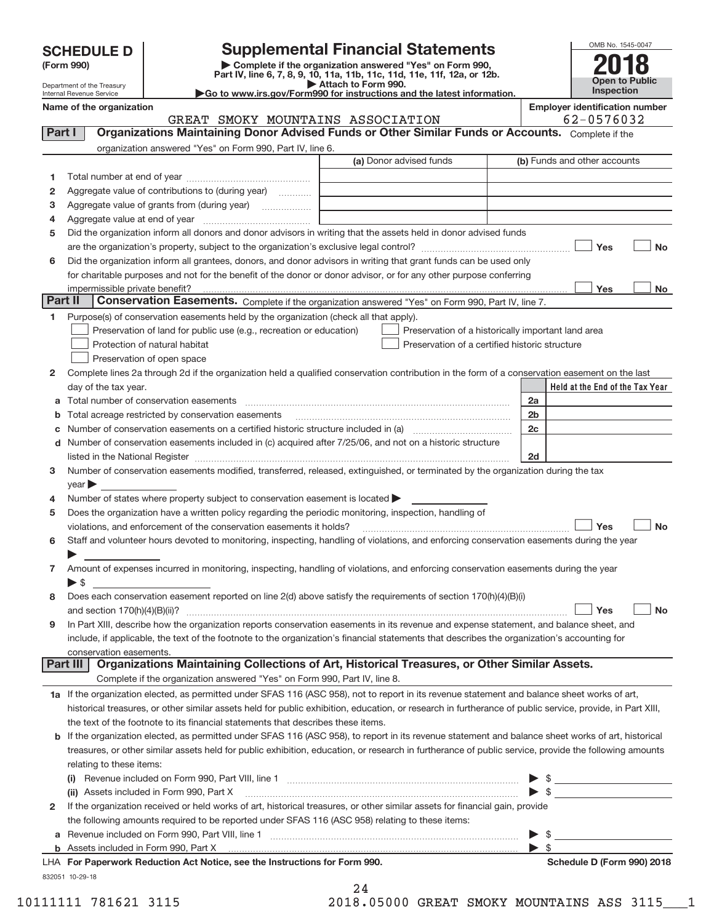| <b>SCHEDULE D</b> |  |
|-------------------|--|
|-------------------|--|

| (Form 990) |  |
|------------|--|
|------------|--|

**(Form 990) | Complete if the organization answered "Yes" on Form 990, Part IV, line 6, 7, 8, 9, 10, 11a, 11b, 11c, 11d, 11e, 11f, 12a, or 12b. SCHEDULE D Supplemental Financial Statements**<br> **Form 990 Complete if the organization answered "Yes" on Form 990, <b>2018**<br>
Part IV, line 6, 7, 8, 9, 10, 11a, 11b, 11c, 11d, 11e, 11f, 12a, or 12b.



Department of the Treasury Internal Revenue Service

**| Attach to Form 990. |Go to www.irs.gov/Form990 for instructions and the latest information.**

|         | Name of the organization                                                                                                                                  |                                                    | <b>Employer identification number</b>                                                                                                                                                                                                                                                                               |
|---------|-----------------------------------------------------------------------------------------------------------------------------------------------------------|----------------------------------------------------|---------------------------------------------------------------------------------------------------------------------------------------------------------------------------------------------------------------------------------------------------------------------------------------------------------------------|
|         | GREAT SMOKY MOUNTAINS ASSOCIATION<br>Organizations Maintaining Donor Advised Funds or Other Similar Funds or Accounts. Complete if the                    |                                                    | 62-0576032                                                                                                                                                                                                                                                                                                          |
| Part I  |                                                                                                                                                           |                                                    |                                                                                                                                                                                                                                                                                                                     |
|         | organization answered "Yes" on Form 990, Part IV, line 6.                                                                                                 | (a) Donor advised funds                            | (b) Funds and other accounts                                                                                                                                                                                                                                                                                        |
|         |                                                                                                                                                           |                                                    |                                                                                                                                                                                                                                                                                                                     |
| 1       |                                                                                                                                                           |                                                    |                                                                                                                                                                                                                                                                                                                     |
| 2       | Aggregate value of contributions to (during year)                                                                                                         |                                                    |                                                                                                                                                                                                                                                                                                                     |
| з       | Aggregate value of grants from (during year)                                                                                                              |                                                    |                                                                                                                                                                                                                                                                                                                     |
| 4       |                                                                                                                                                           |                                                    |                                                                                                                                                                                                                                                                                                                     |
| 5       | Did the organization inform all donors and donor advisors in writing that the assets held in donor advised funds                                          |                                                    |                                                                                                                                                                                                                                                                                                                     |
|         |                                                                                                                                                           |                                                    | Yes<br><b>No</b>                                                                                                                                                                                                                                                                                                    |
| 6       | Did the organization inform all grantees, donors, and donor advisors in writing that grant funds can be used only                                         |                                                    |                                                                                                                                                                                                                                                                                                                     |
|         | for charitable purposes and not for the benefit of the donor or donor advisor, or for any other purpose conferring                                        |                                                    | Yes<br>No                                                                                                                                                                                                                                                                                                           |
| Part II | Conservation Easements. Complete if the organization answered "Yes" on Form 990, Part IV, line 7.                                                         |                                                    |                                                                                                                                                                                                                                                                                                                     |
| 1       | Purpose(s) of conservation easements held by the organization (check all that apply).                                                                     |                                                    |                                                                                                                                                                                                                                                                                                                     |
|         | Preservation of land for public use (e.g., recreation or education)                                                                                       | Preservation of a historically important land area |                                                                                                                                                                                                                                                                                                                     |
|         | Protection of natural habitat                                                                                                                             | Preservation of a certified historic structure     |                                                                                                                                                                                                                                                                                                                     |
|         | Preservation of open space                                                                                                                                |                                                    |                                                                                                                                                                                                                                                                                                                     |
| 2       | Complete lines 2a through 2d if the organization held a qualified conservation contribution in the form of a conservation easement on the last            |                                                    |                                                                                                                                                                                                                                                                                                                     |
|         | day of the tax year.                                                                                                                                      |                                                    | Held at the End of the Tax Year                                                                                                                                                                                                                                                                                     |
| a       | Total number of conservation easements                                                                                                                    |                                                    | 2a                                                                                                                                                                                                                                                                                                                  |
| b       | Total acreage restricted by conservation easements                                                                                                        |                                                    | 2 <sub>b</sub>                                                                                                                                                                                                                                                                                                      |
|         |                                                                                                                                                           |                                                    | 2c                                                                                                                                                                                                                                                                                                                  |
| d       | Number of conservation easements included in (c) acquired after 7/25/06, and not on a historic structure                                                  |                                                    |                                                                                                                                                                                                                                                                                                                     |
|         |                                                                                                                                                           |                                                    | 2d                                                                                                                                                                                                                                                                                                                  |
| 3       | Number of conservation easements modified, transferred, released, extinguished, or terminated by the organization during the tax                          |                                                    |                                                                                                                                                                                                                                                                                                                     |
|         | $year \rightarrow$                                                                                                                                        |                                                    |                                                                                                                                                                                                                                                                                                                     |
| 4       | Number of states where property subject to conservation easement is located >                                                                             |                                                    |                                                                                                                                                                                                                                                                                                                     |
| 5       | Does the organization have a written policy regarding the periodic monitoring, inspection, handling of                                                    |                                                    |                                                                                                                                                                                                                                                                                                                     |
|         | violations, and enforcement of the conservation easements it holds?                                                                                       |                                                    | Yes<br><b>No</b>                                                                                                                                                                                                                                                                                                    |
| 6       | Staff and volunteer hours devoted to monitoring, inspecting, handling of violations, and enforcing conservation easements during the year                 |                                                    |                                                                                                                                                                                                                                                                                                                     |
|         |                                                                                                                                                           |                                                    |                                                                                                                                                                                                                                                                                                                     |
| 7       | Amount of expenses incurred in monitoring, inspecting, handling of violations, and enforcing conservation easements during the year                       |                                                    |                                                                                                                                                                                                                                                                                                                     |
|         | $\blacktriangleright$ \$                                                                                                                                  |                                                    |                                                                                                                                                                                                                                                                                                                     |
| 8       | Does each conservation easement reported on line 2(d) above satisfy the requirements of section 170(h)(4)(B)(i)                                           |                                                    |                                                                                                                                                                                                                                                                                                                     |
|         |                                                                                                                                                           |                                                    | Yes<br><b>No</b>                                                                                                                                                                                                                                                                                                    |
|         | In Part XIII, describe how the organization reports conservation easements in its revenue and expense statement, and balance sheet, and                   |                                                    |                                                                                                                                                                                                                                                                                                                     |
|         | include, if applicable, the text of the footnote to the organization's financial statements that describes the organization's accounting for              |                                                    |                                                                                                                                                                                                                                                                                                                     |
|         | conservation easements.                                                                                                                                   |                                                    |                                                                                                                                                                                                                                                                                                                     |
|         | Organizations Maintaining Collections of Art, Historical Treasures, or Other Similar Assets.<br>Part III                                                  |                                                    |                                                                                                                                                                                                                                                                                                                     |
|         | Complete if the organization answered "Yes" on Form 990, Part IV, line 8.                                                                                 |                                                    |                                                                                                                                                                                                                                                                                                                     |
|         | 1a If the organization elected, as permitted under SFAS 116 (ASC 958), not to report in its revenue statement and balance sheet works of art,             |                                                    |                                                                                                                                                                                                                                                                                                                     |
|         | historical treasures, or other similar assets held for public exhibition, education, or research in furtherance of public service, provide, in Part XIII, |                                                    |                                                                                                                                                                                                                                                                                                                     |
|         | the text of the footnote to its financial statements that describes these items.                                                                          |                                                    |                                                                                                                                                                                                                                                                                                                     |
| b       | If the organization elected, as permitted under SFAS 116 (ASC 958), to report in its revenue statement and balance sheet works of art, historical         |                                                    |                                                                                                                                                                                                                                                                                                                     |
|         | treasures, or other similar assets held for public exhibition, education, or research in furtherance of public service, provide the following amounts     |                                                    |                                                                                                                                                                                                                                                                                                                     |
|         | relating to these items:                                                                                                                                  |                                                    |                                                                                                                                                                                                                                                                                                                     |
|         |                                                                                                                                                           |                                                    | $\frac{1}{2}$ $\frac{1}{2}$ $\frac{1}{2}$ $\frac{1}{2}$ $\frac{1}{2}$ $\frac{1}{2}$ $\frac{1}{2}$ $\frac{1}{2}$ $\frac{1}{2}$ $\frac{1}{2}$ $\frac{1}{2}$ $\frac{1}{2}$ $\frac{1}{2}$ $\frac{1}{2}$ $\frac{1}{2}$ $\frac{1}{2}$ $\frac{1}{2}$ $\frac{1}{2}$ $\frac{1}{2}$ $\frac{1}{2}$ $\frac{1}{2}$ $\frac{1}{2}$ |
|         | (ii) Assets included in Form 990, Part X                                                                                                                  |                                                    | $\blacktriangleright$ \$                                                                                                                                                                                                                                                                                            |
| 2       | If the organization received or held works of art, historical treasures, or other similar assets for financial gain, provide                              |                                                    |                                                                                                                                                                                                                                                                                                                     |
|         | the following amounts required to be reported under SFAS 116 (ASC 958) relating to these items:                                                           |                                                    |                                                                                                                                                                                                                                                                                                                     |
| a       |                                                                                                                                                           |                                                    | \$                                                                                                                                                                                                                                                                                                                  |
|         |                                                                                                                                                           |                                                    | $\blacktriangleright$ s                                                                                                                                                                                                                                                                                             |
|         | LHA For Paperwork Reduction Act Notice, see the Instructions for Form 990.                                                                                |                                                    | Schedule D (Form 990) 2018                                                                                                                                                                                                                                                                                          |
|         | 832051 10-29-18                                                                                                                                           | つん                                                 |                                                                                                                                                                                                                                                                                                                     |

24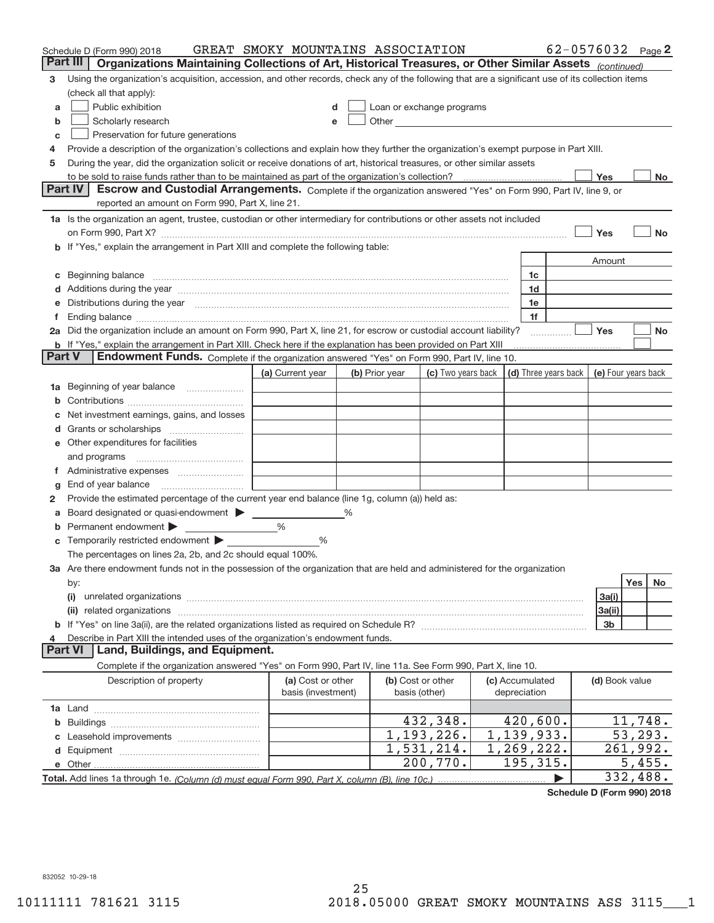|        | Schedule D (Form 990) 2018                                                                                                                                                                                                     | GREAT SMOKY MOUNTAINS ASSOCIATION |   |                |                                                                                                                                                                                                                                      |                      |                | 62-0576032 Page 2   |
|--------|--------------------------------------------------------------------------------------------------------------------------------------------------------------------------------------------------------------------------------|-----------------------------------|---|----------------|--------------------------------------------------------------------------------------------------------------------------------------------------------------------------------------------------------------------------------------|----------------------|----------------|---------------------|
|        | Part III<br>Organizations Maintaining Collections of Art, Historical Treasures, or Other Similar Assets (continued)                                                                                                            |                                   |   |                |                                                                                                                                                                                                                                      |                      |                |                     |
| 3      | Using the organization's acquisition, accession, and other records, check any of the following that are a significant use of its collection items                                                                              |                                   |   |                |                                                                                                                                                                                                                                      |                      |                |                     |
|        | (check all that apply):                                                                                                                                                                                                        |                                   |   |                |                                                                                                                                                                                                                                      |                      |                |                     |
| a      | Public exhibition                                                                                                                                                                                                              |                                   |   |                | Loan or exchange programs                                                                                                                                                                                                            |                      |                |                     |
| b      | Scholarly research                                                                                                                                                                                                             | e                                 |   |                | Other <u>with the contract of the contract of the contract of the contract of the contract of the contract of the contract of the contract of the contract of the contract of the contract of the contract of the contract of th</u> |                      |                |                     |
| с      | Preservation for future generations                                                                                                                                                                                            |                                   |   |                |                                                                                                                                                                                                                                      |                      |                |                     |
| 4      | Provide a description of the organization's collections and explain how they further the organization's exempt purpose in Part XIII.                                                                                           |                                   |   |                |                                                                                                                                                                                                                                      |                      |                |                     |
| 5      | During the year, did the organization solicit or receive donations of art, historical treasures, or other similar assets                                                                                                       |                                   |   |                |                                                                                                                                                                                                                                      |                      |                |                     |
|        | to be sold to raise funds rather than to be maintained as part of the organization's collection?                                                                                                                               |                                   |   |                |                                                                                                                                                                                                                                      |                      | Yes            | No                  |
|        | <b>Part IV</b><br>Escrow and Custodial Arrangements. Complete if the organization answered "Yes" on Form 990, Part IV, line 9, or                                                                                              |                                   |   |                |                                                                                                                                                                                                                                      |                      |                |                     |
|        | reported an amount on Form 990, Part X, line 21.                                                                                                                                                                               |                                   |   |                |                                                                                                                                                                                                                                      |                      |                |                     |
|        | 1a Is the organization an agent, trustee, custodian or other intermediary for contributions or other assets not included                                                                                                       |                                   |   |                |                                                                                                                                                                                                                                      |                      |                |                     |
|        | on Form 990, Part X? [11] matter contracts and contracts and contracts are contracted as a form 990, Part X?                                                                                                                   |                                   |   |                |                                                                                                                                                                                                                                      |                      | Yes            | <b>No</b>           |
|        | b If "Yes," explain the arrangement in Part XIII and complete the following table:                                                                                                                                             |                                   |   |                |                                                                                                                                                                                                                                      |                      |                |                     |
|        |                                                                                                                                                                                                                                |                                   |   |                |                                                                                                                                                                                                                                      |                      | Amount         |                     |
| c      | Beginning balance <b>contract to the contract of the contract of the contract of the contract of the contract of t</b>                                                                                                         |                                   |   |                |                                                                                                                                                                                                                                      | 1c                   |                |                     |
|        | Additions during the year manufactured and an annual contract of the year manufactured and all the year manufactured and all the year manufactured and all the year manufactured and all the year manufactured and all the yea |                                   |   |                |                                                                                                                                                                                                                                      | 1d                   |                |                     |
|        | Distributions during the year manufactured and an account of the state of the state of the state of the state of the state of the state of the state of the state of the state of the state of the state of the state of the s |                                   |   |                |                                                                                                                                                                                                                                      | 1e                   |                |                     |
| Ť.     |                                                                                                                                                                                                                                |                                   |   |                |                                                                                                                                                                                                                                      | 1f                   |                |                     |
|        | 2a Did the organization include an amount on Form 990, Part X, line 21, for escrow or custodial account liability?                                                                                                             |                                   |   |                |                                                                                                                                                                                                                                      |                      | Yes            | No                  |
|        | <b>b</b> If "Yes," explain the arrangement in Part XIII. Check here if the explanation has been provided on Part XIII                                                                                                          |                                   |   |                |                                                                                                                                                                                                                                      |                      |                |                     |
| Part V | Endowment Funds. Complete if the organization answered "Yes" on Form 990, Part IV, line 10.                                                                                                                                    |                                   |   |                |                                                                                                                                                                                                                                      |                      |                |                     |
|        |                                                                                                                                                                                                                                | (a) Current year                  |   | (b) Prior year | (c) Two vears back                                                                                                                                                                                                                   | (d) Three years back |                | (e) Four years back |
| 1а     | Beginning of year balance                                                                                                                                                                                                      |                                   |   |                |                                                                                                                                                                                                                                      |                      |                |                     |
|        |                                                                                                                                                                                                                                |                                   |   |                |                                                                                                                                                                                                                                      |                      |                |                     |
|        | Net investment earnings, gains, and losses                                                                                                                                                                                     |                                   |   |                |                                                                                                                                                                                                                                      |                      |                |                     |
|        |                                                                                                                                                                                                                                |                                   |   |                |                                                                                                                                                                                                                                      |                      |                |                     |
|        | e Other expenditures for facilities                                                                                                                                                                                            |                                   |   |                |                                                                                                                                                                                                                                      |                      |                |                     |
|        | and programs                                                                                                                                                                                                                   |                                   |   |                |                                                                                                                                                                                                                                      |                      |                |                     |
|        |                                                                                                                                                                                                                                |                                   |   |                |                                                                                                                                                                                                                                      |                      |                |                     |
| g      |                                                                                                                                                                                                                                |                                   |   |                |                                                                                                                                                                                                                                      |                      |                |                     |
| 2      | Provide the estimated percentage of the current year end balance (line 1g, column (a)) held as:                                                                                                                                |                                   |   |                |                                                                                                                                                                                                                                      |                      |                |                     |
| а      | Board designated or quasi-endowment                                                                                                                                                                                            |                                   | ℅ |                |                                                                                                                                                                                                                                      |                      |                |                     |
|        | Permanent endowment >                                                                                                                                                                                                          | $\%$                              |   |                |                                                                                                                                                                                                                                      |                      |                |                     |
|        |                                                                                                                                                                                                                                | %                                 |   |                |                                                                                                                                                                                                                                      |                      |                |                     |
|        | The percentages on lines 2a, 2b, and 2c should equal 100%.<br>3a Are there endowment funds not in the possession of the organization that are held and administered for the organization                                       |                                   |   |                |                                                                                                                                                                                                                                      |                      |                |                     |
|        | by:                                                                                                                                                                                                                            |                                   |   |                |                                                                                                                                                                                                                                      |                      |                | Yes<br>No           |
|        | (i)                                                                                                                                                                                                                            |                                   |   |                |                                                                                                                                                                                                                                      |                      | 3a(i)          |                     |
|        |                                                                                                                                                                                                                                |                                   |   |                |                                                                                                                                                                                                                                      |                      | 3a(ii)         |                     |
|        |                                                                                                                                                                                                                                |                                   |   |                |                                                                                                                                                                                                                                      |                      | 3b             |                     |
| 4      | Describe in Part XIII the intended uses of the organization's endowment funds.                                                                                                                                                 |                                   |   |                |                                                                                                                                                                                                                                      |                      |                |                     |
|        | Land, Buildings, and Equipment.<br>Part VI                                                                                                                                                                                     |                                   |   |                |                                                                                                                                                                                                                                      |                      |                |                     |
|        | Complete if the organization answered "Yes" on Form 990, Part IV, line 11a. See Form 990, Part X, line 10.                                                                                                                     |                                   |   |                |                                                                                                                                                                                                                                      |                      |                |                     |
|        | Description of property                                                                                                                                                                                                        | (a) Cost or other                 |   |                | (b) Cost or other                                                                                                                                                                                                                    | (c) Accumulated      | (d) Book value |                     |
|        |                                                                                                                                                                                                                                | basis (investment)                |   |                | basis (other)                                                                                                                                                                                                                        | depreciation         |                |                     |
|        |                                                                                                                                                                                                                                |                                   |   |                |                                                                                                                                                                                                                                      |                      |                |                     |
| b      |                                                                                                                                                                                                                                |                                   |   |                | 432,348.                                                                                                                                                                                                                             | 420,600.             |                | 11,748.             |
|        |                                                                                                                                                                                                                                |                                   |   |                | 1,193,226.                                                                                                                                                                                                                           | 1,139,933.           |                | 53,293.             |
|        |                                                                                                                                                                                                                                |                                   |   |                | 1,531,214.                                                                                                                                                                                                                           | 1, 269, 222.         |                | 261,992.            |
|        |                                                                                                                                                                                                                                |                                   |   |                | 200,770.                                                                                                                                                                                                                             | 195,315.             |                | 5,455.              |
|        |                                                                                                                                                                                                                                |                                   |   |                |                                                                                                                                                                                                                                      |                      |                | 332,488.            |

**Schedule D (Form 990) 2018**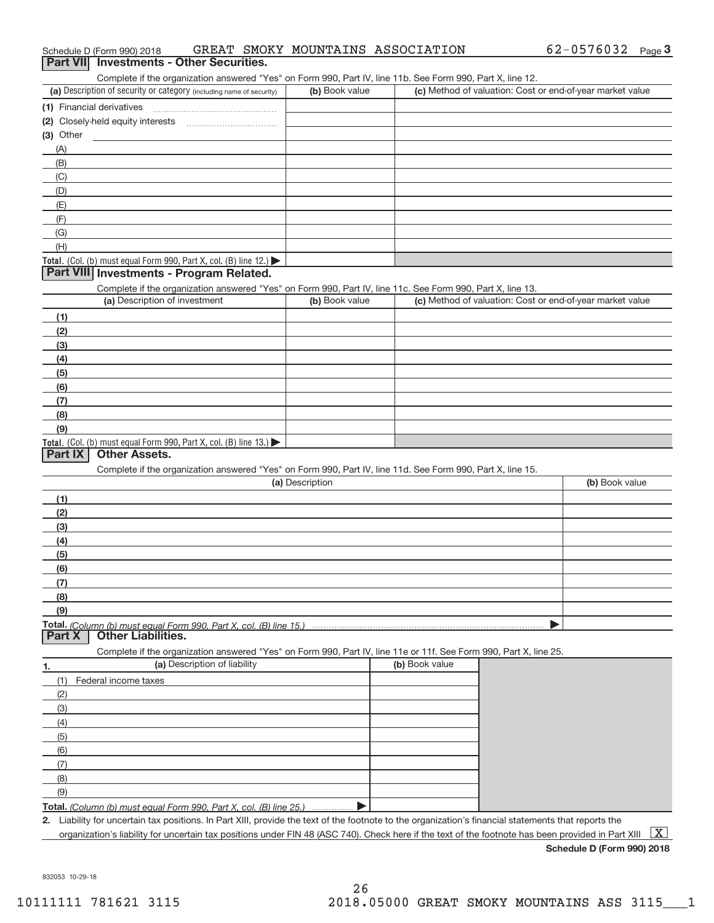|                | Complete if the organization answered "Yes" on Form 990, Part IV, line 11b. See Form 990, Part X, line 12.<br>(a) Description of security or category (including name of security) | (b) Book value  |                | (c) Method of valuation: Cost or end-of-year market value |
|----------------|------------------------------------------------------------------------------------------------------------------------------------------------------------------------------------|-----------------|----------------|-----------------------------------------------------------|
|                |                                                                                                                                                                                    |                 |                |                                                           |
|                | (1) Financial derivatives                                                                                                                                                          |                 |                |                                                           |
|                |                                                                                                                                                                                    |                 |                |                                                           |
| (3) Other      |                                                                                                                                                                                    |                 |                |                                                           |
| (A)            |                                                                                                                                                                                    |                 |                |                                                           |
| (B)            |                                                                                                                                                                                    |                 |                |                                                           |
| (C)            |                                                                                                                                                                                    |                 |                |                                                           |
| (D)            |                                                                                                                                                                                    |                 |                |                                                           |
| (E)            |                                                                                                                                                                                    |                 |                |                                                           |
| (F)            |                                                                                                                                                                                    |                 |                |                                                           |
| (G)            |                                                                                                                                                                                    |                 |                |                                                           |
| (H)            |                                                                                                                                                                                    |                 |                |                                                           |
|                | Total. (Col. (b) must equal Form 990, Part X, col. (B) line 12.)                                                                                                                   |                 |                |                                                           |
|                | Part VIII Investments - Program Related.                                                                                                                                           |                 |                |                                                           |
|                | Complete if the organization answered "Yes" on Form 990, Part IV, line 11c. See Form 990, Part X, line 13.                                                                         |                 |                |                                                           |
|                | (a) Description of investment                                                                                                                                                      | (b) Book value  |                | (c) Method of valuation: Cost or end-of-year market value |
| (1)            |                                                                                                                                                                                    |                 |                |                                                           |
| (2)            |                                                                                                                                                                                    |                 |                |                                                           |
| (3)            |                                                                                                                                                                                    |                 |                |                                                           |
| (4)            |                                                                                                                                                                                    |                 |                |                                                           |
| (5)            |                                                                                                                                                                                    |                 |                |                                                           |
| (6)            |                                                                                                                                                                                    |                 |                |                                                           |
| (7)            |                                                                                                                                                                                    |                 |                |                                                           |
| (8)            |                                                                                                                                                                                    |                 |                |                                                           |
| (9)            |                                                                                                                                                                                    |                 |                |                                                           |
|                | Total. (Col. (b) must equal Form 990, Part X, col. (B) line 13.)                                                                                                                   |                 |                |                                                           |
| <b>Part IX</b> | <b>Other Assets.</b>                                                                                                                                                               |                 |                |                                                           |
|                | Complete if the organization answered "Yes" on Form 990, Part IV, line 11d. See Form 990, Part X, line 15.                                                                         |                 |                |                                                           |
|                |                                                                                                                                                                                    | (a) Description |                | (b) Book value                                            |
| (1)            |                                                                                                                                                                                    |                 |                |                                                           |
| (2)            |                                                                                                                                                                                    |                 |                |                                                           |
| (3)            |                                                                                                                                                                                    |                 |                |                                                           |
| (4)            |                                                                                                                                                                                    |                 |                |                                                           |
| (5)            |                                                                                                                                                                                    |                 |                |                                                           |
| (6)            |                                                                                                                                                                                    |                 |                |                                                           |
| (7)            |                                                                                                                                                                                    |                 |                |                                                           |
|                |                                                                                                                                                                                    |                 |                |                                                           |
| (8)<br>(9)     |                                                                                                                                                                                    |                 |                |                                                           |
|                |                                                                                                                                                                                    |                 |                |                                                           |
| <b>Part X</b>  | Total. (Column (b) must equal Form 990. Part X, col. (B) line 15.)<br><b>Other Liabilities.</b>                                                                                    |                 |                |                                                           |
|                |                                                                                                                                                                                    |                 |                |                                                           |
|                | Complete if the organization answered "Yes" on Form 990, Part IV, line 11e or 11f. See Form 990, Part X, line 25.<br>(a) Description of liability                                  |                 | (b) Book value |                                                           |
| 1.             |                                                                                                                                                                                    |                 |                |                                                           |
| (1)            | Federal income taxes                                                                                                                                                               |                 |                |                                                           |
| (2)            |                                                                                                                                                                                    |                 |                |                                                           |
| (3)            |                                                                                                                                                                                    |                 |                |                                                           |
| (4)            |                                                                                                                                                                                    |                 |                |                                                           |
| (5)            |                                                                                                                                                                                    |                 |                |                                                           |
|                |                                                                                                                                                                                    |                 |                |                                                           |
| (6)            |                                                                                                                                                                                    |                 |                |                                                           |
| (7)            |                                                                                                                                                                                    |                 |                |                                                           |
| (8)            |                                                                                                                                                                                    |                 |                |                                                           |
| (9)            |                                                                                                                                                                                    |                 |                |                                                           |
|                | Total. (Column (b) must equal Form 990, Part X, col. (B) line 25.)                                                                                                                 |                 |                |                                                           |

organization's liability for uncertain tax positions under FIN 48 (ASC 740). Check here if the text of the footnote has been provided in Part XIII  $~\boxed{\rm X}$ 

### Schedule D (Form 990) 2018 GREAT SMOKY MOUNTAINS ASSOCIATION  $62-0576032$  Page

| $\frac{1}{2}$ . The state of $\frac{1}{2}$ is the state of $\frac{1}{2}$ | _______________________ |  |
|--------------------------------------------------------------------------|-------------------------|--|
| Part VII Investments - Other Securities.                                 |                         |  |

| (a) Description of security or category (including name of security) | (b) Book value | (c) Method of valuation: Cost or end-of-year market value |
|----------------------------------------------------------------------|----------------|-----------------------------------------------------------|
| (1) Financial derivatives                                            |                |                                                           |
| (2) Closely-held equity interests                                    |                |                                                           |
| (3) Other                                                            |                |                                                           |
| (A)                                                                  |                |                                                           |
| (B)                                                                  |                |                                                           |
| (C)                                                                  |                |                                                           |
| (D)                                                                  |                |                                                           |
| (E)                                                                  |                |                                                           |
| (F)                                                                  |                |                                                           |
| (G)                                                                  |                |                                                           |
| (H)                                                                  |                |                                                           |
|                                                                      |                |                                                           |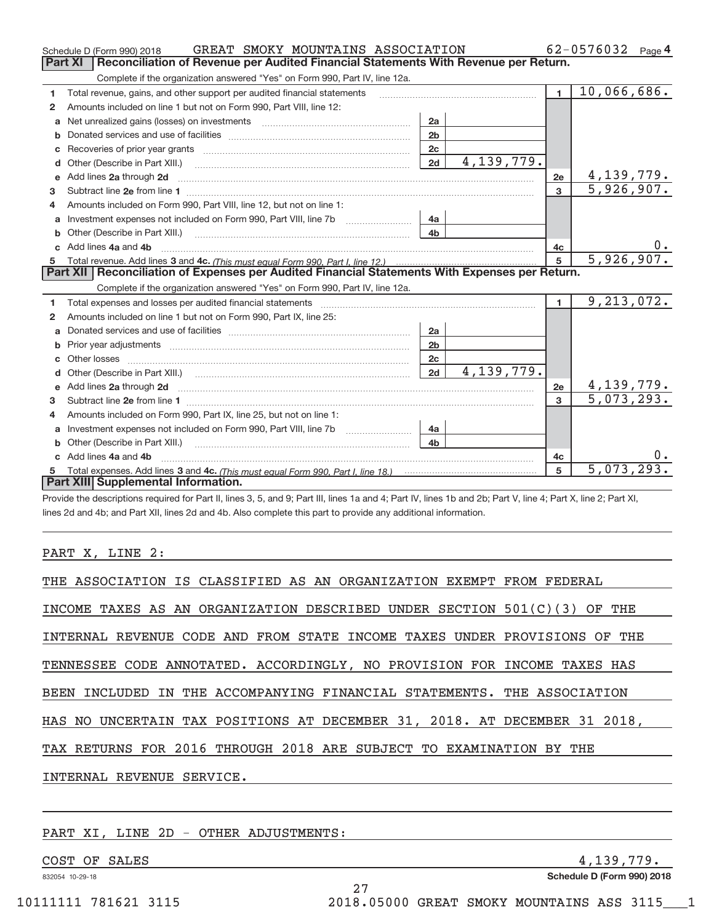|    | GREAT SMOKY MOUNTAINS ASSOCIATION<br>Schedule D (Form 990) 2018                                                                                                                                                                     |                |              |                | $62 - 0576032$ Page 4 |
|----|-------------------------------------------------------------------------------------------------------------------------------------------------------------------------------------------------------------------------------------|----------------|--------------|----------------|-----------------------|
|    | Reconciliation of Revenue per Audited Financial Statements With Revenue per Return.<br>Part XI                                                                                                                                      |                |              |                |                       |
|    | Complete if the organization answered "Yes" on Form 990, Part IV, line 12a.                                                                                                                                                         |                |              |                |                       |
| 1  | Total revenue, gains, and other support per audited financial statements                                                                                                                                                            |                |              | $\blacksquare$ | 10,066,686.           |
| 2  | Amounts included on line 1 but not on Form 990, Part VIII, line 12:                                                                                                                                                                 |                |              |                |                       |
| a  |                                                                                                                                                                                                                                     | 2a             |              |                |                       |
|    |                                                                                                                                                                                                                                     | 2 <sub>b</sub> |              |                |                       |
|    |                                                                                                                                                                                                                                     | 2c             |              |                |                       |
| d  | Other (Describe in Part XIII.) <b>Construction Contract Construction</b> Chern Construction Construction Construction                                                                                                               | 2d             | 4, 139, 779. |                |                       |
| е  | Add lines 2a through 2d                                                                                                                                                                                                             |                |              | 2e             | 4,139,779.            |
| з  |                                                                                                                                                                                                                                     |                |              | 3              | 5,926,907.            |
| 4  | Amounts included on Form 990, Part VIII, line 12, but not on line 1:                                                                                                                                                                |                |              |                |                       |
| a  |                                                                                                                                                                                                                                     | 4a             |              |                |                       |
| b  |                                                                                                                                                                                                                                     | 4 <sub>b</sub> |              |                |                       |
| c. | Add lines 4a and 4b                                                                                                                                                                                                                 |                |              | 4с             | 0.                    |
|    |                                                                                                                                                                                                                                     |                |              | 5              | 5,926,907.            |
|    |                                                                                                                                                                                                                                     |                |              |                |                       |
|    | Part XII   Reconciliation of Expenses per Audited Financial Statements With Expenses per Return.                                                                                                                                    |                |              |                |                       |
|    | Complete if the organization answered "Yes" on Form 990, Part IV, line 12a.                                                                                                                                                         |                |              |                |                       |
| 1  | Total expenses and losses per audited financial statements [11, 11] manuscription and statements [11] manuscription and the statements [11] manuscription and the statements and the statements and statements and statements       |                |              | $\blacksquare$ | 9, 213, 072.          |
| 2  | Amounts included on line 1 but not on Form 990, Part IX, line 25:                                                                                                                                                                   |                |              |                |                       |
| a  |                                                                                                                                                                                                                                     | 2a             |              |                |                       |
| b  |                                                                                                                                                                                                                                     | 2 <sub>b</sub> |              |                |                       |
| c  |                                                                                                                                                                                                                                     | 2 <sub>c</sub> |              |                |                       |
| d  |                                                                                                                                                                                                                                     | 2d             | 4, 139, 779. |                |                       |
| e  | Add lines 2a through 2d <b>contained a contained a contained a contained a</b> contained a contained a contained a contained a contact a contact a contact a contact a contact a contact a contact a contact a contact a contact a  |                |              | 2e             | 4,139,779.            |
| 3  |                                                                                                                                                                                                                                     |                |              | $\overline{3}$ | 5,073,293.            |
| 4  | Amounts included on Form 990, Part IX, line 25, but not on line 1:                                                                                                                                                                  |                |              |                |                       |
| a  |                                                                                                                                                                                                                                     | 4a             |              |                |                       |
| b  | Other (Describe in Part XIII.) <b>Construction Contract Construction</b> Chemical Construction Chemical Chemical Chemical Chemical Chemical Chemical Chemical Chemical Chemical Chemical Chemical Chemical Chemical Chemical Chemic | 4 <sub>b</sub> |              |                |                       |
| c. | Add lines 4a and 4b                                                                                                                                                                                                                 |                |              | 4c             |                       |
|    | Part XIII Supplemental Information.                                                                                                                                                                                                 |                |              | 5              | 5,073,293.            |

Provide the descriptions required for Part II, lines 3, 5, and 9; Part III, lines 1a and 4; Part IV, lines 1b and 2b; Part V, line 4; Part X, line 2; Part XI, lines 2d and 4b; and Part XII, lines 2d and 4b. Also complete this part to provide any additional information.

#### PART X, LINE 2:

| THE ASSOCIATION IS CLASSIFIED AS AN ORGANIZATION EXEMPT FROM FEDERAL       |
|----------------------------------------------------------------------------|
| INCOME TAXES AS AN ORGANIZATION DESCRIBED UNDER SECTION $501(C)(3)$ OF THE |
| INTERNAL REVENUE CODE AND FROM STATE INCOME TAXES UNDER PROVISIONS OF THE  |
| TENNESSEE CODE ANNOTATED. ACCORDINGLY, NO PROVISION FOR INCOME TAXES HAS   |
| BEEN INCLUDED IN THE ACCOMPANYING FINANCIAL STATEMENTS. THE ASSOCIATION    |
| HAS NO UNCERTAIN TAX POSITIONS AT DECEMBER 31, 2018. AT DECEMBER 31 2018,  |
| TAX RETURNS FOR 2016 THROUGH 2018 ARE SUBJECT TO EXAMINATION BY THE        |
| INTERNAL REVENUE SERVICE.                                                  |
|                                                                            |

27

#### PART XI, LINE 2D - OTHER ADJUSTMENTS:

COST OF SALES 4,139,779.

832054 10‐29‐18

**Schedule D (Form 990) 2018**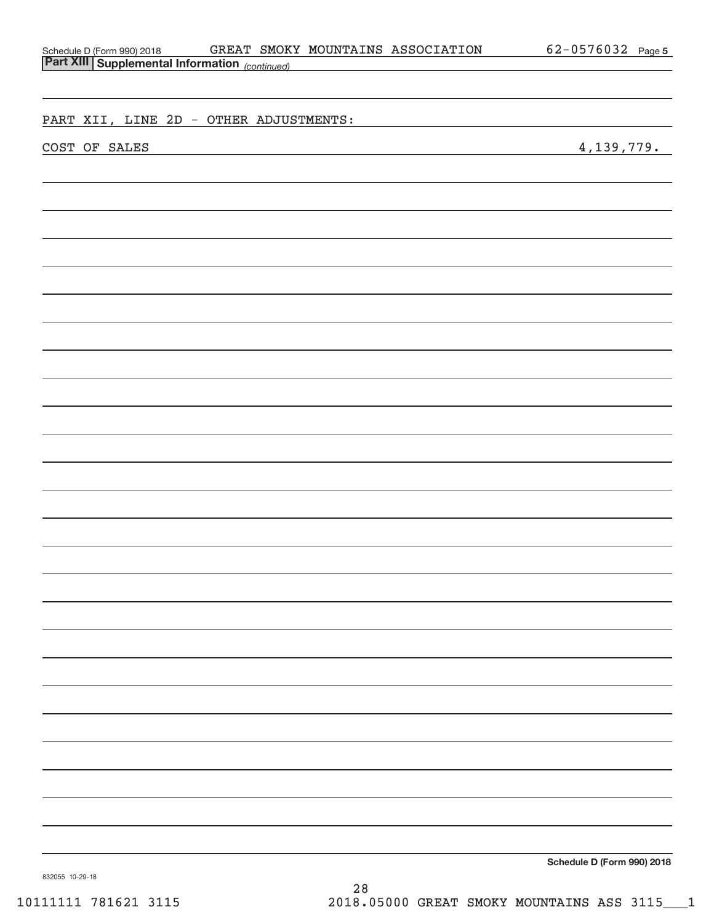| GREAT SMOKY MOUNTAINS ASSOCIATION<br>Schedule D (Form 990) 2018 GREAT SMOK<br>Part XIII Supplemental Information (continued)           | 62-0576032 Page 5          |
|----------------------------------------------------------------------------------------------------------------------------------------|----------------------------|
|                                                                                                                                        |                            |
|                                                                                                                                        |                            |
| PART XII, LINE 2D - OTHER ADJUSTMENTS:                                                                                                 |                            |
|                                                                                                                                        |                            |
| COST OF SALES<br><u> 1989 - Johann Barn, mars ann an t-Amhair an t-Amhair an t-Amhair an t-Amhair an t-Amhair an t-Amhair an t-Amh</u> | 4, 139, 779.               |
|                                                                                                                                        |                            |
|                                                                                                                                        |                            |
|                                                                                                                                        |                            |
|                                                                                                                                        |                            |
|                                                                                                                                        |                            |
|                                                                                                                                        |                            |
|                                                                                                                                        |                            |
|                                                                                                                                        |                            |
|                                                                                                                                        |                            |
|                                                                                                                                        |                            |
|                                                                                                                                        |                            |
|                                                                                                                                        |                            |
|                                                                                                                                        |                            |
|                                                                                                                                        |                            |
|                                                                                                                                        |                            |
|                                                                                                                                        |                            |
|                                                                                                                                        |                            |
|                                                                                                                                        |                            |
|                                                                                                                                        |                            |
|                                                                                                                                        |                            |
|                                                                                                                                        |                            |
|                                                                                                                                        |                            |
|                                                                                                                                        |                            |
|                                                                                                                                        |                            |
|                                                                                                                                        |                            |
|                                                                                                                                        |                            |
|                                                                                                                                        |                            |
|                                                                                                                                        |                            |
|                                                                                                                                        |                            |
|                                                                                                                                        |                            |
|                                                                                                                                        |                            |
|                                                                                                                                        |                            |
|                                                                                                                                        | Schodule D (Form 000) 2018 |

**Schedule D (Form 990) 2018**

832055 10‐29‐18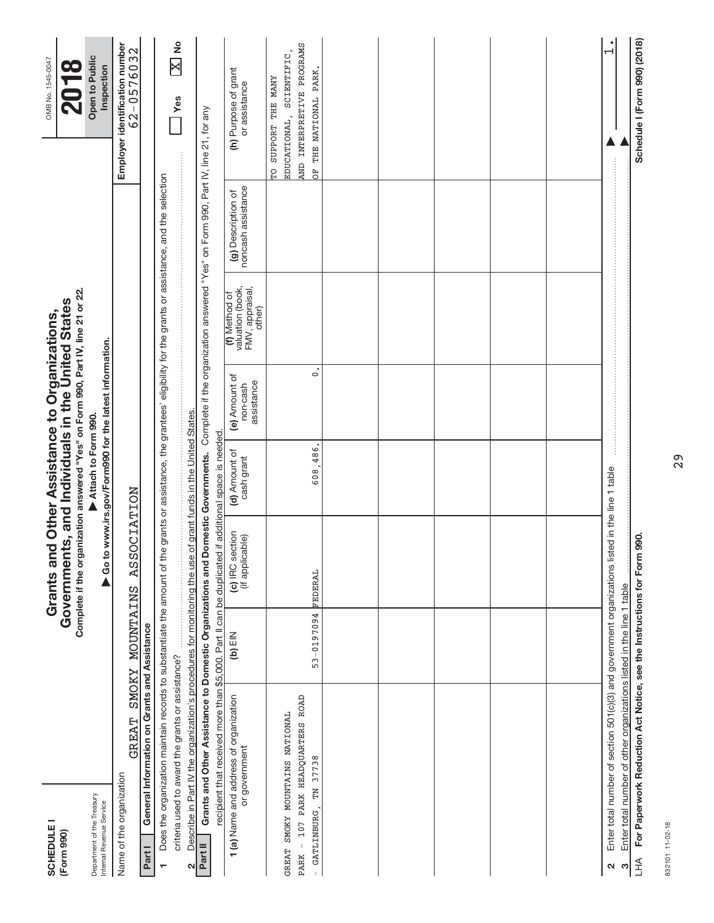| <b>SCHEDULE</b><br>(Form 990)                          |                                                                                                                                                                   |                 | Complete if the organization answered "Yes" on Form 990, Part IV, line 21 or 22.<br>Grants and Other Assistance to Organizations,<br>overnments, and Individuals in the United States<br>Government |                               |                                                       |                                                                |                                                                                                 | OMB No. 1545-0047<br>2018                                  |  |
|--------------------------------------------------------|-------------------------------------------------------------------------------------------------------------------------------------------------------------------|-----------------|-----------------------------------------------------------------------------------------------------------------------------------------------------------------------------------------------------|-------------------------------|-------------------------------------------------------|----------------------------------------------------------------|-------------------------------------------------------------------------------------------------|------------------------------------------------------------|--|
| Department of the Treasury<br>Internal Revenue Service |                                                                                                                                                                   |                 |                                                                                                                                                                                                     | Attach to Form 990.           | Go to www.irs.gov/Form990 for the latest information. |                                                                |                                                                                                 | Open to Public<br>Inspection                               |  |
| Name of the organization                               | GREAT                                                                                                                                                             | SMOKY MOUNTAINS | <b>ASSOCIATION</b>                                                                                                                                                                                  |                               |                                                       |                                                                |                                                                                                 | Employer identification number<br>62-0576032               |  |
| Part I                                                 | General Information on Grants and Assistance                                                                                                                      |                 |                                                                                                                                                                                                     |                               |                                                       |                                                                |                                                                                                 |                                                            |  |
| $\blacksquare$                                         | Does the organization maintain records to substantiate the amount of the                                                                                          |                 |                                                                                                                                                                                                     |                               |                                                       |                                                                | grants or assistance, the grantees' eligibility for the grants or assistance, and the selection |                                                            |  |
| $\mathbf{\Omega}$                                      | Describe in Part IV the organization's procedures for monitoring the use of grant funds in the United States.<br>criteria used to award the grants or assistance? |                 |                                                                                                                                                                                                     |                               |                                                       |                                                                |                                                                                                 | $\frac{1}{2}$<br>$\overline{\mathbf{x}}$<br>Yes            |  |
| Part II                                                | Grants and Other Assistance to Domestic Organizations and Domestic Governments.                                                                                   |                 |                                                                                                                                                                                                     |                               |                                                       |                                                                | Complete if the organization answered "Yes" on Form 990, Part IV, line 21, for any              |                                                            |  |
|                                                        | recipient that received more than \$5,000. Part II can be duplicated                                                                                              |                 |                                                                                                                                                                                                     | if additional space is needed |                                                       |                                                                |                                                                                                 |                                                            |  |
|                                                        | 1 (a) Name and address of organization<br>or government                                                                                                           | $(b)$ EIN       | (c) IRC section<br>(if applicable)                                                                                                                                                                  | (d) Amount of<br>cash grant   | (e) Amount of<br>assistance<br>non-cash               | valuation (book,<br>FMV, appraisal,<br>other)<br>(f) Method of | noncash assistance<br>(g) Description of                                                        | (h) Purpose of grant<br>or assistance                      |  |
| GREAT SMOKY MOUNTAINS NATIONAL                         |                                                                                                                                                                   |                 |                                                                                                                                                                                                     |                               |                                                       |                                                                |                                                                                                 | SCIENTIFIC,<br>SUPPORT THE MANY<br>EDUCATIONAL,<br>o<br>Fo |  |
| GATLINBURG, TN 37738<br><b>PARK</b>                    | $-107$ PARK HEADQUARTERS ROAD                                                                                                                                     | $53 - 0197094$  | FEDERAL                                                                                                                                                                                             | 608,486.                      | $\mathbf{c}$                                          |                                                                |                                                                                                 | AND INTERPRETIVE PROGRAMS<br>OF THE NATIONAL PARK.         |  |
|                                                        |                                                                                                                                                                   |                 |                                                                                                                                                                                                     |                               |                                                       |                                                                |                                                                                                 |                                                            |  |
|                                                        |                                                                                                                                                                   |                 |                                                                                                                                                                                                     |                               |                                                       |                                                                |                                                                                                 |                                                            |  |
|                                                        |                                                                                                                                                                   |                 |                                                                                                                                                                                                     |                               |                                                       |                                                                |                                                                                                 |                                                            |  |
|                                                        |                                                                                                                                                                   |                 |                                                                                                                                                                                                     |                               |                                                       |                                                                |                                                                                                 |                                                            |  |
|                                                        |                                                                                                                                                                   |                 |                                                                                                                                                                                                     |                               |                                                       |                                                                |                                                                                                 |                                                            |  |
| 2                                                      | Enter total number of section 501(c)(3) and government organizations listed in the line 1 table                                                                   |                 |                                                                                                                                                                                                     |                               |                                                       |                                                                |                                                                                                 |                                                            |  |
| S                                                      | Enter total number of other organizations listed in the line 1 table                                                                                              |                 |                                                                                                                                                                                                     |                               |                                                       |                                                                |                                                                                                 |                                                            |  |
| $\overline{\pm}$                                       | For Paperwork Reduction Act Notice, see the Instructions for Form 990.                                                                                            |                 |                                                                                                                                                                                                     |                               |                                                       |                                                                |                                                                                                 | Schedule I (Form 990) (2018)                               |  |

LHA For Paperwork Reduction Act Notice, see the Instructions for Form 990.

832101 11-02-18 832101 11‐02‐18

29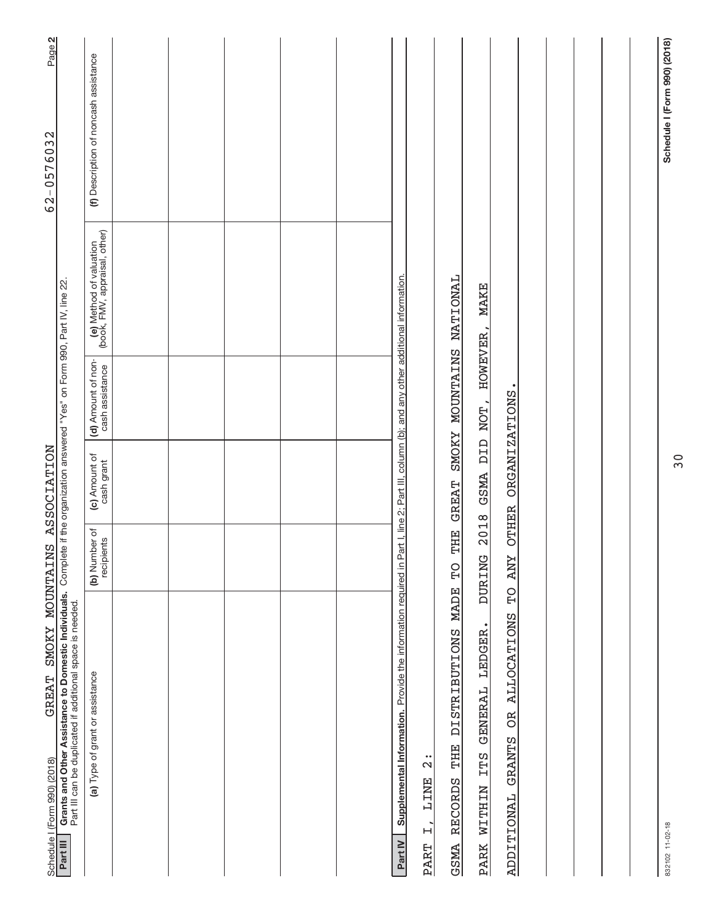| GREAT SMOKY MOUNTAINS ASSOCIATION<br>Schedule I (Form 990) (2018)                                                                                                                                        |                             |                             |                                       |                                                          | Page 2<br>62-0576032                  |
|----------------------------------------------------------------------------------------------------------------------------------------------------------------------------------------------------------|-----------------------------|-----------------------------|---------------------------------------|----------------------------------------------------------|---------------------------------------|
| Grants and Other Assistance to Domestic Individuals. Complete if the organization answered "Yes" on Form 990, Part IV, line 22.<br>Part III can be duplicated if additional space is needed.<br>Part III |                             |                             |                                       |                                                          |                                       |
| (a) Type of grant or assistance                                                                                                                                                                          | (b) Number of<br>recipients | (c) Amount of<br>cash grant | (d) Amount of non-<br>cash assistance | (e) Method of valuation<br>(book, FMV, appraisal, other) | (f) Description of noncash assistance |
|                                                                                                                                                                                                          |                             |                             |                                       |                                                          |                                       |
|                                                                                                                                                                                                          |                             |                             |                                       |                                                          |                                       |
|                                                                                                                                                                                                          |                             |                             |                                       |                                                          |                                       |
|                                                                                                                                                                                                          |                             |                             |                                       |                                                          |                                       |
|                                                                                                                                                                                                          |                             |                             |                                       |                                                          |                                       |
| Supplemental Information. Provide the information required in Part I, line 2; Part III, column (b); and any other additional information.<br>Part IV                                                     |                             |                             |                                       |                                                          |                                       |
| $\frac{1}{2}$<br><b>LINE</b><br>$\overline{H}$<br>PART                                                                                                                                                   |                             |                             |                                       |                                                          |                                       |
| DISTRIBUTIONS MADE<br>THE<br><b>RECORDS</b><br><b>GSMA</b>                                                                                                                                               | THE<br>PD                   | <b>GREAT</b>                | SMOKY MOUNTAINS NATIONAL              |                                                          |                                       |
| PARK WITHIN ITS GENERAL LEDGER.                                                                                                                                                                          | 2018<br><b>DURING</b>       |                             | GSMA DID NOT, HOWEVER,                | <b>MAKE</b>                                              |                                       |
| $\Omega$<br>OR ALLOCATIONS<br><b>GRANTS</b><br><b>ADDITIONAL</b>                                                                                                                                         | <b>OTHER</b><br><b>ZNY</b>  | <b>ORGANIZATIONS</b>        |                                       |                                                          |                                       |
|                                                                                                                                                                                                          |                             |                             |                                       |                                                          |                                       |
|                                                                                                                                                                                                          |                             |                             |                                       |                                                          |                                       |
|                                                                                                                                                                                                          |                             |                             |                                       |                                                          |                                       |
|                                                                                                                                                                                                          |                             |                             |                                       |                                                          |                                       |
|                                                                                                                                                                                                          |                             |                             |                                       |                                                          |                                       |
| 832102 11-02-18                                                                                                                                                                                          |                             |                             |                                       |                                                          | Schedule I (Form 990) (2018)          |

30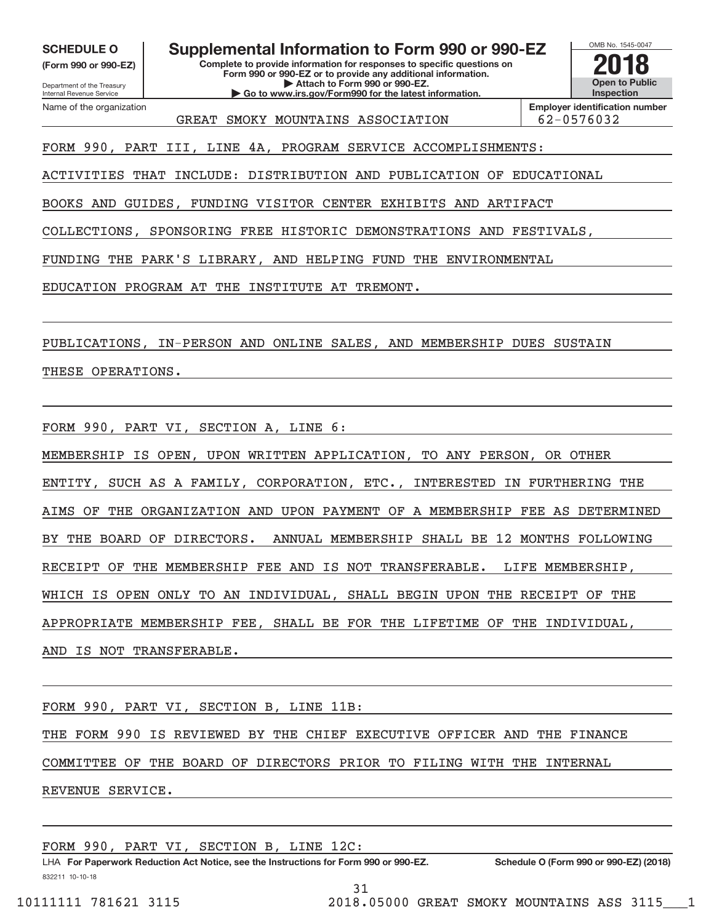Department of the Treasury **(Form 990 or 990‐EZ)**

Name of the organization

Internal Revenue Service

SCHEDULE O Supplemental Information to Form 990 or 990-EZ <br>(Form 990 or 990-EZ)<br>**2018** 

**Complete to provide information for responses to specific questions on Form 990 or 990‐EZ or to provide any additional information. | Attach to Form 990 or 990‐EZ. | Go to www.irs.gov/Form990 for the latest information.**

OMB No. 1545‐0047 **Open to Public Inspection**

GREAT SMOKY MOUNTAINS ASSOCIATION  $|62-0576032|$ 

**Employer identification number**

FORM 990, PART III, LINE 4A, PROGRAM SERVICE ACCOMPLISHMENTS:

ACTIVITIES THAT INCLUDE: DISTRIBUTION AND PUBLICATION OF EDUCATIONAL

BOOKS AND GUIDES, FUNDING VISITOR CENTER EXHIBITS AND ARTIFACT

COLLECTIONS, SPONSORING FREE HISTORIC DEMONSTRATIONS AND FESTIVALS,

FUNDING THE PARK'S LIBRARY, AND HELPING FUND THE ENVIRONMENTAL

EDUCATION PROGRAM AT THE INSTITUTE AT TREMONT.

PUBLICATIONS, IN‐PERSON AND ONLINE SALES, AND MEMBERSHIP DUES SUSTAIN

## THESE OPERATIONS.

FORM 990, PART VI, SECTION A, LINE 6:

MEMBERSHIP IS OPEN, UPON WRITTEN APPLICATION, TO ANY PERSON, OR OTHER ENTITY, SUCH AS A FAMILY, CORPORATION, ETC., INTERESTED IN FURTHERING THE AIMS OF THE ORGANIZATION AND UPON PAYMENT OF A MEMBERSHIP FEE AS DETERMINED BY THE BOARD OF DIRECTORS. ANNUAL MEMBERSHIP SHALL BE 12 MONTHS FOLLOWING RECEIPT OF THE MEMBERSHIP FEE AND IS NOT TRANSFERABLE. LIFE MEMBERSHIP, WHICH IS OPEN ONLY TO AN INDIVIDUAL, SHALL BEGIN UPON THE RECEIPT OF THE APPROPRIATE MEMBERSHIP FEE, SHALL BE FOR THE LIFETIME OF THE INDIVIDUAL, AND IS NOT TRANSFERABLE.

FORM 990, PART VI, SECTION B, LINE 11B:

THE FORM 990 IS REVIEWED BY THE CHIEF EXECUTIVE OFFICER AND THE FINANCE

COMMITTEE OF THE BOARD OF DIRECTORS PRIOR TO FILING WITH THE INTERNAL

REVENUE SERVICE.

FORM 990, PART VI, SECTION B, LINE 12C:

832211 10‐10‐18 **For Paperwork Reduction Act Notice, see the Instructions for Form 990 or 990‐EZ. Schedule O (Form 990 or 990‐EZ) (2018)** LHA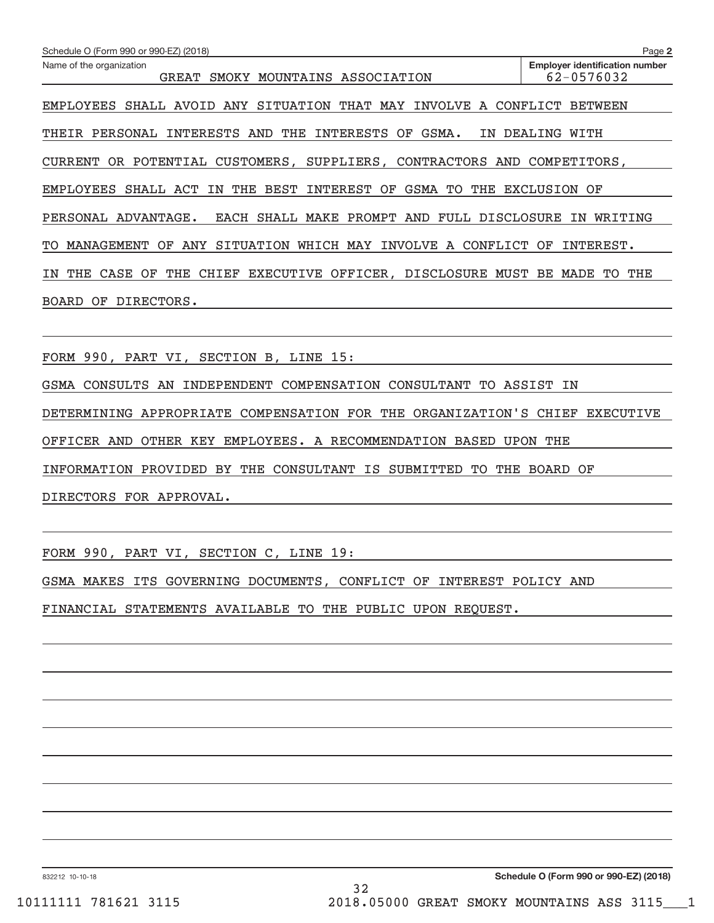| Schedule O (Form 990 or 990-EZ) (2018)                                            | Page 2                                              |
|-----------------------------------------------------------------------------------|-----------------------------------------------------|
| Name of the organization<br>SMOKY MOUNTAINS ASSOCIATION<br><b>GREAT</b>           | <b>Employer identification number</b><br>62-0576032 |
|                                                                                   |                                                     |
| EMPLOYEES SHALL AVOID ANY SITUATION THAT MAY INVOLVE A CONFLICT BETWEEN           |                                                     |
| THEIR PERSONAL INTERESTS AND<br>THE<br>INTERESTS<br>OF GSMA.                      | IN DEALING WITH                                     |
| OR POTENTIAL CUSTOMERS, SUPPLIERS, CONTRACTORS AND COMPETITORS,<br><b>CURRENT</b> |                                                     |
| THE BEST INTEREST OF<br>GSMA<br>TO<br>THE<br><b>EMPLOYEES</b><br>SHALL ACT<br>IN  | <b>EXCLUSION OF</b>                                 |
| EACH SHALL MAKE PROMPT AND FULL DISCLOSURE<br>PERSONAL ADVANTAGE.                 | WRITING<br>IN                                       |
| ANY SITUATION WHICH MAY INVOLVE A CONFLICT<br>TO MANAGEMENT<br>OF                 | OF<br>INTEREST.                                     |
| CHIEF EXECUTIVE OFFICER, DISCLOSURE MUST BE<br>THE<br>CASE<br>OF<br>THE<br>IN     | THE<br>MADE<br>TO.                                  |
| DIRECTORS.<br>BOARD OF                                                            |                                                     |
|                                                                                   |                                                     |
| FORM 990, PART VI, SECTION B, LINE 15:                                            |                                                     |
| GSMA CONSULTS AN INDEPENDENT COMPENSATION CONSULTANT TO ASSIST                    | ΙN                                                  |

DETERMINING APPROPRIATE COMPENSATION FOR THE ORGANIZATION'S CHIEF EXECUTIVE

OFFICER AND OTHER KEY EMPLOYEES. A RECOMMENDATION BASED UPON THE

INFORMATION PROVIDED BY THE CONSULTANT IS SUBMITTED TO THE BOARD OF

DIRECTORS FOR APPROVAL.

FORM 990, PART VI, SECTION C, LINE 19:

GSMA MAKES ITS GOVERNING DOCUMENTS, CONFLICT OF INTEREST POLICY AND

FINANCIAL STATEMENTS AVAILABLE TO THE PUBLIC UPON REQUEST.

832212 10‐10‐18